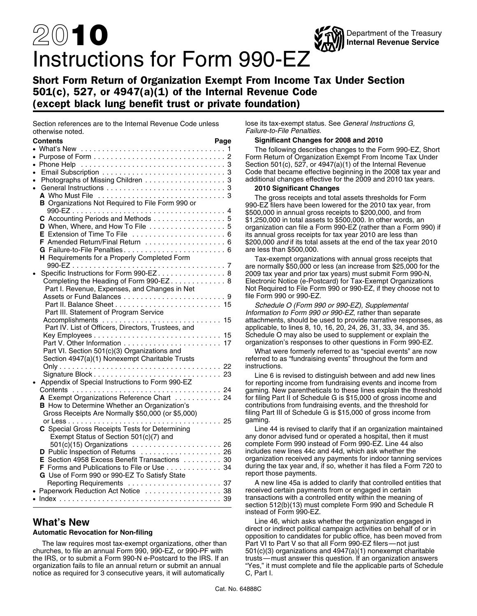# 20**10** Instructions for Form 990-EZ

## Short Form Return of Organization Exempt From Income Tax Under Section 501(c), 527, or 4947(a)(1) of the Internal Revenue Code (except black lung benefit trust or private foundation)

Section references are to the Internal Revenue Code unless lose its tax-exempt status. See *General Instructions G,* otherwise noted. *Failure-to-File Penalties*.

| Contents                                                                                       | Page |
|------------------------------------------------------------------------------------------------|------|
|                                                                                                |      |
|                                                                                                |      |
| $\bullet$ Phone Help $\ldots \ldots \ldots \ldots \ldots \ldots \ldots \ldots \ldots \ldots 3$ |      |
|                                                                                                |      |
| Photographs of Missing Children 3<br>$\bullet$                                                 |      |
| $\bullet$                                                                                      |      |
|                                                                                                |      |
| <b>B</b> Organizations Not Required to File Form 990 or                                        |      |
|                                                                                                |      |
| C Accounting Periods and Methods  5                                                            |      |
| D When, Where, and How To File 5                                                               |      |
|                                                                                                |      |
| F Amended Return/Final Return  6                                                               |      |
| G Failure-to-File Penalties 6                                                                  |      |
| H Requirements for a Properly Completed Form                                                   |      |
|                                                                                                |      |
| Specific Instructions for Form 990-EZ 8<br>$\bullet$                                           |      |
| Completing the Heading of Form 990-EZ 8                                                        |      |
| Part I. Revenue, Expenses, and Changes in Net                                                  |      |
|                                                                                                |      |
|                                                                                                |      |
| Part III. Statement of Program Service                                                         |      |
|                                                                                                |      |
| Part IV. List of Officers, Directors, Trustees, and                                            |      |
|                                                                                                |      |
|                                                                                                |      |
| Part VI. Section 501(c)(3) Organizations and<br>Section 4947(a)(1) Nonexempt Charitable Trusts |      |
|                                                                                                |      |
|                                                                                                |      |
| Appendix of Special Instructions to Form 990-EZ                                                |      |
|                                                                                                |      |
| A Exempt Organizations Reference Chart  24                                                     |      |
| <b>B</b> How to Determine Whether an Organization's                                            |      |
| Gross Receipts Are Normally \$50,000 (or \$5,000)                                              |      |
|                                                                                                |      |
| C Special Gross Receipts Tests for Determining                                                 |      |
| Exempt Status of Section 501(c)(7) and                                                         |      |
| 501(c)(15) Organizations  26                                                                   |      |
| D Public Inspection of Returns  26                                                             |      |
| E Section 4958 Excess Benefit Transactions 30                                                  |      |
| F Forms and Publications to File or Use 34                                                     |      |
| G Use of Form 990 or 990-EZ To Satisfy State                                                   |      |
|                                                                                                |      |
| Paperwork Reduction Act Notice  38                                                             |      |
|                                                                                                |      |
|                                                                                                |      |

The law requires most tax-exempt organizations, other than Part VI to Part V so that all Form 990-EZ filers—not just<br>churches, to file an annual Form 990, 990-EZ, or 990-PF with 501(c)(3) organizations and 4947(a)(1) nonex the IRS, or to submit a Form 990-N e-Postcard to the IRS. If an notice as required for 3 consecutive years, it will automatically

### **Contents Page Significant Changes for 2008 and 2010**

The following describes changes to the Form 990-EZ, Short Form Return of Organization Exempt From Income Tax Under Section 501(c), 527, or 4947(a)(1) of the Internal Revenue Code that became effective beginning in the 2008 tax year and additional changes effective for the 2009 and 2010 tax years.

Department of the Treasury

**Internal Revenue Service**

### **2010 Significant Changes**

The gross receipts and total assets thresholds for Form<br>990-EZ filers have been lowered for the 2010 tax year, from<br>\$500,000 in annual gross receipts to \$200,000, and from<br>\$1,250,000 in total assets to \$500,000. In other w organization can file a Form 990-EZ (rather than a Form 990) if its annual gross receipts for tax year 2010 are less than \$200,000 *and* if its total assets at the end of the tax year 2010 are less than \$500,000.

Tax-exempt organizations with annual gross receipts that are normally \$50,000 or less (an increase from \$25,000 for the 2009 tax year and prior tax years) must submit Form 990-N, Electronic Notice (e-Postcard) for Tax-Exempt Organizations Not Required to File Form 990 or 990-EZ, if they choose not to file Form 990 or 990-EZ.

Schedule O (Form 990 or 990-EZ), Supplemental Information to Form 990 or 990-EZ, rather than separate attachments, should be used to provide narrative responses, as applicable, to lines 8, 10, 16, 20, 24, 26, 31, 33, 34, and 35. Schedule O may also be used to supplement or explain the organization's responses to other questions in Form 990-EZ.

What were formerly referred to as "special events" are now referred to as "fundraising events" throughout the form and instructions.

Line 6 is revised to distinguish between and add new lines for reporting income from fundraising events and income from gaming. New parentheticals to these lines explain the threshold for filing Part II of Schedule G is \$15,000 of gross income and contributions from fundraising events, and the threshold for filing Part III of Schedule G is \$15,000 of gross income from gaming.

Line 44 is revised to clarify that if an organization maintained any donor advised fund or operated a hospital, then it must complete Form 990 instead of Form 990-EZ. Line 44 also includes new lines 44c and 44d, which ask whether the organization received any payments for indoor tanning services during the tax year and, if so, whether it has filed a Form 720 to report those payments.

A new line 45a is added to clarify that controlled entities that received certain payments from or engaged in certain transactions with a controlled entity within the meaning of section 512(b)(13) must complete Form 990 and Schedule R instead of Form 990-EZ.

**What's New**<br> **What's New Expression** for New filing the set of the set of indirect political campaign activities on behalf of or in direct or indirect political campaign activities on behalf of or in **Automatic Revocation for Non-filing** opposition to candidates for public office, has been moved from  $501(c)(3)$  organizations and  $4947(a)(1)$  nonexempt charitable trusts — must answer this question. If an organization answers organization fails to file an annual return or submit an annual "Yes," it must complete and file the applicable parts of Schedule notice as required for 3 consecutive years, it will automatically C, Part I.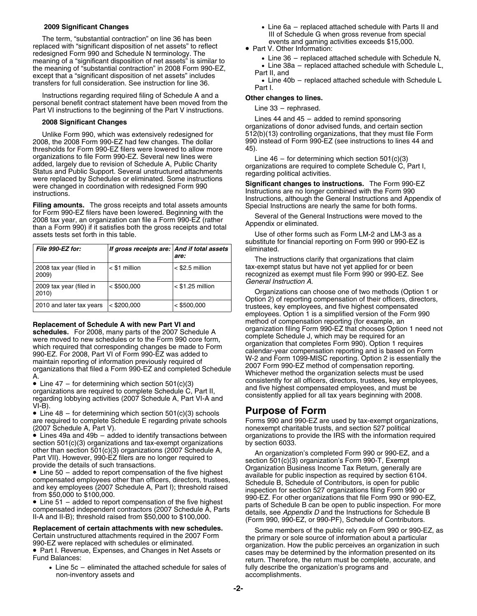The term, "substantial contraction" on line 36 has been events and gaming activities exceeds \$15,000.<br>
Fort V. Other Information: Part V. Other Information: redesigned Form 990 and Schedule N terminology. The •meaning of a "significant disposition of net assets" is similar to  $\bullet$  Line 36 – replaced attached schedule with Schedule L,<br>
the meaning of "oubstantial contraction" is 2008 Ferm 000 F7  $\bullet$  Line 38a – replaced attached the meaning of "substantial contraction" in 2008 Form 990-EZ,<br>except that a "significant disposition of net assets" includes • Part II, and transfers for full consideration. See instruction for line 36.

Instructions regarding required filing of Schedule A and a<br>
personal benefit contract statement have been moved from the<br>
Part VI instructions to the beginning of the Part V instructions<br>
Line 33 – rephrased. Part VI instructions to the beginning of the Part V instructions.

2008, the 2008 Form 990-EZ had few changes. The dollar 990 thresholds for Form 990-EZ filers were lowered to allow more 45). thresholds for Form 990-EZ filers were lowered to allow more organizations to file Form 990-EZ. Several new lines were<br>added, largely due to revision of Schedule A, Public Charity<br>Status and Public Support. Several unstructured attachments<br>were replaced by Schedules or eliminated. S were changed in coordination with redesigned Form 990<br>Instructions are no longer combined with the Form 990<br>Instructions are no longer combined with the Form 990

**Filing amounts.** The gross receipts and total assets amounts for Form 990-EZ filers have been lowered. Beginning with the 2008 tax year, an organization can file a Form 990-EZ (rather Several of the General Instructions were moved to the<br>2008 tax year, an organization can file a Form 990-EZ (rather than a Form 990) if it satisfies both the gr

| File 990-EZ for:                 | If gross receipts are: And if total assets | are:               |
|----------------------------------|--------------------------------------------|--------------------|
| 2008 tax year (filed in<br>2009) | $<$ \$1 million                            | $<$ \$2.5 million  |
| 2009 tax year (filed in<br>2010) | < \$500,000                                | $<$ \$1.25 million |
| 2010 and later tax years         | $<$ \$200,000                              | < \$500,000        |

VI-B).

• Line 48 – for determining which section 501(c)(3) schools **Purpose of Form** are required to complete Schedule E regarding private schools Forms 990 and 990-EZ are used by tax-exempt organizations,<br>
(2007 Schedule A, Part V).<br>
nonexempt charitable trusts, and section 527 political

• Lines 49a and 49b - added to identify transactions between section 501(c)(3) organizations and tax-exempt organizations by section 6033.<br>
other than section 501(c)(3) organizations (2007 Schedule A,  $\Delta$ 

• Part I. Revenue, Expenses, and Changes in Net Assets or

 $\bullet$  Line 5c – eliminated the attached schedule for sales of  $\qquad \quad$  fully describe the organization's programs and

- **2009 Significant Changes** Line 6a replaced attached schedule with Parts II and
	- -

 $\bullet$  Line 40b – replaced attached schedule with Schedule L<br>Part I.

Lines 44 and 45 – added to remind sponsoring **2008 Significant Changes** organizations of donor advised funds, and certain section Unlike Form 990, which was extensively redesigned for \_\_\_\_\_\_\_\_\_\_\_\_\_\_\_\_\_\_\_\_\_\_\_\_\_\_\_<br>08, the 2008 Form 990-EZ had few changes. The dollar \_\_\_\_\_\_\_\_\_\_\_\_\_\_\_\_\_\_\_\_\_\_\_\_\_\_\_\_

instructions.<br>Instructions are no longer combined with the Form 990<br>Filing amounts. The gross receipts and total assets amounts Special Instructions are nearly the same for both forms.

Use of other forms such as Form LM-2 and LM-3 as a substitute for financial reporting on Form 990 or 990-EZ is *File 990-EZ for: If gross receipts are: And if total assets* eliminated.

The instructions clarify that organizations that claim tax-exempt status but have not yet applied for or been recognized as exempt must file Form 990 or 990-EZ. See General Instruction A.

Organizations can choose one of two methods (Option 1 or<br>Option 2) of reporting compensation of their officers, directors, trustees, key employees, and five highest compensated employees. Option 1 is a simplified version of the Form 990 method of compensation reporting (for example, an **Replacement of Schedule A with new Part VI and** the dof compensation reporting (for example, an **schedules.** For 2008, many parts of the 2007 Schedule A were moved to new schedules or to the Form 990 core form, which req ...<br>
Line 47 – for determining which section 501(c)(3) consistently for all officers, directors, trustees, key employees,<br>
organizations are required to complete Schedule C, Part II, and five highest compensated employees,

nonexempt charitable trusts, and section 527 political organizations to provide the IRS with the information required

outer trian section 501(c)(3) organization's (2007 Scriedule A,<br>
Part VII). However, 990-EZ filers are no longer required to<br>
provide the details of such transactions.<br>
■ Line 50 – added to report compensation of the five compensated employees other than officers, directors, trustees,<br>
and key employees (2007 Schedule A, Part I); threshold raised<br>
from \$50,000 to \$100,000.<br>
■ Line 51 – added to report compensation of the five highest<br>
■ Li compensated independent contractors (2007 Schedule A, Parts details, see Appendix D and the Instructions for Schedule B<br>II-A and II-B); threshold raised from \$50,000 to \$100,000.<br>(Form 990, 990-EZ, or 990-PF), Schedule of

**Replacement of certain attachments with new schedules.** Some members of the public rely on Form 990 or 990-EZ, as<br>Certain unstructured attachments required in the 2007 Form the primary or sole source of information about Part I. Revenue, Expenses, and Changes in Net Assets or cases may be determined by the information presented on its Fund Balances: return. Therefore, the return must be complete, accurate, and non-inventory assets and accomplishments.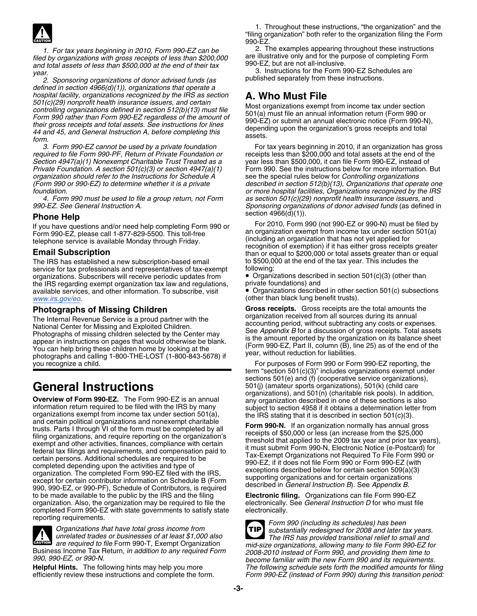

*filed by organizations with gross receipts of less than \$200,000* are illustrative only and for the purpose of less than \$500,000 at the end formed Formed Formed Formed Formed Tormed Tormed Tormed Tormed Tormed Tormed Tor and total assets of less than \$500,000 at the end of their tax

2. Sponsoring organizations of donor advised funds (as *defined in section 4966(d)(1)), organizations that operate a hospital facility, organizations recognized by the IRS as section* **A. Who Must File** 501(c)(29) nonprofit health insurance issuers, and certain<br>controlling organizations defined in section 512(b)(13) must file<br>Form 990 rather than Form 990-EZ regardless of the amount of<br>their gross receipts and total asset

required to file Form 990-PF, Return of Private Foundation or *Section 4947(a)(1) Nonexempt Charitable Trust Treated as a* year less than \$500,000, it can file Form 990-EZ, instead of *organization should refer to the Instructions for Schedule A* (Form 990 or 990-EZ) to determine whether it is a private

*4. Form 990 must be used to file a group return, not Form as section 501(c)(29) nonprofit health insurance issuers*, and

The IRS has established a new subscription-based email to \$500,000 at the end of the tax year. This includes the service for tax professionals and representatives of tax-exempt following: service for tax professionals and representatives of tax-exempt following:<br>organizations. Subscribers will receive periodic updates from **•** Organizations described in section 501(c)(3) (other than organizations. Subscribers will receive periodic updates from **•** Organizations describe<br>the IRS regarding exempt organization tax law and regulations. Private foundations) and the IRS regarding exempt organization tax law and regulations, private foundations) and<br>available services, and other information. To subscribe, visit • Organizations described in other section 501(c) subsections available services, and other information. To subscribe, visit *[www.irs.gov/eo](http://www.irs.gov/eo)*. (other than black lung benefit trusts).

The Internal Revenue Service is a proud partner with the<br>
National Center for Missing and Exploited Children.<br>
Photographs of missing children selected by the Center may<br>
appear in instructions on pages that would otherwis you recognize a child. For purposes of Form 990 or Form 990-EZ reporting, the

**Overview of Form 990-EZ.** The Form 990-EZ is an annual information return required to be filed with the IRS by many subject to section 4958 if it obtains a determination letter from organizations exempt from income tax u to be made available to the public by the IRS and the filing **Electronic filing.** Organizations can file Form 990-EZ<br>organization. Also, the organization may be required to file the electronically. See *General Instruction* organization. Also, the organization may be required to file the completed Form 990-EZ with state governments to satisfy state electronically.



are required to file Form 990-T, Exempt Organization<br> **EXEMPLE 2018**<br> **EXEMPLE 2019**<br> **EXEMPLE OR ALL STATES 2019** 

1. Throughout these instructions, "the organization" and the "filing organization" both refer to the organization filing the Form 990-EZ.

*1. For tax years beginning in 2010, Form 990-EZ can be* 2. The examples appearing throughout these instructions

*year.* 3. Instructions for the Form 990-EZ Schedules are<br>year. 3. Instructions for the Form 990-EZ Schedules are<br>2. Sponsoring organizations of donor advised funds (as published separately from these instructions.

*3. Form 990-EZ cannot be used by a private foundation* For tax years beginning in 2010, if an organization has gross<br>
uired to file Form 990-PF, Return of Private Foundation or Freceipts less than \$200,000 and total asset *Private Foundation. A section 501(c)(3) or section 4947(a)(1)* Form 990. See the instructions below for more information. But organizations or *Controlling organizations (Form 990 or 990-EZ) to determine whether it is a private described in section 512(b)(13)*, *Organizations that operate one foundation. or more hospital facilities, Organizations recognized by the IRS* Sponsoring organizations of donor advised funds (as defined in

**Phone Help**<br>
If you have questions and/or need help completing Form 990 or<br>
For 2010, Form 990 (not 990-EZ or 990-N) must be filed by<br>
For 2010, Form 990 (not 990-EZ or 990-N) must be filed by<br>
Email Subscription<br>
Email S

**Photographs of Missing Children Gross receipts.** Gross receipts are the total amounts the **Gross** receipts are the total amounts the **Gross** receipts are the total amounts the **Gross** receipts are the total amounts the

term "section 501(c)(3)" includes organizations exempt under sections 501(e) and (f) (cooperative service organizations), General Instructions<br> **General** Instructions<br> **General Instructions**<br> **General Instructions**<br> **General Instructions**<br> **General Instructions** 

reporting requirements.<br>Organizations that have total gross income from<br>ITIP substantially redesigned for 2008 and later tax years.<br>The IRS has provided transitional relief to small and **TIP** are required to the Form 990-1, Exempt Organization<br>Business Income Tax Return, in addition to any required Form<br>990, 990-EZ, or 990-N.<br>Helpful Hints. The following hints may help you more<br>Helpful Hints. The following hint **Helpful Hints.** The following hints may help you more *The following schedule sets forth the modified amounts for filing* Form 990-EZ (instead of Form 990) during this transition period: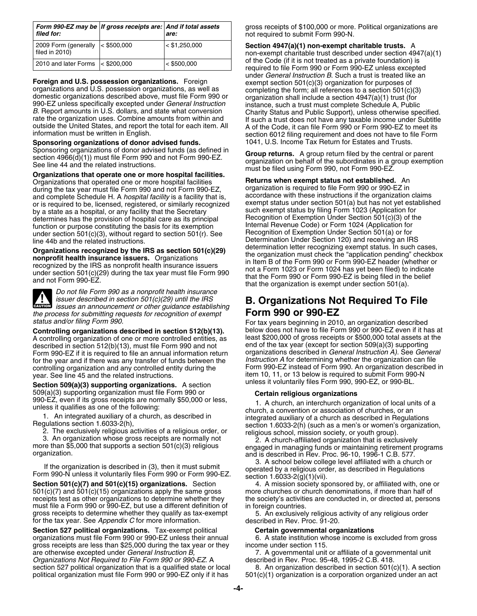| filed for:                                            | Form 990-EZ may be   If gross receipts are: And if total assets | are:            |
|-------------------------------------------------------|-----------------------------------------------------------------|-----------------|
| 2009 Form (generally < \$500,000<br>filed in $2010$ ) |                                                                 | $<$ \$1,250,000 |
| 2010 and later Forms < \$200,000                      |                                                                 | < \$500,000     |

Organizations that operated one or more hospital facilities **Returns when exempt status not established.** An Organization is required to file Form 990 or 990-EZ in during the tax year must file Form 990 and not Form 990-EZ,<br>and complete Schedule H, A *hospital facility* is a facility that is a accordance with these instructions if the organization claims and complete Schedule H. A *hospital facility* is a facility that is, accordance with these instructions if the organization claims or is required to be, licensed, registered, or similarly recognized exempt status under section 501(a) but has not yet esta<br>by a state as a hospital, or any facility that the Secretary such exempt status by filing Form 102 by a state as a hospital, or any facility that the Secretary such exempt status by filing Form 1023 (Application for<br>determines has the provision of hospital care as its principal Recognition of Exemption Under Section 501 determines has the provision of hospital care as its principal Becognition of Exemption Under Section 501(c)(3) of t<br>function or purpose constituting the basis for its exemption Bellet Revenue Code) or Form 1024 (Applicati function or purpose constituting the basis for its exemption Funder and Revenue Code) or Form 1024 (Application for<br>Hecognition of Exemption Under Section 501(a) or for purpose the constraint of the basis of the section 50 under section  $501(c)(3)$ , without regard to section  $501(r)$ . See

**CAUTION !**

*Do not file Form 990 as a nonprofit health insurance the process for submitting requests for recognition of exempt status and/or filing Form 990.* 

A controlling organization of one or more controlled entities, as least \$200,000 of gross receipts or \$500,000 total assets at described in section 512(b)(13), must file Form 990 and not end of the tax year (except for sec described in section 512(b)(13), must file Form 990 and not end of the tax year (except for section 509(a)(3) supporting<br>Form 990-FZ if it is required to file an annual information return organizations described in *Genera* Form 990-EZ if it is required to file an annual information return organizations described in *General Instruction A).* See *General* controlling organization and any controlled entity during the year. See line 45 and the related instructions.

**Section 509(a)(3) supporting organizations.** A section 509(a)(3) supporting organization must file Form 990 or  $990-EZ$ , even if its gross receipts are normally \$50,000 or less,<br>  $990-EZ$ , even if its gross receipts are normally \$50,000 or less,<br>  $1.$  A church, an interchurch organization of local units of a<br>  $2.$  A church, a conven

501(c)(7) and 501(c)(15) organizations apply the same gross more churches or church denominations, if more than half of receipts test as other organizations to determine whether they the society's activities are conducted in, or directed at, persons must file a Form 990 or 990-EZ, but use a different definition of in foreign countries. gross receipts to determine whether they qualify as tax-exempt 5. An exclusively religious activity of any religious order for the tax year. See Appendix C for more information. for the tax year. See *Appendix C* for more information.

**Section 527 political organizations.** Tax-exempt political **Certain governmental organizations**<br>
organizations must file Form 990 or 990-EZ unless their annual 6. A state institution whose income is excluded from gross organizations must file Form 990 or 990-EZ unless their annual gross receipts are less than \$25,000 during the tax year or they income under section 115.<br>are otherwise excepted under *General Instruction B*, 7. A governmental unit *Organizations Not Required to File Form 990 or 990-EZ*. A described in Rev. Proc. 95-48, 1995-2 C.B. 418.<br>
Section 527 political organization that is a qualified state or local 8. An organization described in section 501( section 527 political organization that is a qualified state or local political organization must file Form 990 or 990-EZ only if it has

*Form 990-EZ may be If gross receipts are: And if total assets* gross receipts of \$100,000 or more. Political organizations are *filed for: are:* not required to submit Form 990-N.

Section 4947(a)(1) non-exempt charitable trusts. A non-exempt charitable trust described under section  $4947(a)(1)$ of the Code (if it is not treated as a private foundation) is required to file Form 990 or Form 990-EZ unless excepted under *General Instruction B*. Such a trust is treated like an Foreign and U.S. possession organizations. Foreign exempt section 501(c)(3) organization for purposes of<br>organizations and U.S. possession organizations, as well as<br>domestic organizations described above, must file Form 99 **Sponsoring organizations of donor advised funds.** 1041, U.S. Income Tax Return for Estates and Trusts.

Sponsoring organizations of donor advised funds (as defined in<br>section 4966(d)(1)) must file Form 990 and not Form 990-EZ.<br>See line 44 and the related instructions.<br>**Organizations that operate one or more hospital facilit** 

line 44b and the related instructions.<br> **Consider the UPS as soction 501(c)(20)** determination letter recognizing exempt status. In such cases, **Organizations recognized by the IRS as section 501(c)(29)**<br> **Comprofit health insurance issuers.** Organizations<br> **Comprofit health insurance issuers**<br>
in Item B of the Form 990 or Form 990-EZ header (whether or<br>
under se

# *issuer described in section 501(c)(29) until the IRS* **B. Organizations Not Required To File** *issues an announcement or other guidance establishing*

For tax years beginning in 2010, an organization described **Controlling organizations described in section 512(b)(13).** below does not have to file Form 990 or 990-EZ even if it has at for the year and if there was any transfer of funds between the *Instruction A* for determining whether the organization can file item 10, 11, or 13 below is required to submit Form 990-N unless it voluntarily files Form 990, 990-EZ, or 990-BL.

1. An integrated auxiliary of a church, as described in<br>
Regulations section 1.6033-2(h),<br>
2. The exclusively religious activities of a religious order, or<br>
3. An organization whose gross receipts are normally not<br>
more th

If the organization is described in (3), then it must submit<br>Form 990-N unless it voluntarily files Form 990 or Form 990-EZ.<br>Section 501(c)(7) and 501(c)(15) organizations. Section 1.6033-2(g)(1)(vii).<br>Section 501(c)(7) an

**Section 501(c)(7) and 501(c)(15) organizations.** Section 4. A mission society sponsored by, or affiliated with, one or

7. A governmental unit or affiliate of a governmental unit

 $501(c)(1)$  organization is a corporation organized under an act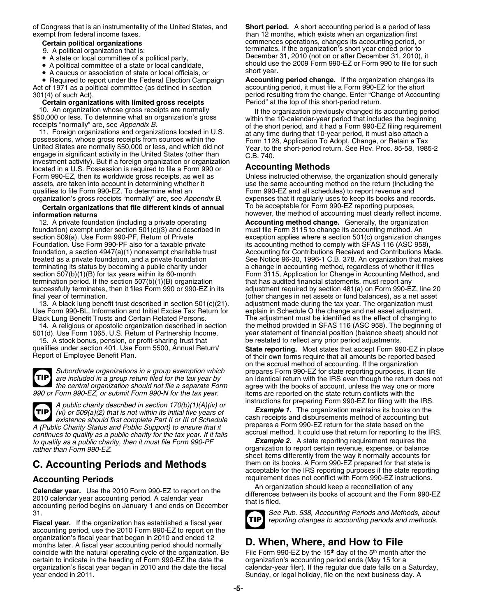of Congress that is an instrumentality of the United States, and **Short period.** A short accounting period is a period of less exempt from federal income taxes. than 12 months, which exists when an organization first

- A state or local committee of a political party
- A political committee of a state or local candidate,
- A caucus or association of state or local officials, or short year.

Act of 1971 as a political committee (as defined in section accounting period, it must file a Form 990-EZ for the short

### **Certain organizations with limited gross receipts**

investment activity). But if a foreign organization or organization located in a U.S. Possession is required to file a Form 990 or **Accounting Methods** assets, are taken into account in determining whether it use the same accounting method on the return (including the qualifies to file Form 990-EZ. To determine what an  $\blacksquare$ 

### **Certain organizations that file different kinds of annual** however, the method of accounting must clearly reflect income. **information returns**

12. A private foundation (including a private operating **Accounting method change.** Generally, the organization foundation) exempt under section  $501(c)(3)$  and described in terminating its status by becoming a public charity under termination period. If the section  $507(b)(1)(B)$  organization

Use Form 990-BL, Information and Initial Excise Tax Return for Black Lung Benefit Trusts and Certain Related Persons. The adjustment must be identified as the effect of changing to

15. A stock bonus, pension, or profit-sharing trust that

**TIP**

**TIP**

A public charity described in section 170(b)(1)(A)(iv) or<br>
(vi) or 509(a)(2) that is not within its initial five years of<br>
(vi) or 509(a)(2) that is not within its initial five years of<br>
eash receipts and disbursements me A (Public Charity Status and Public Support) to ensure that it<br>continues to qualify as a public charity for the tax year. If it fails accrual method. It could use that return for reporting to the IRS.<br>to qualify as a publi

*to qualify as a public charity, then it must file Form 990-PF rather than Form 990-PF* 

Calendar year. Use the 2010 Form 990-EZ to report on the<br>2010 calendar year accounting period. A calendar year differences between its books of account and the Form 990-EZ<br>accounting period begins on January 1 and ends on

**Fiscal year.** If the organization has established a fiscal year. accounting period, use the 2010 Form 990-EZ to report on the organization's fiscal year that began in 2010 and ended 12 organization's liscal year that began in 2010 and ended 12<br>months later. A fiscal year accounting period should normally **D. When, Where, and How to File**<br>coincide with the natural operating cycle of the organization. Be F coincide with the natural operating cycle of the organization. Be<br>
certain to indicate in the heading of Form 990-EZ the date the organization's accounting period ends (May 15 for a certain to indicate in the heading of Form 990-EZ the date the organization's fiscal year began in 2010 and the date the fiscal calendar-year filer). If the regular due date falls on a Saturday,<br>Sunday, or legal holiday, file on the next business day. A

**Certain political organizations** commences operations, changes its accounting period, or 9. A political organization that is: the organization's short year ended prior to December 31, 2010 (not on or after December 31, 2010), it should use the 2009 Form 990-EZ or Form 990 to file for such short year.

• Required to report under the Federal Election Campaign **Accounting period change.** If the organization changes its 301(4) of such Act).<br> **Certain organizations with limited gross receipts** period resulting from the change. Enter "Change of Accounting<br>
Period" at the top of this short-period return.

10. An organization whose gross receipts are normally<br>
\$50,000 or less. To determine what an organization's gross<br>
receipts "normally" are, see *Appendix B*.<br>
11. Foreign organizations and organizations located in U.S.<br>
po

Unless instructed otherwise, the organization should generally Form 990-EZ and all schedules) to report revenue and organization's gross receipts "normally" are, see *Appendix B*. expenses that it regularly uses to keep its books and records.

section 509(a). Use Form 990-PF, Return of Private exception applies where a section 501(c) organization changes<br>Foundation. Use Form 990-PF also for a taxable private excounting method to comply with SFAS 116 (ASC 958), its accounting method to comply with SFAS 116 (ASC 958), foundation, a section 4947(a)(1) nonexempt charitable trust Accounting for Contributions Received and Contributions Made. treated as a private foundation, and a private foundation<br>terminating its status by becoming a public charity under a change in accounting method, regardless of whether it files section 507(b)(1)(B) for tax years within its 60-month Form 3115, Application for Change in Accounting Method, and<br>termination period. If the section 507(b)(1)(B) organization that has audited financial statements, must re successfully terminates, then it files Form 990 or 990-EZ in its adjustment required by section 481(a) on Form 990-EZ, line 20 final year of termination.<br>13. A black lung benefit trust described in section 501(c)(21). adjustment made during the tax year. The organization must 13. A black lung benefit trust described in section 501(c)(21). adjustment made during the tax year. The organization must<br>se Form 990-BL, Information and Initial Excise Tax Return for explain in Schedule O the change and 14. A religious or apostolic organization described in section the method provided in SFAS 116 (ASC 958). The beginning of 501(d). Use Form 1065, U.S. Return of Partnership Income. year statement of financial position (bal year statement of financial position (balance sheet) should not<br>be restated to reflect any prior period adjustments.

qualifies under section 401. Use Form 5500, Annual Return/ **State reporting.** Most states that accept Form 990-EZ in place Report of Employee Benefit Plan. **by a state report of their own forms require that all amounts be** on the accrual method of accounting. If the organization *Subordinate organizations in a group exemption which* prepares Form 990-EZ for state reporting purposes, it can file *are included in a group return filed for the tax year by* an identical return with the IRS even though the return does not *the central organization should not file a separate Form* agree with the books of account, unless the way one or more<br>1990 or Form 990-EZ, or submit Form 990-N for the tax year. items are reported on the state return conf *items are reported on the state return conflicts with the* 

organization to report certain revenue, expense, or balance sheet items differently from the way it normally accounts for **C. Accounting Periods and Methods** them on its books. A Form 990-EZ prepared for that state is acceptable for the IRS reporting purposes if the state reporting

**Accounting Periods**<br>**An organization should keep a reconciliation of any**<br>**An organization should keep a reconciliation of any** 



31.<br>**Fiscal vear** If the organization has established a fiscal vear **TIP** *See Pub. 538, Accounting Periods and Methods, about*<br>**Fiscal vear** If the organization has established a fiscal vear

Sunday, or legal holiday, file on the next business day. A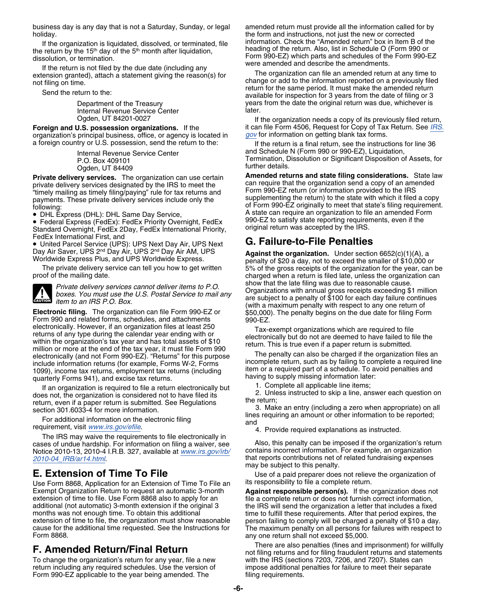business day is any day that is not a Saturday, Sunday, or legal amended return must provide all the information called for by

Internal Revenue Service Center

**Foreign and U.S. possession organizations.** If the organization's principal business, office, or agency is located in *[gov](http://www.irs.gov)* for information on getting blank tax forms.

**Private delivery services.** The organization can use certain **Amended returns and state filling considerations.** State law<br>Drivate delivery services designated by the IRS to meet the scan require that the organization sen private delivery services designated by the IRS to meet the can require that the organization send a copy of an ame<br>Form 990-EZ return (or information provided to the IRS") in the IRS" Form 990-EZ return (or information pr

• DHL Express (DHL): DHL Same Day Service,

• Federal Express (FedEx): FedEx Priority Overnight, FedEx  $\qquad 990$ -EZ to satisfy state reporting requirements, even if the Standard Overnight, FedEx 2Day, FedEx International Priority, original return was accepted by the IRS. FedEx International First, and

• United Parcel Service (UPS): UPS Next Day Air, UPS Next **G. Failure-to-File Penalties**



**Electronic filing.** The organization can file Form 990-EZ or  $\hat{\$}50,000$ . The penalty begins on the due date for filing Form Form 990 and related forms, schedules, and attachments  $990 - EZ$ . electronically. However, if an organization files at least 250<br>
returns of any type during the calendar year ending with or<br>
within the organization's tax year and has total assets of \$10<br>
million or more at the end of the

If an organization is required to file a return electronically but<br>does not, the organization is considered not to have filed its<br>return, even if a paper return is submitted. See Regulations<br>section 301.6033-4 for more inf

The IRS may waive the requirements to file electronically in cases of undue hardship. For information on filing a waiver, see Also, this penalty can be imposed if the organization's return<br>Notice 2010-13, 2010-4 I.R.B. 327, available at *www.irs.gov/irb/* contains incorrect informat Notice 2010-13, 2010-4 I.R.B. 327, available at *[www.irs.gov/irb/](http://www.irs.gov/irb/2010-04_IRB/ar14.html) [2010-04\\_IRB/ar14.html](http://www.irs.gov/irb/2010-04_IRB/ar14.html)*. that reports contributions net of related fundraising expenses

Use Form 8868, Application for an Extension of Time To File an its responsibility for an its return. extension of time to file. Use Form 8868 also to apply for an file a complete return or does not furnish correct information, additional (not automatic) 3-month extension if the original 3 the IRS will send the organizatio additional (not automatic) 3-month extension if the original 3 the IRS will send the organization a letter that includes a fixed months was not enough time. To obtain this additional time to fulfill these requirements. Aft months was not enough time. To obtain this additional time to fulfill these requirements. After that period expires, the extension of time to file, the organization must show reasonable person failing to comply will be cha extension of time to file, the organization must show reasonable person failing to comply will be charged a penalty of \$10 a day.<br>cause for the additional time requested. See the Instructions for The maximum penalty on all cause for the additional time requested. See the Instructions for The maximum penalty on all persons for failures with respect to

To change the organization's return for any year, file a new with the IRS (sections 7203, 7206, and 7207). States can Form 990-EZ applicable to the year being amended. The

holiday.<br>If the organization is liquidated dissolved or terminated file information. Check the "Amended return" box in Item B of the

If the organization is liquidated, dissolved, or terminated, file information. Check the "Amended return" box in Item B of the<br>the return by the 15<sup>th</sup> day of the 5<sup>th</sup> month after liquidation,<br>dissolution, or termination. Department of the Treasury example and the date the original return was due, whichever is<br>Internal Bevenue Service Center and Supplement and later.

Ogden, UT 84201-0027 **If the organization needs a copy of its previously filed return,**<br>J.S. possession organizations. If the **it can file Form 4506, Request for Copy of** Tax Return. See IRS.

a foreign country or U.S. possession, send the return to the: If the return is a final return, see the instructions for line 36 Internal Revenue Service Center **Access 18 Container M** (Form 990 or 990-EZ), Liquidation, P.O. Box 409101 Termination, Dissolution or Significant Disposition of Assets, for<br>Coden UT 84409

Ogden, UT 84409<br>ry services The organization can use certain **Amended returns and state filing considerations.** State law "timely mailing as timely filing/paying" rule for tax returns and Form 990-EZ return (or information provided to the IRS payments. These private delivery services include only the supplementing the return) to the state with which it filed a copy<br>following: of Form 990-EZ originally to meet that state's filing requirement. A state can require an organization to file an amended Form<br>990-EZ to satisfy state reporting requirements, even if the

Day Air Saver, UPS 2<sup>nd</sup> Day Air, UPS 2<sup>nd</sup> Day Air AM, UPS<br>Worldwide Express Plus, and UPS Worldwide Express.<br>The private delivery service can tell you how to get written 5% of the gross receipts of the organization for t 5% of the gross receipts of the organization for the year, can be proof of the mailing date. charged when a return is filed late, unless the organization can Private delivery services cannot deliver items to P.O.<br>boxes. You must use the U.S. Postal Service to mail any<br>item to an IRS P.O. Box.<br>item to an IRS P.O. Box.<br>(with a maximum penalty with respect to any one return of

may be subject to this penalty.

**E. Extension of Time To File** Use of a paid preparer does not relieve the organization of<br>Use Form 8868, Application for an Extension of Time To File an its responsibility to file a complete return.

Against responsible person(s). If the organization does not any one return shall not exceed \$5,000.

There are also penalties (fines and imprisonment) for willfully **F. Amended Return/Final Return**<br>not filing returns and for filing fraudulent returns and statements return including any required schedules. Use the version of impose additional penalties for failure to meet their separate<br>Form 990-EZ applicable to the year being amended. The filing requirements.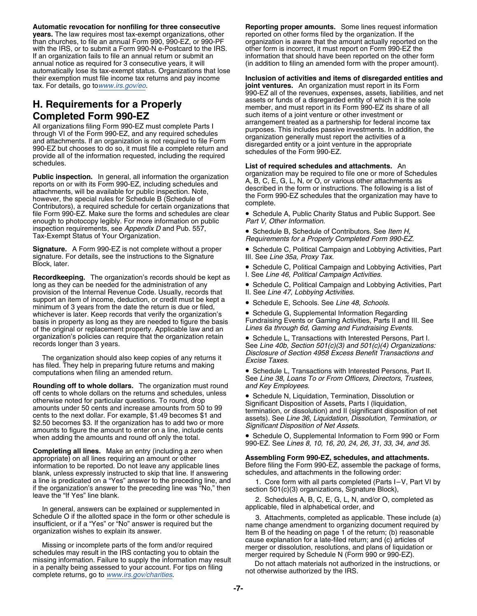**Automatic revocation for nonfiling for three consecutive Reporting proper amounts.** Some lines request information **years.** The law requires most tax-exempt organizations, other reported on other forms filed by the organization. If the than churches, to file an annual Form 990, 990-EZ, or 990-PF organization is aware that the amount ac with the IRS, or to submit a Form 990-N e-Postcard to the IRS. other form is incorrect, it must report on Form 990-EZ the If an organization fails to file an annual return or submit an information that should have been reported on the other form<br>in addition to filing an amended form with the proper amount automatically lose its tax-exempt status. Organizations that lose

All organizations filing Form 990-EZ must complete Parts I arrangement treated as a partnership for federal income tax<br>through VI of the Form 990-EZ, and any required schedules<br>and attachments. If an organization is not re schedules. **List of required schedules and attachments.** An

**Public inspection.** In general, all information the organization organization may be required to file one or more of Schedules reports on or with its Form 990-EZ, including schedules and attachments, will be available for file Form 990-EZ. Make sure the forms and schedules are clear • Schedule A, Public Charity Status and Public Support. See<br>enough to photocopy legibly. For more information on public Part V, Other Information. enough to photocopy legibly. For more information on public inspection requirements, see *Appendix D* and Pub. 557,<br>
Tax-Exempt Status of Your Organization.<br> *Bequirements for a Properly Completed Form 990-E3* 

signature. For details, see the instructions to the Signature Block, later.

**Recordkeeping.** The organization's records should be kept as <br>long as they can be needed for the administration of any **Cambel Constant Campaign** and Lobb provision of the Internal Revenue Code. Usually, records that support an item of income, deduction, or credit must be kept a • Schedule E, Schools. See Line 48, Schools. minimum of 3 years from the date the return is due or filed,<br>whichever is later. Keep records that verify the organization's **Collegeant C**, Supplemental Information Regarding whichever is later. Keep records that verify the organization's basis in property as long as they are needed to figure the basis Fundraising Events or Gaming Activities, Parts II and III. See of the original or replacement property. Applicable law and an Lines 6a through 6d, Gaming and of the original or replacement property. Applicable law and an *Lines 6a through 6d, Gaming and Fundraising Events*. organization's policies can require that the organization retain . Schedule L, Transactions with Interested Persons, Part I.

*Disclosure of Section 4958 Excess Benefit Transactions and* The organization should also keep copies of any returns it *Excise Taxes*. has filed. They help in preparing future returns and making computations when filing an amended return. • Schedule L, Transactions with Interested Persons, Part II.

**Rounding off to whole dollars.** The organization must round *and Key Employees*. off cents to whole dollars on the returns and schedules, unless <br>otherwise noted for particular questions. To round, drop Significant Disposition of Assets Parts I (liquidation on certis to whole dorurals on the returns and scriedules, unless<br>
a Schedule N, Liquidation, Termination, Dissolution or<br>
amounts inder 50 cents and increase amounts from 50 to 99<br>
cents to the next dollar. For example, \$ amounts to figure the amount to enter on a line, include cents<br>when adding the amounts and round off only the total.<br>Schedule O, Supplemental Information to Form 990 or Form

**Completing all lines.** Make an entry (including a zero when appropriate) on all lines requiring an amount or other **Assembling Form 990-EZ, schedules, and attachments.**<br>
information to be reported. Do not leave any applicable lines Before filing the Form 990-EZ, assemble the packag blank, unless expressly instructed to skip that line. If answering a line is predicated on a "Yes" answer to the preceding line, and a line is predicated on a "Yes" answer to the preceding line, and  $\begin{array}{r} 1. \text{ Core form with all parts completed (Parts I–V, Part VI by }\\ \text{if the organization's answer to the preceding line was "No," then }\\ \text{leave the "If Yes" line blank.}\end{array}$ <br>
Leave the "If Yes" line blank.<br>
Leave the "If Yes" line blank.<br>
Leave the "If Yes" l

In general, answers can be explained or supplemented in

Missing or incomplete parts of the form and/or required<br>schedules may result in the IRS contacting you to obtain the<br>missing information. Failure to supply the information may result<br>in a penalty being assessed to your acc

organization is aware that the amount actually reported on the (in addition to filing an amended form with the proper amount).

their exemption must file income tax returns and pay income **Inclusion of activities and items of disregarded entities and**<br> **Inclusion of activities and items of disregarded entities and propertion in the form**<br> **joint ve** joint ventures. An organization must report in its Form 990-EZ all of the revenues, expenses, assets, liabilities, and net assets or funds of a disregarded entity of which it is the sole **H. Requirements for a Properly** member, and must report in its Form 990-EZ its share of all **Completed Form 990-EZ** such items of a joint venture or other investment or<br>All prespirations filing Form 000 EZ must complete Pertal as a parangement treated as a partnership for federal income tax

Schedule B, Schedule of Contributors. See *Item H,* Tax-Exempt Status of Your Organization. *Requirements for a Properly Completed Form 990-EZ.*

**Signature.** A Form 990-EZ is not complete without a proper • Schedule C, Political Campaign and Lobbying Activities, Part signature. For details, see the instructions to the Signature III. See Line 35a, Proxy Tax.

• Schedule C, Political Campaign and Lobbying Activities, Part

**• Schedule C, Political Campaign and Lobbying Activities, Part II. See Line 47, Lobbying Activities.** 

records longer than 3 years. The *Schedule Line 40b, See Line 40b, Section 501(c)(3) and 501(c)(4) Organizations:* 

See *Line 38, Loans To or From Officers, Directors, Trustees,*

990-EZ. See *Lines 8, 10, 16, 20, 24, 26, 31, 33, 34, and 35*.

Before filing the Form 990-EZ, assemble the package of forms, schedules, and attachments in the following order:

Schedule O if the allotted space in the form or other schedule is and the metal of the schedule is insufficient, or if a "Yes" or "No" answer is required but the originization wishes to explain its answer.<br>
These include (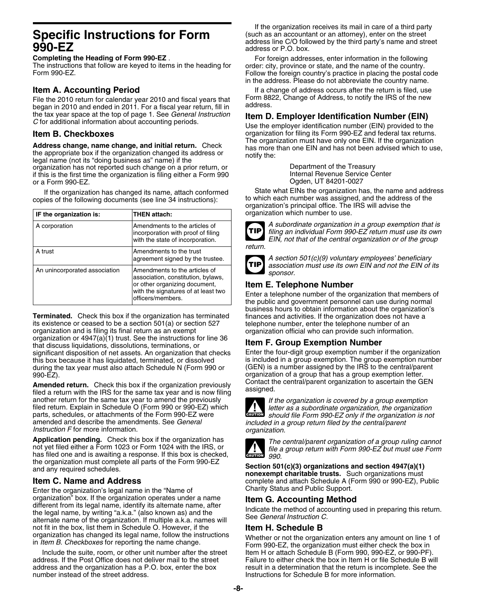The instructions that follow are keyed to items in the heading for<br>Form 990-EZ.

File the 2010 return for calendar year 2010 and fiscal years that Form 88<sup>2</sup><br>began in 2010 and anded in 2011, For a fiscal year return, fill in address, began in 2010 and ended in 2011. For a fiscal year return, fill in the tax year space at the top of page 1. See General Instruction the tax year space at the top of page 1. See *General Instruction* **Item D. Employer Identification Number (EIN)**<br>C for additional information about accounting periods. Use the employer identification number (EIN) provided

**Address change, name change, and initial return.** Check<br>the appropriate box if the organization changed its address or<br>legal name (not its "doing business as" name) if the<br>organization has not reported such change on a pr organization has not reported such change on a prior return, or **Department of the Treasury**<br>
Internal Revenue Service Center<br>
Internal Revenue Service Center if this is the first time the organization is filing either a Form 990 or a Form 990-EZ. **Ogden, UT 84201-0027** 

copies of the following documents (see line 34 instructions):

| IF the organization is:       | <b>THEN attach:</b>                                                                                                                                              |
|-------------------------------|------------------------------------------------------------------------------------------------------------------------------------------------------------------|
| A corporation                 | Amendments to the articles of<br>incorporation with proof of filing<br>with the state of incorporation.                                                          |
| A trust                       | Amendments to the trust<br>agreement signed by the trustee.                                                                                                      |
| An unincorporated association | Amendments to the articles of<br>association, constitution, bylaws,<br>or other organizing document,<br>with the signatures of at least two<br>officers/members. |

**Terminated.** Check this box if the organization has terminated finances and activities. If the organization does not have a its existence or ceased to be a section 501(a) or section 527 telephone number, enter the telepho its existence or ceased to be a section  $501(a)$  or section  $527$  organization and is filing its final return as an exempt organization or 4947(a)(1) trust. See the instructions for line 36 **Item F. Group Exemption Number**<br>that discuss liquidations, dissolutions, terminations, or **Item F. Group Exemption Number**<br>significant disposition of net significant disposition of net assets. An organization that checks this box because it has liquidated, terminated, or dissolved is included in a group exemption. The group exemption number<br>during the tax year must also attach Schedule N (Form 990 or (GEN) is a number assigned by the IRS t during the tax year must also attach Schedule N (Form 990 or 990-EZ).

**Amended return.** Check this box if the organization previously **Contact the GEN COLL**<br>filed a return with the IRS for the same tax year and is now filing assigned. another return for the same tax year to amend the previously<br>filed return. Explain in Schedule O (Form 990 or 990-EZ) which<br>parts, schedules, or attachments of the Form 990-EZ were<br>should file Form 990-EZ only if the organ parts, schedules, or attachments of the Form 990-EZ were **should file Form 990-EZ** only if the organization is not<br>amended and describe the amendments. See *General* and *included in a group return filed by the central/par Instruction F* for more information. *organization.*

Application pending. Check this box if the organization has<br>not yet filed either a Form 1023 or Form 1024 with the IRS, or<br>has filed one and is awaiting a response. If this box is checked,<br>the organization must complete al

Enter the organization's legal name in the "Name of Charity Status and Public Support. organization" box. If the organization operates under a name<br>
different from its legal name, identify its alternate name, after<br>
the legal name, by writing "a.k.a." (also known as) and the<br>
alternate name of the organizati not fit in the box, list them in Schedule O. However, if the **Item H. Schedule B**

address. If the Post Office does not deliver mail to the street Failure to either check the box in Item H or file Schedule B will address and the organization has a P.O. box, enter the box result in a determination that the return is incomplete. See the number instead of the street address.

If the organization receives its mail in care of a third party **Specific Instructions for Form** (such as an accountant or an attorney), enter on the street address line C/O followed by the third party's name and street address or P.O. box. address line C/O followed by the third party's name and street address or P.O. box.

**Completing the Heading of Form 990-EZ** .<br>The instructions that follow are keyed to items in the heading for order: city, province or state, and the name of the country. Follow the foreign country's practice in placing the postal code in the address. Please do not abbreviate the country name.

**Item A. Accounting Period**<br>File the 2010 return for calendar year 2010 and fiscal years that Form 8822, Change of Address, to notify the IRS of the new

**Item B. Checkboxes**<br>**Item B. Checkboxes** organization for filing its Form 990-EZ and federal tax returns.<br>Address change approximately returns. Check The organization must have only one EIN. If the organization

If the organization has changed its name, attach conformed State what EINs the organization has, the name and address<br>ies of the following documents (see line 34 instructions): to which each number was assigned, and the ad organization's principal office. The IRS will advise the **IF the organization which number to use.** 



A subordinate organization in a group exemption that is filing an individual Form 990-EZ return must use its own EIN, not that of the central organization or of the group



A section 501(c)(9) voluntary employees' beneficiary *association must use its own EIN and not the EIN of its sponsor.* 

**Item E. Telephone Number**<br>Enter a telephone number of the organization that members of<br>the public and government personnel can use during normal business hours to obtain information about the organization's organization official who can provide such information.

organization of a group that has a group exemption letter.<br>Contact the central/parent organization to ascertain the GEN



included in a group return filed by the central/parent



the organization must complete all parts of the Form 990-EZ **Section 501(c)(3) organizations and section 4947(a)(1)**<br>**nonexempt charitable trusts.** Such organizations must<br>**nonexempt charitable trusts.** Such organizations complete and attach Schedule A (Form 990 or 990-EZ), Public

organization has changed its legal name, follow the instructions<br>in *Item B. Checkboxes* for reporting the name change.<br>Include the suite, room, or other unit number after the street<br>Include the suite, room, or other unit Item H or attach Schedule B (Form 990, 990-EZ, or 990-PF). Instructions for Schedule B for more information.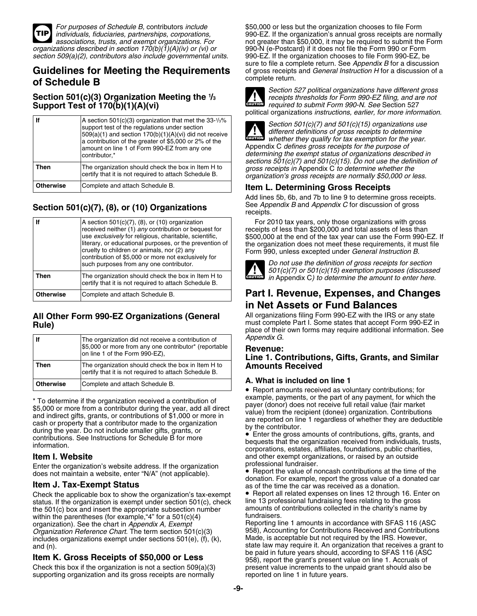

# of Schedule B

**Section 501(c)(3) Organization Meeting the <sup>1</sup>**

| lf               | A section 501(c)(3) organization that met the $33-1/3\%$<br>support test of the regulations under section<br>$509(a)(1)$ and section $170(b)(1)(A)(vi)$ did not receive<br>a contribution of the greater of \$5,000 or 2% of the<br>amount on line 1 of Form 990-EZ from any one<br>contributor,* |
|------------------|---------------------------------------------------------------------------------------------------------------------------------------------------------------------------------------------------------------------------------------------------------------------------------------------------|
| Then             | The organization should check the box in Item H to<br>certify that it is not required to attach Schedule B.                                                                                                                                                                                       |
| <b>Otherwise</b> | Complete and attach Schedule B.                                                                                                                                                                                                                                                                   |

## Section 501(c)(7), (8), or (10) Organizations **Section 501(c)**(7), (8), or (10) Organizations

| lf               | A section $501(c)(7)$ , (8), or (10) organization<br>received neither (1) any contribution or bequest for<br>use exclusively for religious, charitable, scientific,<br>literary, or educational purposes, or the prevention of<br>cruelty to children or animals, nor (2) any<br>contribution of \$5,000 or more not exclusively for<br>such purposes from any one contributor. |
|------------------|---------------------------------------------------------------------------------------------------------------------------------------------------------------------------------------------------------------------------------------------------------------------------------------------------------------------------------------------------------------------------------|
| Then             | The organization should check the box in Item H to<br>certify that it is not required to attach Schedule B.                                                                                                                                                                                                                                                                     |
| <b>Otherwise</b> | Complete and attach Schedule B.                                                                                                                                                                                                                                                                                                                                                 |

| lf               | The organization did not receive a contribution of<br>\$5,000 or more from any one contributor* (reportable<br>on line 1 of the Form 990-EZ), |
|------------------|-----------------------------------------------------------------------------------------------------------------------------------------------|
| Then             | The organization should check the box in Item H to<br>certify that it is not required to attach Schedule B.                                   |
| <b>Otherwise</b> | Complete and attach Schedule B.                                                                                                               |

\* To determine if the organization received a contribution of<br>
\$5,000 or more from a contributor during the year, add all direct<br>
and indirect gifts, grants, or contributions of \$1,000 or more in<br>
cash or property that a during the year. Do not include smaller gifts, grants, or<br>contributions. See Instructions for Schedule B for more<br>information.<br>information.<br>corporations, estates, affiliates, foundations, public charities,

Enter the organization's website address. If the organization<br>does not maintain a website, enter "N/A" (not applicable).<br>• Report the value of noncash contributions at the time of the

Check the applicable box to show the organization's tax-exempt  $\bullet$  Report all related expenses on lines 12 through 16. Enter on status. If the organization is exempt under section 501(c), check line 13 professional fundr status. If the organization is exempt under section 501(c), check line 13 professional fundraising fees relating to the gross<br>the 501(c) box and insert the appropriate subsection number amounts of contributions collected i the 501(c) box and insert the appropriate subsection number amounts of within the parentheses (for example "4" for a 501(c)(4) fundraisers. within the parentheses (for example, "4" for a  $501(c)(4)$ organization). See the chart in *Appendix A, Exempt* (Stephan Reporting line 1 amounts in accordance with SFAS 116 (ASC<br>Craanization Reference Chart. The term section 501(c)(3) 958), Accounting for Contributions Received a includes organizations exempt under sections 501(e), (f), (k), and (n).

supporting organization and its gross receipts are normally

*For purposes of Schedule B, contributors include* \$50,000 or less but the organization chooses to file Form *individuals, fiduciaries, partnerships, corporations,* 990-EZ. If the organization's annual gross receipts are normally not greater than \$50,000, it may be required to submit the Form *organizations described in section 170(b)(1)(A)(iv) or (vi) or* 990-N (e-Postcard) if it does not file the Form 990 or Form *section 509(a)(2), contributors also include governmental units.* 990-EZ. If the organization chooses to file Form 990-EZ, be sure to file a complete return. See *Appendix B* for a discussion **Guidelines for Meeting the Requirements** of gross receipts and *General Instruction H* for a discussion of a complete return.



*Section 527 political organizations have different gross* **/<sup>3</sup>** *receipts thresholds for Form 990-EZ filing, and are not required to submit Form 990-N. See* Section 527 **CAUTION** political organizations *instructions, earlier, for more information*.



Section 501(c)(7) and 501(c)(15) organizations use<br>different definitions of gross receipts to determine<br>whether they qualify for tax exemption for the year. Appendix C defines gross receipts for the purpose of determining the exempt status of organizations described in *sections 501(c)(7) and 501(c)(15). Do not use the definition of gross receipts in Appendix C to determine whether the* crganization's gross receipts are normally \$50,000 or less.

## **Item L. Determining Gross Receipts**

Add lines 5b, 6b, and 7b to line 9 to determine gross receipts.<br>See Appendix B and Appendix C for discussion of gross

For 2010 tax years, only those organizations with gross receipts of less than \$200,000 and total assets of less than \$500,000 at the end of the tax year can use the Form 990-EZ. If the organization does not meet these requirements, it must file<br>Form 990, unless excepted under General Instruction B.



Do not use the definition of gross receipts for section<br>501(c)(7) or 501(c)(15) exemption purposes (discussed *in Appendix C) to determine the amount to enter here.* 

## **Part I. Revenue, Expenses, and Changes in Net Assets or Fund Balances**

**All Other Form 990-EZ Organizations (General** All organizations filing Form 990-EZ with the IRS or any state<br>must complete Part I. Some states that accept Form 990-EZ in<br>Mule) must complete Part I. Some states that accept Form 990-EZ in place of their own forms may require additional information. See *Appendix G.* 

## **fievenue:<br>Line 1. Contributions, Gifts, Grants, and Similar Amounts Received**

## **A. What is included on line 1**

• Report amounts received as voluntary contributions; for

**Item I. Website**<br> **Item I. Website** and **representation** and other exempt organizations, or raised by an outside<br> **Enter the organization's website address** If the organization professional fundraiser.

donation. For example, report the gross value of a donated car<br>**Item J. Tax-Exempt Status** as of the time the car was received as a donation.

958), Accounting for Contributions Received and Contributions<br>Made, is acceptable but not required by the IRS. However, state law may require it. An organization that receives a grant to be paid in future years should, according to SFAS 116 (ASC **be paid in K. Gross Receipts of \$50,000 or Less** 858), report the grant's present value on line 1. Accruals of Check this box if the organization is not a section 509(a)(3) present value increments to the unpaid grant sho present value increments to the unpaid grant should also be reported on line 1 in future vears.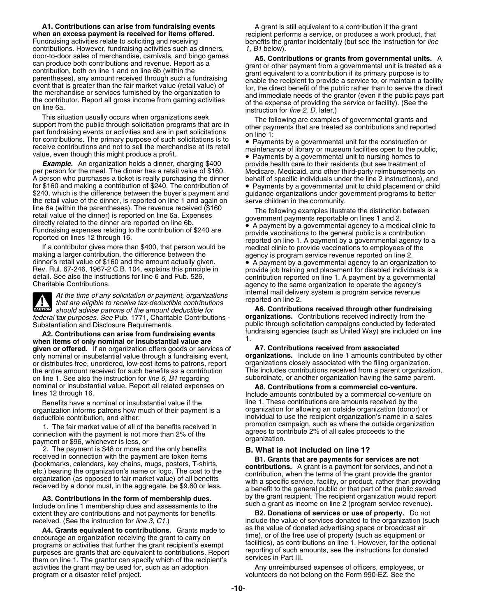**A1. Contributions can arise from fundraising events** A grant is still equivalent to a contribution if the grant when an excess payment is received for items offered. When an excess payment is received for items offered. W when an excess payment is received for items offered. The explorent performs a service, or produces a work product, that<br>Fundraising activities relate to soliciting and receiving **the explorent of the anactival and the exp** contributions. However, fundraising activities such as dinners, *1, B1* below).<br>door-to-door sales of merchandise, carnivals, and bingo games

This situation usually occurs when organizations seek<br>support from the public through solicitation programs that are in<br>part fundraising events or activities and are in part solicitations<br>for contributions. The primary pur receive contributions and not to sell the merchandise at its retail maintenance of library or museum facilities open to the public,<br>value, even though this might produce a profit.<br>• Payments by a governmental unit to pursi

**Example.** An organization holds a dinner, charging \$400 provide health care to their residents (but see treatment of per person for the meal. The dinner has a retail value of \$160. Nedicare, Medicaid, and other third-part for \$160 and making a contribution of \$240. The contribution of  $\bullet$  Payments by a governmental unit to child placement or child<br>\$240, which is the difference between the buyer's payment and guidance organizations under go line 6a (within the parentheses). The revenue received (\$160<br>
retail value of the dinner) is reported on line 6a. Expenses<br>
directly related to the dinner are reported on line 6b.<br>
Fundraising expenses relating to the cont

At the time of any solicitation or payment, organizations<br>
that are eligible to receive tax-deductible contributions<br>
should advise patrons of the amount deductible for<br> **A6. Contributions received through other fundraisin CAUTION**<br> *should advise patrons of the amount deductible for*<br> **A6. Contributions received through other fundraising**<br> **A6. Contributions received through other fundraising** *federal tax purposes. See* Pub. 1771, Charitable Contributions - **organizations.** Contributions received indirectly from the

A2. Contributions can arise from fundraising events<br>when items of only nominal or insubstantial value are<br>given or offered. If an organization offers goods or services of **A7. Contributions received from associated given or offered.** If an organization offers goods or services of **A7. Contributions received from associated** only nominal or insubstantial value through a fundraising event, **organizations.** Include on line 1 amounts contributed by other or distributed by other distributed by other distributed by other distributed by other distri or distributes free, unordered, low-cost items to patrons, report organizations closely associated with the filing organization.<br>the entire amount received for such benefits as a contribution This includes contributions re the entire amount received for such benefits as a contribution on line 1. See also the instruction for *line 6, B1* regarding subordinate, or another organization having the same parent. nominal or insubstantial value. Report all related expenses on **A8. Contributions from a commercial co-venture.** 

organization informs patrons how much of their payment is a organization for allowing an outside organization (donor) or

2. The payment is \$48 or more and the only benefits **B. What is not included on line 1?**

**A3. Contributions in the form of membership dues.** by the grant recipient. The recipient organization would report<br>Include on line 1 membership dues and assessments to the such a grant as income on line 2 (program service extent they are contributions and not payments for benefits received. (See the instruction for *line 3, C1*.)

A4. Grants equivalent to contributions. Grants made to and as the value of donated advertising space or broadcast air<br>courage an organization receiving the grant to carry on time), or of the free use of property (such as e encourage an organization receiving the grant to carry on<br>programs or activities that further the grant recipient's exempt<br>purposes are grants that are equivalent to contributions. Report<br>them on line 1. The grantor can sp activities the grant may be used for, such as an adoption **Any unreimbursed expenses of officers**, employees, or<br>
program or a disaster relief project.<br> **Any unreimbursed expenses of officers**, employees, or

benefits the grantor incidentally (but see the instruction for *line* 

door-to-door sales of merchandise, carnivals, and bingo games<br>can produce both contributions and revenue. Report as a<br>contribution, obth on line on line of lowithin the<br>contribution, of the payment from a governmental uni

• Payments by a governmental unit to nursing homes to

Europe tractions of the contribution of \$240 are<br>
Fundraising expenses relating to the contribution of \$240 are<br>
reported on lines 12 through 16.<br>
If a contribution reported on lines 12 through 16.<br>
If a contribution repor

public through solicitation campaigns conducted by federated<br>fundraising agencies (such as United Way) are included on line

lines 12 through 16. Include amounts contributed by a commercial co-venture on Benefits have a nominal or insubstantial value if the line 1. These contributions are amounts received by the deductible contribution, and either: individual to use the recipient organization's name in a sales 1. The fair market value of all of the benefits received in promotion campaign, such as where the outside organization connection with the payment is not more than 2% of the payment or \$96, whichever is less, or organizati

received in connection with the payment are token items<br>(bookmarks, calendars, key chains, mugs, posters, T-shirts,<br>etc.) bearing the organization's name or logo. The cost to the<br>organization (as opposed to fair market val

include the value of services donated to the organization (such as the value of donated advertising space or broadcast air

volunteers do not belong on the Form 990-EZ. See the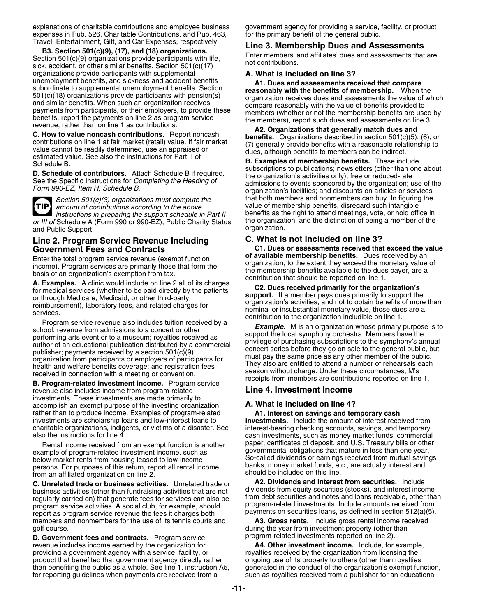explanations of charitable contributions and employee business government agency for providing a service, facility, or product expenses in Pub. 526, Charitable Contributions, and Pub. 463, for the primary benefit of the general public.<br>Travel, Entertainment, Gift, and Car Expenses, respectively.<br>Line 2, Mamberabin Duse and Ac

B3. Section 501(c)(9), (17), and (18) organizations.<br>
Section 501(c)(9), (17), and (18) organizations.<br>
Section 501(c)(9) organizations provide participants with life,<br>
sick, accident, or other similar benefits. Section 50 organizations provide participants with supplemental **A. What is included on line 3?** unemployment benefits, and sixtens and accident benefits and assessments received that compare<br>subordinate to supplemental unemployment benefits. Section<br>501(c)(18) organizations provide participants with pension(s)<br>anyian

**TIP**

*or III of* Schedule A (Form 990 or 990-EZ), Public Charity Status the organization.<br>and Public Support on the distinction. and Public Support.

## **Line 2. Program Service Revenue Including C. What is not included on line 3?**

Enter the total program service revenue (exempt function of available membership benefits. Dues received by an basis of an organization's exemption from tax.<br> **A. Examples.** A clinic would include on line 2 all of its char

revenue also includes income from program-related **Line 4. Investment Income** investments. These investments are made primarily to accomplish an exempt purpose of the investing organization **A. What is included on line 4?** rather than to produce income. Examples of program-related **A1. Interest on savings and temporary cash**<br>investments are scholarship loans and low-interest loans to **A1. Investments.** Include the amount of interest rece charitable organizations, indigents, or victims of a disaster. See interest-bearing checking accounts, savings, and temporary

example of program-related investment income, such as<br>below-market rents from housing leased to low-income<br>persons. For purposes of this return, report all rental income<br>from an affiliated organization on line 2.<br>Consider

**C. Unrelated trade or business activities.** Unrelated trade or **A2. Dividends and interest from securities.** Include business activities (other than fundraising activities that are not<br>regularly carried on) that generate fees for services can also be<br>program-related investments. Include amounts receivable, other than<br>program-related inve program service activities. A social club, for example, should program-related investments. Include amounts received from<br>report as program service revenue the fees it charges both payments on securities loans, as defined payments on securities loans, as defined in section 512(a)(3). report as program service revenue the fees it charges both<br>members and nonmembers for the use of its tennis courts and **A3. Gross rents.** Include gross rental members and nonmembers for the use of its tennis courts and

**D. Government fees and contracts.** Program service revenue includes income earned by the organization for **A4. Other investment income.** Include, for example, providing a government agency with a service, facility, or **A4. Other investment income.** Include, for example, providing a government agency with a service, facility, or product that benefited that government agency directly rather ongoing use of its property to others (other than royalties than benefiting the public as a whole. See line 1, instruction A5, generated in the conduct of the organization's exempt function,  $\frac{1}{100}$  for reporting quidelines when payments are received from a such as royalties re

*Section 501(c)(3) organizations must compute the* that both members and nonmembers can buy. In figuring the amount of contributions according to the above value of membership benefits, disregard such intangible value of membership benefits, disregard such intangible<br>benefits as the right to attend meetings, vote, or hold office in *instructions in preparing the support schedule in Part II* benefits as the right to attend meetings, vote, or hold office in<br>of Schedule A (Form 990 or 990-EZ), Public Charity Status the organization, and the distinction

**C1. Dues or assessments received that exceed the value of available membership benefits.** Dues received by an

**investments.** Include the amount of interest received from cash investments, such as money market funds, commercial paper, certificates of deposit, and U.S. Treasury bills or other Rental income received from an exempt function is another paper, certificates of deposit, and U.S. Treasury bills or other<br>Imple of program-related investment income, such as governmental obligations that mature in less th

golf course.<br> **D. Government fees and contracts** Program service **by program-related investments reported on line 2**).

such as royalties received from a publisher for an educational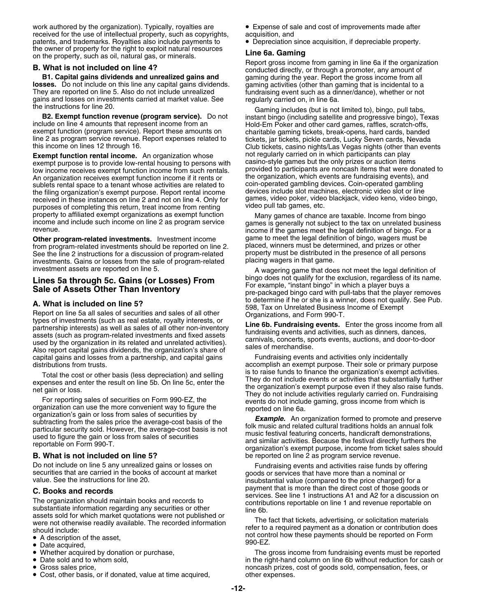work authored by the organization). Typically, royalties are • Expense of sale and cost of improvements made after received for the use of intellectual property, such as copyrights, acquisition, and<br>
patents, and trademarks. Royalties also include payments to **•** Depreciation since acquisition, if depreciable property. patents, and trademarks. Royalties also include payments to

**losses.** Do not include on this line any capital gains dividends. gaming activities (other than gaming that is incidental to a They are reported on line 5. Also do not include unrealized fundraising event such as a dinner They are reported on line 5. Also do not include unrealized gains and losses on investments carried at market value. See regularly carried on, in line 6a.<br>the instructions for line 20.

line 2 as program service revenue. Report expenses related to tickets, jar tickets, pickle cards, Lucky Seven cards, Nevada<br>Club tickets, casino nights/Las Vegas nights (other than eve

**Exempt function rental income.** An organization whose not regularly carried on in which participants can play<br>exempt purpose is to provide low-rental housing to persons with casino-style games but the only prizes or aucti exempt purpose is to provide low-rental housing to persons with casino-style games but the only prizes or auction items<br>low income receives exempt function income from such rentals. Provided to participants are noncash ite low income receives exempt function income from such rentals. provided to participants are noncash items that were donate<br>An organization receives exempt function income if it rents or be provided to provided to which even An organization receives exempt function income if it rents or the organization, which events are fundraising events), and sublets rental space to a tenant whose activities are related to the coin-operated gambling devices sublets rental space to a tenant whose activities are related to coin-operated gambling devices. Coin-operated gambling<br>the filing organization's exempt purpose. Beport rental income devices include slot machines, electron the filing organization's exempt purpose. Report rental income devices include slot machines, electronic video slot or line<br>received in these instances on line 2 and not on line 4. Only for games, video poker, video blackj received in these instances on line 2 and not on line 4. Only for games, video poker, video pull tab games, etc. purposes of completing this return, treat income from renting property to affiliated exempt organizations as exempt function<br>income and include such income on line 2 as program service<br>revenue.<br>income if the games meet the legal definition of hingo. For a

**Other program-related investments.** Investment income game to meet the legal definition of bingo, wagers must i<br>from program-related investments should be reported on line 2. Placed, winners must be determined, and prizes from program-related investments should be reported on line 2. [blaced, winners must be determined, and prizes or other<br>See the line 2 instructions for a discussion of program-related property must be distributed in the pr See the line 2 instructions for a discussion of program-related property must be distributed is<br>investments, Gains or losses from the sale of program-related placing wagers in that game. investments. Gains or losses from the sale of program-related investment assets are reported on line 5.

**A. What is included on line 5?**<br>
Report on line 5a all sales of securities and sales of all other<br>
types of investments (such as real estate, royalty interests, or<br>
partnership interests) as well as sales of all other non capital gains and losses from a partnership, and capital gains Fundraising events and activities only incidentally

Total the cost or other basis (less depreciation) and selling<br>expenses and enter the result on line 5b. On line 5c, enter the<br>met gain or loss.<br>They do not include events or activities that substantially further<br>the organi

Do not include on line 5 any unrealized gains or losses on Fundraising events and activities raise funds by offering securities that are carried in the books of account at market goods or services that have more than a nom securities that are carried in the books of account at market goods or services that have more than a nominal or value. See the instructions for line 20.

The organization should maintain books and records to<br>substantiate information regarding any securities or other line 6b.<br>assets sold for which market quotations were not published or about on the main main of quotation when we have published on<br>were not otherwise readily available. The recorded information<br>should include:<br>should include:

- A description of the asset,
- Date acquired, the asses, the case of the control of the control of the control of the control of the control of the control of the control of the control of the control of the control of the control of the control of t
- Whether acquired by donation or purchase,
- Date sold and to whom sold,
- **•** Gross sales price,
- Cost, other basis, or if donated, value at time acquired, other expenses.

the owner of property for the right to exploit natural resources<br>
on the property, such as oil, natural gas, or minerals.<br> **E. What is not included on line 4?**<br> **E. What is not included on line 4?**<br> **E. What is not include** gaming during the year. Report the gross income from all gaming activities (other than gaming that is incidental to a

The instructions for line 20.<br> **B2. Exempt function revenue (program service).** Do not<br> **B2. Exempt function revenue (program service).** Do not<br>
include on line 4 amounts that represent income from an<br>
exempt function (pro Club tickets, casino nights/Las Vegas nights (other than events not regularly carried on in which participants can play

income if the games meet the legal definition of bingo. For a game to meet the legal definition of bingo, wagers must be

A wagering game that does not meet the legal definition of Lines 5a through 5c. Gains (or Losses) From bingo does not qualify for the exclusion, regardless of its name.<br>Sale of Assets Other Than Inventory errors on the pre-packaged bingo card with pull-tabs that the player removes

distributions from trusts.<br>Total the cost or other basis (less depreciation) and selling is to raise funds to finance the organization's exempt activities.

**B. What is not included on line 5?** be reported on line 2 as program service revenue.

**C. Books and records**<br> **C. Books and records**<br>
The organization should maintain books and records to<br>
contributions reportable on line 1 and revenue reportable on

not control how these payments should be reported on Form<br>990-EZ.

The gross income from fundraising events must be reported in the right-hand column on line 6b without reduction for cash or noncash prizes, cost of goods sold, compensation, fees, or other expenses.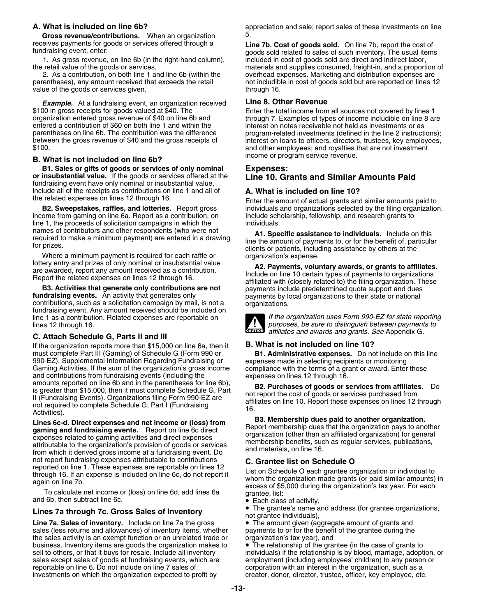**Gross revenue/contributions.** When an organization  $\frac{5}{1}$ <br>receives payments for goods or services offered through a

1. As gross revenue, on line 6b (in the right-hand column), the retail value of the goods or services,

2. As a contribution, on both line 1 and line 6b (within the value of the goods or services given.

**Example.** At a fundraising event, an organization received **Line 8. Other Revenue**<br>\$100 in gross receipts for goods valued at \$40. The **Enter the total income from** 

## income or program service revenue. **B. What is not included on line 6b?**

**B1. Sales or gifts of goods or services of only nominal Expenses: or insubstantial value.** If the goods or services offered at the fundraising event have only nominal or insubstantial value, include all of the receipts as contributions on line 1 and all of **A. What is included on line 10?**

income from gaming on line 6a. Report as a contribution, on line 1, the proceeds of solicitation campaigns in which the individuals.<br>names of contributors and other respondents (who were not  $A1$  Sne

Where a minimum payment is required for each raffle or lottery entry and prizes of only nominal or insubstantial value.

line 1 as a contribution. Related expenses are reportable on lines 12 through 16. *purposes, be sure to distinguish between payments to*

## **C. Attach Schedule G, Parts II and III**

If the organization reports more than \$15,000 on line 6a, then it **B. What is not included on line 10?** must complete Part III (Gaming) of Schedule G (Form 990 or **B1. Administrative expenses.** Do not include composition Regarding Fundraising or **B1. Administrative expenses.** Do not include composition Regarding Fundraising 990-EZ), Supplemental Information Regarding Fundraising or Gaming Activities. If the sum of the organization's gross income compliance with the terms of a grant or award. Enter those and contributions from fundraising events (including the expenses on lines 12 through 16. and contributions from fundraising events (including the amounts reported on line 6b and in the parentheses for line 6b), amounts reported on the objection of the parentheses for the obj.<br>
Is greater than \$15,000, then it must complete Schedule G, Part<br>
II (Fundraising Events). Organizations filing Form 990-EZ are<br>
not required to complete Sc

Lines 6c-d. Direct expenses and net income or (loss) from<br>
gaming and fundraising events. Report on line 6c direct<br>
expenses related to gaming activities and direct expenses<br>
attributable to the organization's provision of

## **The grantee's name and address (For Gross Sales of Inventory Constant and address individuals)**, **Lines 7a through 7c. Gross Sales of Inventory**

Line 7a. Sales of inventory. Include on line 7a the gross **•** The amount given (aggregate amount of grants and sales (less returns and allowances) of inventory items, whether payments to or for the benefit of the grantee d sales (less returns and allowances) of inventory items, whether the sales activity is an exempt function or an unrelated trade or organization's tax year), and business. Inventory items are goods the organization makes to • The relationship of the grantee (in the case of grants to sell to others, or that it buys for resale. Include all inventory individuals) if the relationship i sales except sales of goods at fundraising events, which are employment (including employees' children) to any person or reportable on line 6. Do not include on line 7 sales of corporation with an interest in the organization, such as a<br>
investments on which the organization expected to profit by creator, donor, director, trustee, officer, k investments on which the organization expected to profit by

**A. What is included on line 6b?** and the summan appreciation and sale; report sales of these investments on line

receives payments for goods or services offered through a<br> **Line 7b. Cost of goods sold.** On line 7b, report the cost of<br>
goods sold related to sales of such inventory. The usual items<br>
1. As gross revenue, on line 6b (in materials and supplies consumed, freight-in, and a proportion of overhead expenses. Marketing and distribution expenses are parentheses), any amount received that exceeds the retail not includible in cost of goods sold but are reported on lines 12<br>value of the goods or services given.

\$100 in gross receipts for goods valued at \$40. The Enter the total income from all sources not covered by lines 1<br>organization entered gross revenue of \$40 on line 6b and through 7. Examples of types of income includible parentheses on line 6b. The contribution was the difference program-related investments (defined in the line 2 instructions);<br>between the gross revenue of \$40 and the gross receipts of interest on loans to officers, direct

the related expenses on lines 12 through 16. Enter the amount of actual grants and similar amounts paid to<br>B2. Sweepstakes, raffles, and lotteries. Report gross individuals and organizations selected by the filing organiza individuals and organizations selected by the filing organization.<br>Include scholarship, fellowship, and research grants to

Trainies of contributions and other respondents (who were not<br>required to make a minimum payment) are entered in a drawing<br>for prizes.<br>Where a minimum payment is required for each raffle or<br>Where a minimum payment is requi

From a principle on the related expenses on lines 12 through 16.<br> **Example 18 and 2 A2. Payments, voluntary awards, or grants to affiliates.**<br> **Example 18 and 18 and 18 and 18 and 18 and 18 and 18 and 18 and 18 and 18 an** 



*affiliates and awards and grants. See Appendix G.* 

not report fundraising expenses attributable to contributions<br>
reported on line 1. These expenses are reportable on lines 12<br>
through 16. If an expense is included on line 6c, do not report it<br>
again on line 7b.<br>
To calcul

• The grantee's name and address (for grantee organizations,

individuals) if the relationship is by blood, marriage, adoption, or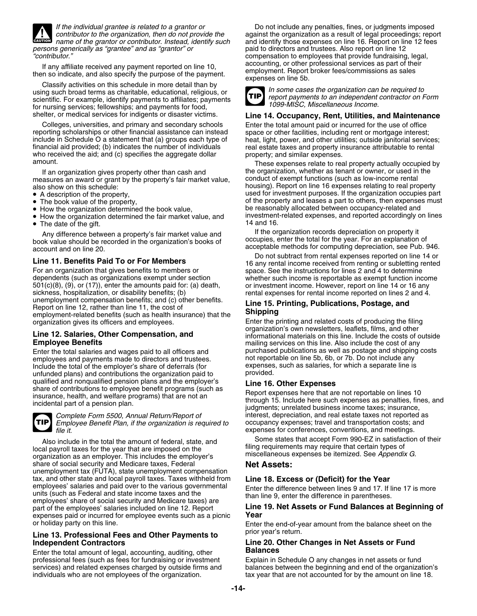

**CAUTION** *persons generically as "grantee" and as "grantor" or* paid to directors and trustees. Also report on line 12

using such broad terms as charitable, educational, religious, or<br>scientific. For example, identify payments to affiliates; payments **TIP** report payments to an independent contractor on Form for nursing services; fellowships; and payments for food,

Colleges, universities, and primary and secondary schools Enter the total amount paid or incurred for the use of office reporting scholarships or other financial assistance can instead space or other facilities, including rent or mortgage interest;<br>include in Schedule O a statement that (a) groups each type of heat, light, power, and other financial aid provided; (b) indicates the number of individuals real estate taxes and property insurance attributable to rental who received the aid; and (c) specifies the aggregate dollar property; and similar expenses. amount. These expenses relate to real property actually occupied by

measures an award or grant by the property's fair market value, also show on this schedule:

- A description of the property,
- The book value of the property,
- How the organization determined the book value,
- The date of the gift.  $\blacksquare$

book value should be recorded in the organization's books of bocupies, enter the total for the year. For an explanation or<br>acceptable methods for computing depreciation, see Pub. 946.

dependents (such as organizations exempt under section whether such income is reportable as exempt function income<br>501(c)(8), (9), or (17)), enter the amounts paid for: (a) death, or investment income. However, report on l sickness, hospitalization, or disability benefits; (b) rental expenses for rental income reported on lines 2 and 4. unemployment compensation benefits; and (c) other benefits.<br>
Report on line 12, rather than line 11, the cost of **Example 2 Line 15. Printing, Publications, Postage, and**<br>
employment-related benefits (such as health insu

Enter the total salaries and wages paid to all officers and purchased publications as well as postage and shipping<br>employees and payments made to directors and trustees. The one treportable on line 5b, 6b, or 7b. Do not in employees and payments made to directors and trustees. The not reportable on line 5b, 6b, or 7b. Do not include any<br>Include the total of the employer's share of deferrals (for expenses, such as salaries, for which a separa Include the total of the employer's share of deferrals (for expenses<br>unfunded plans) and contributions the organization paid to provided. unfunded plans) and contributions the organization paid to qualified and nonqualified pension plans and the employer's<br>
share of contributions to employee benefit programs (such as<br>
insurance, health, and welfare programs) that are not an<br>
incidental part of a pension plan.<br>
incid



*Employee Benefit Plan, if the organization is required to*<br>file it.

Also include in the total the amount of federal, state, and<br>local payroll taxes for the year that are imposed on the<br>organization as an employer. This includes the employer's miscellaneous expenses be itemized. See Appendi share of social security and Medicare taxes, Federal **Net Assets:** unemployment tax (FUTA), state unemployment compensation tax, and other state and local payroll taxes. Taxes withheld from tax, and other state and local payroll taxes. Taxes withheld from<br>
employees' salaries and paid over to the various governmental<br>
units (such as Federal and state income taxes and the<br>
employees' share of social security a part of the employees' salaries included on line 12. Report **LINE**<br> **Expenses paid or incurred for employee events such as a picnic** expenses paid or incurred for employee events such as a picnic

# prior year's return. **Line 13. Professional Fees and Other Payments to**

Enter the total amount of legal, accounting, auditing, other professional fees (such as fees for fundraising or investment Explain in Schedule O any changes in net assets or fund

*If the individual grantee is related to a grantor or* Do not include any penalties, fines, or judgments imposed *contributor to the organization, then do not provide the* against the organization as a result of legal proceedings; report *name of the grantor or contributor. Instead, identify such* and identify those expenses on line 16. Report on line 12 fees *"contributor."* compensation to employees that provide fundraising, legal, If any affiliate received any payment reported on line 10,<br>then so indicate, and also specify the purpose of the payment.<br>Classify activities on this schedule in more detail than by<br>using such broad terms as charitable, e



*1099-MISC, Miscellaneous Income.*

## shelter, or medical services for indigents or disaster victims. **Line 14. Occupancy, Rent, Utilities, and Maintenance**

heat, light, power, and other utilities; outside janitorial services;

If an organization gives property other than cash and the organization, whether as tenant or owner, or used in the<br>asures an award or grant by the property's fair market value. Conduct of exempt functions (such as low-inco housing). Report on line 16 expenses relating to real property used for investment purposes. If the organization occupies part of the property and leases a part to others, then expenses must be reasonably allocated between occupancy-related and<br>investment-related expenses, and reported accordingly on lines • How the organization determined the fair market value, and investment-related expenses, and reported accordingly on lines

Any difference between a property's fair market value and If the organization records depreciation on property it<br>Occupies, enter the total for the year. For an explanation of the organization's hooks of the cocupies, ente

Do not subtract from rental expenses reported on line 14 or<br>16 any rental income received from renting or subletting rented<br>For an organization that gives benefits to members or<br>16 any rental income received from renting o space. See the instructions for lines 2 and 4 to determine or investment income. However, report on line 14 or 16 any

organization gives its officers and employees.<br>
Final external printing and related costs of producing the filing<br>
organization's own newsletters, leaflets, films, and other Line 12. Salaries, Other Compensation, and **other compensation**, and informational materials on this line. Include the costs of outside **Employee Benefits**<br> **Enter the total salaries and wages paid to all officers and the purchased publications as well as postage and shipping costs** 

*Complete Form 5500, Annual Return/Report of* interest, depreciation, and real estate taxes not reported as *file it.* expenses for conferences, conventions, and meetings.

or holiday party on this line. Enter the end-of-year amount from the balance sheet on the

## **Independent Contractors Line 20. Other Changes in Net Assets or Fund**

services) and related expenses charged by outside firms and balances between the beginning and end of the organization's individuals who are not employees of the organization. tax year that are not accounted for by the amount on line 18.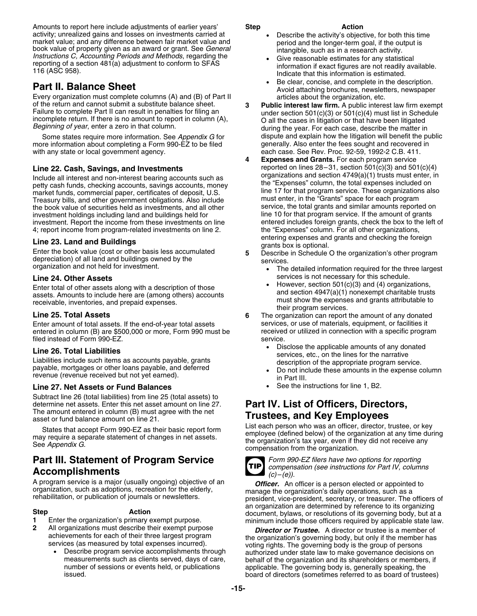Amounts to report here include adjustments of earlier years' **Step <b>Step Action**<br>Activity; unrealized gains and losses on investments carried at **Action Buller Properties** the activity's objective, for both this time market value; and any difference between fair market value and<br>book value of property given as an award or grant. See *General* intangible, such as in a research activity.<br>Instructions C, Accounting Periods and Methods, re reporting of a section 481(a) adjustment to conform to SFAS information if exact figures are not readily available.<br>116 (ASC 958).<br>Indicate that this information is estimated.

Every organization must complete columns (A) and (B) of Part II of the return and cannot submit a substitute balance sheet.

Some states require more information. See *Appendix G* for dispute and explain how the litigation will benefit the pu<br>re information about completing a Form 990-EZ to be filed generally. Also enter the fees sought and reco more information about completing a Form 990-EZ to be filed with any state or local government agency. each case. See Rev. Proc. 92-59, 1992-2 C.B. 411.

Include all interest and non-interest bearing accounts such as<br>petty cash funds, checking accounts, savings accounts, money<br>market funds, commercial paper, certificates of deposit U.S.<br>market funds, commercial paper, certi market funds, commercial paper, certificates of deposit, U.S. line 17 for that program service. These organization<br>Treasury bills, and other government obligations. Also include must enter, in the "Grants" space for each p Treasury bills, and other government obligations. Also include must enter, in the "Grants" space for each program<br>the book value of securities held as investments, and all other service, the total grants and similar amount the book value of securities held as investments, and all other service, the total grants and similar amounts reported on<br>investment holdings including land and buildings held for some state on the 10 for that program serv investment. Report the income from these investments on line entered includes foreign grants, check the box to the left of the left of the left of the left of all other organizations, 4; report income from program-related investments on line 2.

**Line 23. Land and Buildings**<br>
Enter the book value (cost or other basis less accumulated<br>
depreciation) of all land and buildings owned by the<br>
depreciation) of all land and buildings owned by the<br>
depreciation) of all la organization and not held for investment. •

Enter amount of total assets. If the end-of-year total assets services, or use of materials, equipment, or facilities it<br>
entered in column (B) are \$500,000 or more, Form 990 must be received or utilized in connection with entered in column (B) are \$500,000 or more, Form 990 must be receive<br>filed instead of Form 990-FZ filed instead of Form  $990$ -EZ.

revenue (revenue received but not yet earned). in Part III.

## **Line 27. Net Assets or Fund Balances** • See the instructions for line 1, B2.

Subtract line 26 (total liabilities) from line 25 (total assets) to determine net assets. Enter this net asset amount on line 27. **Part IV. List of Officers, Directors,** The amount entered in column (B) must agree with the net

# **Part III. Statement of Program Service** *Form 990-EZ filers have two options for reporting*

- 
- - •

- 
- 
- •**Part II. Balance Sheet**<br>Every organization must complete columns (A) and (B) of Part II and a Avoid attaching brochures, newsletters, newspaper<br>articles about the organization, etc.
- of the return and cannot submit a substitute balance sheet.<br>
Failure to complete Part II can result in penalties for filing an<br>
incomplete return. If there is no amount to report in column (A),<br>
Beginning of year, enter a
- **4 Expenses and Grants.** For each program service **Line 22. Cash, Savings, and Investments** reported on lines 28–31, section 501(c)(3) and 501(c)(4)<br>Include all interest and pon-interest bearing accounts such as organizations and section 4749(a)(1) trusts must enter, in investment holdings including land and buildings held for **inclumity held for line 10** for that program service. If the amount of grants<br>investment. Report the income from these investments on line **the entered includes fo** 
	- - The detailed information required for the three largest
- **Line 24. Other Assets**<br> **Enter total of other assets along with a description of those**<br> **Line 24. Other assets along with a description of those**<br> **Constant Actual Strute** Solution 501(c)(3) and (4) organizations, •Enter total of other assets along with a description of those<br>assets. Amounts to include here are (among others) accounts<br>receivable, inventories, and prepaid expenses.<br>Line 25. Total Assets<br>Line 25. Total Assets<br>and secti
	- **6** The organization can report the amount of any donated
- •**Line 26. Total Liabilities**<br>
Liabilities include such items as accounts payable, grants<br>
payable, mortgages or other loans payable, and deferred<br>
payable, mortgages or other loans payable, and deferred<br> **and the section o** 
	-
	-

# **Trustees, and Key Employees**

States that accept Form 990-EZ as their basic report form<br>may require a separate statement of changes in net assets.<br>See Appendix G.<br>See Appendix G.<br>See Appendix G.



**Accomplishments** *compensation (see instructions for Part IV, columns**(c)–(e)).* 

A program service is a major (usually ongoing) objective of an **Officer.** An officer is a person elected or appointed to organization, such as adoptions, recreation for the elderly, rehabilitation, or publication of journa an organization are determined by reference to its organizing **Step Action** document, bylaws, or resolutions of its governing body, but at a **<sup>1</sup>** Enter the organization's primary exempt purpose. minimum include those officers required by applicable state law.

**<sup>2</sup>** All organizations must describe their exempt purpose *Director or Trustee.* A director or trustee is a member of achievements for each of their three largest program the organization's governing body, but only if the member has services (as measured by total expenses incurred).<br>
• Describe program service accomplishments through auth measurements such as clients served, days of care, behalf of the organization and its shareholders or members, if<br>number of sessions or events held, or publications applicable. The governing body is, generally speaking, th number of sessions or events held, or publications applicable. The governing body is, generally speaking, the<br>board of directors (sometimes referred to as board of truste board of directors (sometimes referred to as board of trustees)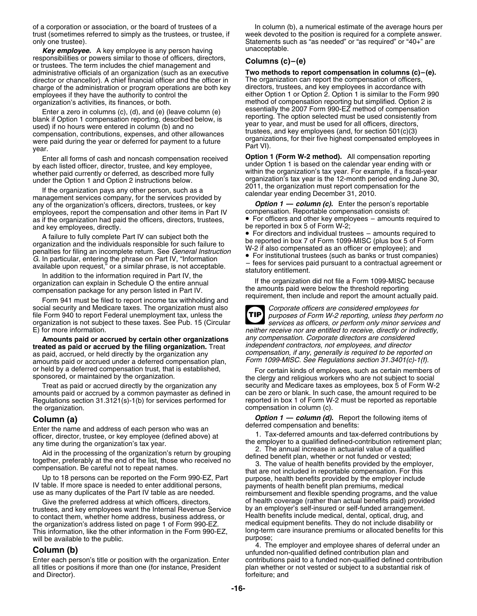trust (sometimes referred to simply as the trustees, or trustee, if week devoted to the position is required for a complete answer.<br>Statements such as "as needed" or "as required" or "40+" are

**Key employee.** A key employee is any person having unacceptable. responsibilities or powers similar to those of officers, directors,<br>or trustees. The term includes the chief management and<br>administrative officials of an organization (such as an executive **Two methods to report compensat** administrative officials of an organization (such as an executive **Two methods to report compensation in columns (c)**<br>director or chancellor). A chief financial officer and the officer in The organization can report the co director or chancellor). A chief financial officer and the officer in The organization can report the compensation of officers, charge of the administration or program operations are both key directors, trustees, and key e charge of the administration or program operations are both key employees if they have the authority to control the

blank if Option 1 compensation reporting, described below, is reporting. The option selected must be used consistently used) if no hours were entered in column (b) and no year to year, and must be used for all officers, di scompensation, contributions, expenses, and other allowances<br>were paid during the year or deferred for payment to a future<br>year.<br>Finder all forms of cash and noncash compensation received<br>Part VI).<br>Finder all forms of cash

by each listed officer, director, trustee, and key employee, whether paid currently or deferred, as described more fully within the organization's tax year. For example, if a fiscal-year<br>under the Option 1 and Option 2 instructions below. organization's tax year is the 12-month peri

under the Option 1 and Option 2 instructions below.<br>
If the organization pays any other person, such as a<br>
management services company, for the services provided by<br>
any of the organization's officers, directors, trustees, any of the organization's officers, directors, trustees, or key **Option 1 — column (c).** Enter the person's repo<br>
employees, report the compensation and other items in Part IV compensation. Reportable compensation consists employees, report the compensation and other items in Part IV and key employees, directly. be reported in box 5 of Form W-2;

A failure to fully complete Part IV can subject both the<br>organization and the individuals responsible for such failure to<br>penalties for filing an incomplete return. See *General Instruction*<br>G. In particular, entering the

social security and Medicare taxes. The organization must also<br>file Form 940 to report Federal unemployment tax, unless the<br>**TIP** purposes of Form W-2 reporting, unless they per organization is not subject to these taxes. See Pub. 15 (Circular *E*) for more information.

**Amounts paid or accrued by certain other organizations** *any compensation. Corporate directors are considered independent contractors, not employees, and director* **treated as paid or accrued by the filing organization.** Treat as paid, accrued, or held directly by the organization any *compensation, if any, generally is required to be reported on* amounts paid or accrued under a deferred compensation plan,

amounts paid or accrued by a common paymaster as defined in can be zero or blank. In such case, the amount required to be<br>Regulations section 31.3121(s)-1(b) for services performed for eported in box 1 of Form W-2 must be Regulations section 31.3121(s)-1(b) for services performed for the organization. The organization in column (c).

trustees, and key employees want the Internal Revenue Service by an employer's self-insured or self-funded arrangement.<br>to contact them, whether home address, business address, or Flealth benefits include medical, dental, to contact them, whether home address, business address, or health benefits include medical, dental, optical, drug, and<br>the organization's address listed on page 1 of Form 990-EZ. The medical equipment benefits. They do no the organization's address listed on page 1 of Form 990-EZ.<br>This information, like the other information in the Form 990-EZ. will be available to the public.

all titles or positions if more than one (for instance, President plan whether or not vested or subject to a substantial risk of and Director). **For an and Director**  $\sim$  6. The set of the set of the set of the set of the set of the set of the set of the set of the set of the set of the set of the set of the set of the set of the set of the set of t

of a corporation or association, or the board of trustees of a In column (b), a numerical estimate of the average hours per Statements such as "as needed" or "as required" or "40+" are

either Option 1 or Option 2. Option 1 is similar to the Form 990 organization's activities, its finances, or both. method of compensation reporting but simplified. Option 2 is<br>Enter a zero in columns (c) (d) and (e) (leave column (e) essentially the 2007 Form 990-EZ method of compensati Enter a zero in columns (c), (d), and (e) (leave column (e)<br>Enter a zero in compensation reporting described below is experiment of the option selected must be used consistently from

Enter all forms of cash and noncash compensation received **Option 1 (Form W-2 method).** All compensation reporting

as if the organization had paid the officers, directors, trustees, • For officers and other key employees – amounts required to

• For directors and individual trustees – amounts required to

G. In particular, entering the phrase on Part IV, "Information"<br>
available upon request," or a similar phrase, is not acceptable.<br>
In addition to the information required in Part IV, the<br>
organization can explain in Schedu

purposes of Form W-2 reporting, unless they perform no<br>services as officers, or perform only minor services and **TIP** neither receive nor are entitled to receive, directly or indirectly,

or held by a deferred compensation trust, that is established,<br>sponsored, or maintained by the organization.<br>the clergy and religious workers who are not subject to social Treat as paid or accrued directly by the organization any security and Medicare taxes as employees, box 5 of Form W-2<br>ounts paid or accrued by a common paymaster as defined in can be zero or blank. In such case, the amount

**Column (a)** *Option 1 — column (d).* Report the following items of *Option 1 — column (d).* Report the following items of

Enter the name and address of each person who was an<br>
officer, director, trustee, or key employee (defined above) at<br>
any time during the organization's tax year.<br>
Aid in the processing of the organization's return by grou Give the preferred address at which officers, directors, on thealth coverage (rather than actual benefits paid) provided<br>stees, and key employees want the Internal Revenue Service by an employer's self-insured or self-fund Iong-term care insurance premiums or allocated benefits for this purpose;

4. The employer and employee shares of deferral under an **Column (b)** unfunded non-qualified defined contribution plan and Enter each person's title or position with the organization. Enter contributions paid to a funded non-qualified defined contribution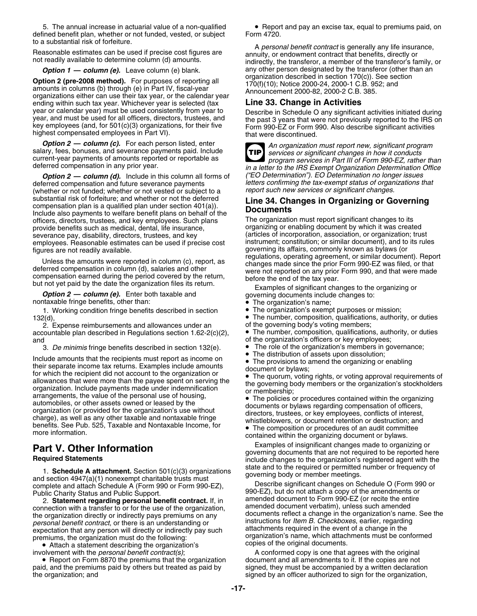5. The annual increase in actuarial value of a non-qualified • Report and pay an excise tax, equal to premiums paid, on defined benefit plan, whether or not funded, vested, or subject Form 4720. to a substantial risk of forfeiture.

**Option 2 (pre-2008 method).** For purposes of reporting all<br>amounts in columns (b) through (e) in Part IV, fiscal-year<br>organization described in section 170(c)). See set<br>organizations either can use their tax year, or the ending within such tax year. Whichever year is selected (tax year or calendar year) must be used consistently from year to

**Option 2 — column (c).** For each person listed, enter<br>salary, fees, bonuses, and severance payments paid. Include<br>current-year payments of amounts reported or reportable as<br>deferred compensation in any prior year.<br>in a le

deferred compensation and future severance payments *letters confirming the tax-exempt status of organ*<br>(whether or not funded: whether or not vested or subject to a *report such new services or significant changes. (whether or not funded; whether or not vested or subject to a* substantial risk of forfeiture; and whether or not the deferred<br>
compensation plan is a qualified plan under section 401(a)).<br>
Include also payments to welfare benefit plans on behalf of the<br>
officers directors trustees an officers, directors, trustees, and key employees. Such plans provide benefits such as medical, dental, life insurance, severance pay, disability, directors, trustees, and key (articles of incorporation, association, or organization; trust<br>employees. Reasonable estimates can be used if precise cost instrument; constitution; or similar docum employees. Reasonable estimates can be used if precise cost instrument; constitution; or similar document), and to<br>figures are not readily available.

1. Working condition fringe benefits described in section • The organization's exempt purposes or mission;<br>The number, composition, qualifications, authorit • The number, composition, qualifications, authorit

2. Expense reimbursements and allowances under an of the governing body's voting members;<br>countable plan described in Regulations section 1.62-2(c)(2). • The number, composition, qualifications, authority, or dutie accountable plan described in Regulations section 1.62-2(c)(2), and **of the organization's officers or key employees;** 

3. *De minimis* fringe benefits described in section 132(e). • The role of the organization's members in governance;<br>Independent that the registents must report as income an **•** The distribution of assets upon dissolution;

Include amounts that the recipients must report as income on • The provisions to amend the organizing or enabling The provisions to all their separate income tax returns. Examples include amounts<br>for which the recipient did not account to the organization or<br>allowances that were more than the payee spent on serving the<br>the organizatio allowances that were more than the payee spent on serving the<br>organization. Include payments made under indemnification<br>arrangements, the value of the personal use of housing,<br>automobiles, or other assets owned or leased b automobiles, or other assets owned or leased by the<br>organization (or provided for the organization's use without<br>charge), as well as any other taxable and nontaxable fringe<br>benefits. See Pub. 525, Taxable and Nontaxable In Denefits. See Pub. 525, Taxable and Nontaxable Income, for<br>more information.<br>contained within the organizing document or bylaws.

1. **Schedule A attachment.** Section 501(c)(3) organizations<br>and section 4947(a)(1) nonexempt charitable trusts must<br>complete and attach Schedule A (Form 990 or Form 990-EZ), Dut do not attach a copy of the amendments or<br>Pu

2. **Statement regarding personal benefit contract.** If, in a mended document to Form 990-EZ (or recite the enti<br>Inection with a transfer to or for the use of the organization amended document verbatim), unless such amended connection with a transfer to or for the use of the organization, *personal benefit contract*, or there is an understanding or instructions for *Item B. Checkboxes*, earlier, regarding expectation that any person will directly or indirectly pay such

• Attach a statement describing the organization's copies of the original documents.

• Report on Form 8870 the premiums that the organization document and all amendments to it. If the copies are not paid, and the premiums paid by others but treated as paid by signed, they must be accompanied by a written declaration<br>signed by an officer authorized to sign for the organization,

A personal benefit contract is generally any life insurance,<br>Reasonable estimates can be used if precise cost figures are<br>not readily available to determine column (d) amounts.<br>indirectly, the transferor, a member of the t **Option 1 — column (e).** Leave column (e) blank. any other person designated by the transferor (other than an<br>star 0.4 m organization described in section 170(c)). See section

year or calendar year) must be used consistently from year to<br>year, and must be used for all officers, directors, trustees, and<br>key employees (and, for 501(c)(3) organizations, for their five<br>highest compensated employees

**TIP**

in a letter to the IRS Exempt Organization Determination Office *Option 2 — column (d).* Include in this column all forms of *("EO Determination"). EO Determination no longer issues*

provide benefits or enabling document by which it was created (articles of incorporation, association, or organization; trust Figures are not readily available.<br>
Unless the amounts were reported in column (c), report, as<br>
deferred compensation in column (d), salaries and other<br>
but not yet paid by the date the organization files its return.<br> **Op** 

- 
- 
- The number, composition, qualifications, authority, or duties of the governing body's voting members;
- 
- 
- 
- •
- 

**Part V. Other Information**<br>**Part V. Other Information**<br>**Required Statements**<br>**Required Statements**<br>**Required Statements**<br>**Required Statements**<br>**Required Statements**<br>**Required Statements**<br>**Required Statements** 

990-EZ), but do not attach a copy of the amendments or amended document to Form 990-EZ (or recite the entire the organization directly or indirectly pays premiums on any documents reflect a change in the organization's name. See the *nersonal benefit contract* or there is an understanding or instructions for *Item B. Checkboxes*, premiums, the organization must do the following:<br>
• Attach a statement describing the organization's copies of the original documents.

involvement with the *personal benefit contract(s)*; A conformed copy is one that agrees with the original signed by an officer authorized to sign for the organization,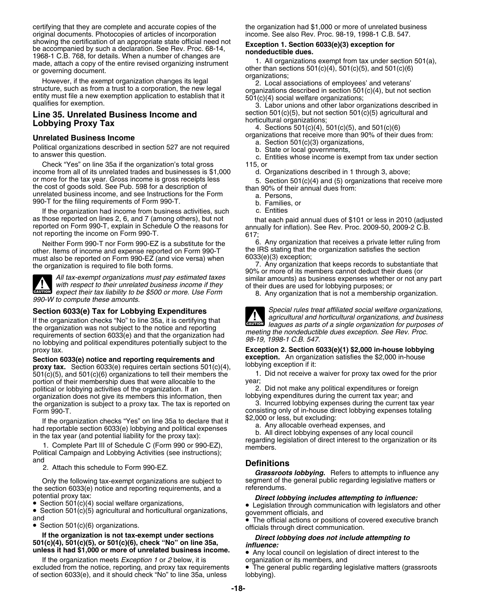certifying that they are complete and accurate copies of the the organization had \$1,000 or more of unrelated business original documents. Photocopies of articles of incorporation income. See also Rev. Proc. 98-19, 1998-1 C.B. 547.<br>Showing the certification of an appropriate state official need not **Exception 1 Section 6033(e)(3) exception** showing the certification of an appropriate state official need not<br>be accompanied by such a declaration. See Rev. Proc. 68-14,<br>1968-1 C.B. 768, for details. When a number of changes are<br>made attack a copy of the entire re made, attach a copy of the entire revised organizing instrument 1. All organizations exempt from tax under section or noverning document<br>or noverning document

or governing document.<br>
However, if the exempt organization changes its legal<br>
structure, such as from a trust to a corporation, the new legal<br>
entity must file a new exemption application to establish that it<br>
qualifies f

# **Lobbying Proxy Tax 10th and 100 mondumular organizations**; **Lobbying Proxy Tax** 4. Sections 501(c)(4), 501(c)(5), and 501(c)(6)

Political organizations described in section 527 are not required<br>to answer this question.<br>c. Entities whose income is exempt from tax under section

Check "Yes" on line 35a if the organization's total gross 115, or<br>ome from all of its unrelated trades and businesses is \$1,000 d. Organizations described in 1 through 3, above; income from all of its unrelated trades and businesses is \$1,000 or more for the tax year. Gross income is gross receipts less 5. Section 501(c)(4) and (5) organizations that receive more the cost of goods sold. See Pub. 598 for a description of than 90% of their annual dues from: unrelated business income, and see Instructions for the Form a. Persons, 990-T for the filing requirements of Form 990-T.

If the organization had income from business activities, such c. Entities as those reported on lines 2, 6, and 7 (among others), but not that each paid annual dues of \$101 or less in 2010 (adjusted reported on Form 990-T, explain in Schedule O the reasons for annually for inflation). See Rev. Pr not reporting the income on Form 990-T.

other. Items of income and expense reported on Form 990-T the IRS stating that the must also be reported on Form 990-FZ (and vice versa) when  $6033(e)(3)$  exception; must also be reported on Form 990-EZ (and vice versa) when 6033(e)(3) exception;<br>the organization is required to file both forms, 6033(e) 7. Any organization that keeps records to substantiate that



*expect their tax liability to be \$500 or more. Use Form*

If the organization checks "No" to line 35a, it is certifying that the organization checks the organization checks the notice and reporting the agues as parts of a single organization for purposes of meeting the nondeducti requirements of section 6033(e) and that the organization had<br>no lobbying and political expenditures potentially subject to the<br> $98-19$ , 1998-1 C.B. 547.

**exception.** An organization satisfies the \$2,000 in-house<br> **proxy tax.** Section 6033(e) requires certain sections 501(c)(4), lobbying exception if it:<br>
501(c)(5), and 501(c)(6) organizations to tell their members the lega  $501(c)(5)$ , and  $501(c)(6)$  organizations to tell their members the  $1$ .<br>
portion of their membership dues that were allocable to the year; portion of their membership dues that were allocable to the year;<br>political or lobbying activities of the organization. If an y 2. Did not make any political expenditures or foreign political or lobbying activities of the organization. If an 2. Did not make any political expenditures or foreig<br>1. Did not make any political expenditures or foreign or foreign organization descriptions of the current tax organization does not give its members this information, then lobbying expenditures during the current tax year; and<br>the organization is subject to a proxy tax. The tax is reported on 3. Incurred lobbying expenses during t the organization is subject to a proxy tax. The tax is reported on Form 990-T. consisting only of in-house direct lobbying expenses totaling

If the organization checks "Yes" on line 35a to declare that it<br>
had reportable section 6033(e) lobbying and political expenses<br>
in the tax year (and potential liability for the proxy tax):<br>
1. Complete Part III of Schedul

and **Definitions** 2. Attach this schedule to Form 990-EZ.

Only the following tax-exempt organizations are subject to segment of the general public regarding legislative<br>Section 6033(e) potice and reporting requirements and a the section 6033(e) notice and reporting requirements, and a

Section 501(c)(4) social welfare organizations,

 $\bullet$  Section 501(c)(5) agricultural and horticultural organizations, and

# If the organization is not tax-exempt under sections<br>501(c)(4), 501(c)(5), or 501(c)(6), check "No" on line 35a,<br>unless it had \$1,000 or more of unrelated business income.<br> $\bullet$  Any local council on logiclation of direct i

If the organization meets *Exception 1* or *2* below, it is organization or its members, and excluded from the notice, reporting, and proxy tax requirements  $\bullet$  The general public regarding legislative matters (grassroots of section 6033(e), and it should check "No" to line 35a, unless bobbying). of section 6033(e), and it should check "No" to line 35a, unless

**Line 35. Unrelated Business Income and** section 501(c)(5), but not section 501(c)(5) agricultural and **leads** horticultural organizations;

**Organizations that receive more than 90% of their dues from:**<br>**a.** Section 501(c)(3) organizations,

- 
- 
- 

Neither Form 990-T nor Form 990-EZ is a substitute for the  $\begin{array}{c} 6. \text{ Any organization that receives a private letter ruling from} \\ \text{for items of income and expense reported on Form 990-T} \end{array}$ 

the organization is required to file both forms.<br>All tax-exempt organizations must pay estimated taxes<br>All tax-exempt organizations must pay estimated taxes<br>with respect to their unrelated business income if they<br>of their

8. Any organization that is not a membership organization.



**Section 6033(e) Tax for Lobbying Expenditures** *Special rules treat affiliated social welfare organizations,*<br>If the expenization chocks "No" to line 350, it is cortifying that

proxy tax. **Exception 2. Section 6033(e)(1) \$2,000 in-house lobbying**

Grassroots *lobbying.* Refers to attempts to influence any segment of the general public regarding legislative matters or

## potential proxy tax: *Direct lobbying includes attempting to influence:* •

Legislation through communication with legislators and other •

and<br>● The official actions or positions of covered executive branch<br>● Section 501(c)(6) organizations. officials through direct communication.

Any local council on legislation of direct interest to the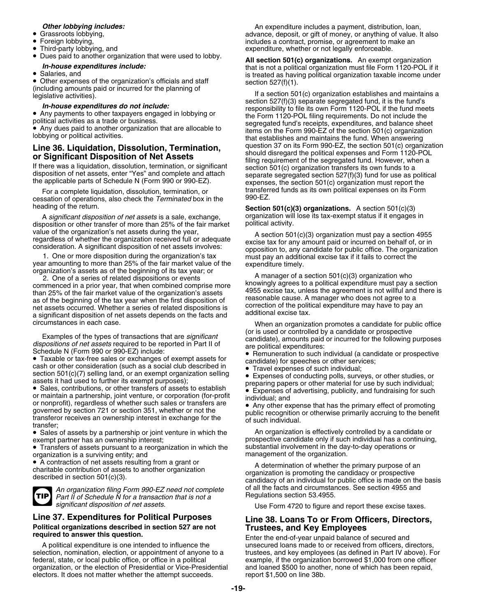- Grassroots lobbying,
- •
- Third-party lobbying, and
- Dues paid to another organization that were used to lobby.

## •

• Other expenses of the organization's officials and staff

essation of operations, also check the *Terminated* box in the

A *significant disposition of net assets* is a sale, exchange, organization will lose it is tax-<br>position or other transfer of more than 25% of the fair market apolitical activity. disposition or other transfer of more than 25% of the fair market

circumstances in each case. When an organization promotes a candidate for public office

Examples of the types of transactions that are *significant*<br>
dispositions of net assets required to be reported in Part II of<br>
Schedule N (Form 990 or 990-EZ) include:<br>
• Taxable or tax-free sales or exchanges of exempt a

cash or other consideration (such as a social club described in • Travel expenses of such individual; section  $501(c)(7)$  selling land, or an exempt organization selling

 Sales, contributions, or other transfers of assets to establish •or maintain a partnership, joint venture, or corporation (for-profit individual; and<br>or nonprofit), regardless of whether such sales or transfers are  $\bullet$  Any other expense that has the primary effect of promoting<br>governed governed by section 721 or section 351, whether or not the public recognition or otherwise primarily accruing to the benefit<br>transferor receives an ownership interest in exchange for the of such individual.<br>• Sales of asse

• Transfers of assets pursuant to a reorganization in which the substantial involvement in the day-to-day operations or organization is a surviving entity; and  $\sim$  management of the organization.

• A contraction of net assets resulting from a grant or



*Part II of Schedule N for a transaction that is not a significant disposition of net assets.*

# **Political organizations described in section 527 are not Trustees, and Key Employees required to answer this question.** Enter the end-of-year unpaid balance of secured and

A political expenditure is one intended to influence the unsecured loans made to or received from officers, directors, selection, nomination, election, or appointment of anyone to a trustees, and key employees (as defined federal, state, or local public office, or office in a political example, if the organization borrowed \$1,000 from one officer organization, or the election of Presidential or Vice-Presidential and loaned \$500 to another, none of which has been repaid, electors. It does not matter whether the attempt succeeds. report \$1,500 on line 38b. electors. It does not matter whether the attempt succeeds.

**Other lobbying includes: An expenditure includes a payment, distribution, loan, Other logical community** and **Community** and **Community** and **Community** and **Community** and **Community** and **Community** and **Community** Grassroots lobbying, and the state of the contract of advance, deposit, or gift of money, or anything of value. It also<br>Foreign lobbying, Foreign lobbying, includes a contract, promise, or agreement to make an expenditure, whether or not legally enforceable.

Dues paid to anomer organization that were used to loopy.<br> **All section 501(c) organizations.** An exempt organization<br> **All section 501(c) organizations.** An exempt organization<br>
is treated as having political organization is treated as having political organization taxable income under section  $527(f)(1)$ .

• Other expenses of the organization's officials and staff<br>(including amounts paid or incurred for the planning of<br>legislative activities).<br> **In-house expenditures do not include:**<br>
Any nayments to other taxpayers engaged Any payments to other taxpayers engaged in lobbying or<br>
• Any payments to other taxpayers engaged in lobbying or<br>
• Porm 1120-POL filing requirements. Do not include the<br>
• Any dues paid to another organization that are a Any dues paid to any due to the Form 990-EZ or the section 501(c) organization<br> **I ine 36. I inuidation Dissolution Termination** question 37 on its Form 990-EZ, the section 501(c) organization **Line 36. Liquidation, Dissolution, Termination,**<br> **or Significant Disposition of Net Assets**<br>
If there was a liquidation, dissolution, termination, or significant<br>
If there was a liquidation, dissolution, termination, or For a complete liquidation, dissolution, termination, or **transferred funds as its own political ex**penses on its Form<br>sation of operations, also check the *Terminated* box in the *S*990-EZ.

heading of the return.<br>**Section 501(c)(3) organizations.** A section 501(c)(3) heading of the return.<br>A significant disposition of net assets is a sale exchange organization will lose its tax-exempt status if it engages in

value of the organization's net assets during the year,<br>
regardless of whether the organization received full or adequate<br>
consideration. A significant disposition of net assets involves:<br>
1. One or more disposition during

1. One or more disposition during the organization's tax<br>
year amounting to more than 25% of the fair market value of the<br>
organization's assets as of the beginning of its tax year; or<br>
2. One of a series of related dispos

• Remuneration to such individual (a candidate or prospective candidate) for speeches or other services;

Section 501(c)(*i*) selling land, or an exempt organization selling<br>assets of conducting polls, surveys, or other studies, or<br>Sales, contributions, or other transfers of assets to establish<br>expenses of advertising, publici

• Sales of assets by a partnership or joint venture in which the An organization is effectively controlled by a candidate or exempt partner has an ownership interest;<br>• Transfers of assets pursuant to a reorganization in which the substantial involvement in the day-to-day operations or

• A contraction of het assets resulting from a grant of and the A determination of whether the primary purpose of an charitable contribution of assets to another organization<br>described in section 501(c)(3).<br>candidacy of an *An organization filing Form 990-EZ need not complete* of all the facts and circumstances. See section 4955 and

Use Form 4720 to figure and report these excise taxes.

# **Line 37. Expenditures for Political Purposes Line 38. Loans To or From Officers, Directors,**

trustees, and key employees (as defined in Part IV above). For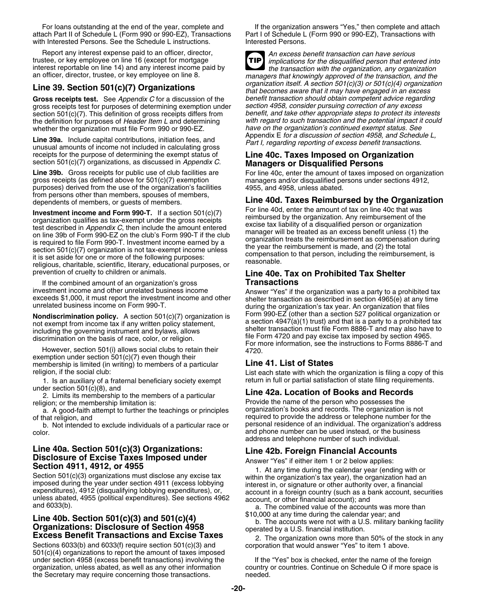attach Part II of Schedule L (Form 990 or 990-EZ), Transactions Part I of Schedule L (Form 990 or 990-EZ), Transactions with with Interested Persons. See the Schedule L instructions.

Report any interest expense paid to an officer, director, *An excess benefit transaction can have serious* trustee, or key employee on line 16 (except for mortgage

**Gross receipts test.** See *Appendix C* for a discussion of the *benefit transaction should obtain competent advice regarding* gross receipts test for purposes of determining exemption under section 4958, consider pursuing correction of any excess<br>section 501(c)(7). This definition of gross receipts differs from benefit, and take other appropriate section 501(c)(7). This definition of gross receipts differs from *benefit, and take other appropriate steps to protect its interests* the definition for purposes of *Header Item L* and determining *with regard to such transaction and the potential impact it*<br>whether the organization must file Form 990 or 990-EZ.<br>have on the organization's continued exemp

Line 39a. Include capital contributions, initiation fees, and<br>unusual amounts of income not included in calculating gross<br>receipts for the purpose of determining the exempt status of<br>**Line 40c. Taxes Imposed on Organizatio** receipts for the purpose of determining the exempt status of **Line 40c. Taxes Imposed on Organization** section 501(c)(7) organizations, as discussed in *Appendix C*. **Managers or Disqualified Persons**

purposes) derived from the use of the organization's facilities from persons other than members, spouses of members, dependents of members, or guests of members.<br> **Line 40d. Taxes Reimbursed by the Organization**<br>
For line 40d, enter the amount of tax on line 40c that was

**Investment income and Form 990-T.** If a section 501(c)(7) For line 40d, enter the amount of tax on line 40c that was<br>organization qualifies as tax-exempt under the gross receipts<br>test described in *Appendix C*, then inclu prevention of cruelty to children or animals. **Line 40e. Tax on Prohibited Tax Shelter**

If the combined amount of an organization's gross **Transactions**

**Nondiscrimination policy.** A section 501(c)(7) organization is Form 990-EZ (other than a section 527 political organization or not exempt from income tax if any written policy statement,

exemption under section 501(c)(7) even though their membership is limited (in writing) to members of a particular **Line 41. List of States**

1. Is an auxiliary of a fraternal beneficiary society exempt under section  $501(c)(8)$ , and

under section 501(c)(8), and **Line 42a. Location of Books and Records** 2. Limits its membership to the members of a particular

a. A good-faith attempt to further the teachings or principles

b. Not intended to exclude individuals of a particular race or color. and phone number can be used instead, or the business

**Line 40a. Section 501(c)(3) Organizations:**<br> **Disclosure of Excise Taxes Imposed under**<br> **Section 4911, 4912, or 4955**<br>
Section 501(c)(3) organizations must disclose any excise tax<br>
imposed during the calendar year (endin

# Line 40b. Section 501(c)(3) and 501(c)(4)<br>Organizations: Disclosure of Section 4958<br>Excess Benefit Transactions and Excise Taxes<br>Excess Benefit Transactions and Excise Taxes<br>2. The organization owns more than 50% of the st

Sections 6033(b) and 6033(f) require section 501(c)(3) and corporation that would answer "Yes" to item 1 above. 501(c)(4) organizations to report the amount of taxes imposed under section 4958 (excess benefit transactions) involving the If the "Yes" box is checked, enter the name of the foreign the Secretary may require concerning those transactions.

For loans outstanding at the end of the year, complete and If the organization answers "Yes," then complete and attach

trustee, or key employee on line 16 (except for mortgage<br>interest reportable on line 14) and any interest income paid by<br>an officer, director, trustee, or key employee on line 8.<br>managers that knowingly approved of the tra **TIP** managers that knowingly approved of the transaction, and the *organization itself. A section 501(c)(3) or 501(c)(4) organization* **Line 39. Section 501(c)(7) Organizations** *that becomes aware that it may have engaged in an excess* whether the organization must file Form 990 or 990-EZ.<br>Appendix E for a discussion of section 4958, and Schedule L,

Line 39b. Gross receipts for public use of club facilities are For line 40c, enter the amount of taxes imposed on organization gross receipts (as defined above for 501(c)(7) exemption managers and/or disqualified persons u managers and/or disqualified persons under sections 4912, 4955, and 4958, unless abated.

investment income and other unrelated business income<br>exceeds \$1,000, it must report the investment income and other<br>unrelated business income on Form 990-T.<br>Nondiscrimination policy A section 501/c)/7) croanization is<br>Non including the governing instrument and bylaws, allows<br>discrimination on the basis of race, color, or religion.<br>However, section 501(i) allows social clubs to retain their<br>However, section 501(i) allows social clubs to reta

religion, if the social club: List each state with which the organization is filing a copy of this<br>1. Is an auxiliary of a fraternal beneficiary society exempt return in full or partial satisfaction of state filing require

Provide the name of the person who possesses the<br>organization's books and records. The organization is not of that religion, and<br>b. Not intended to exclude individuals of a particular race or personal residence of an individual. The organization's address address and telephone number of such individual.

organization, unless abated, as well as any other information country or countries. Continue on Schedule O if more space is the Secretary may require concerning those transactions.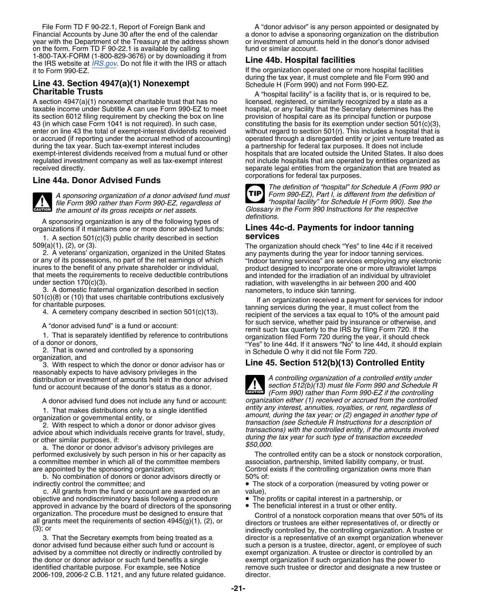Financial Accounts by June 30 after the end of the calendar and donor to advise a sponsoring organization on the distribution<br>vear with the Department of the Treasury at the address shown or investment of amounts held in t year with the Department of the Treasury at the address shown or investment of amount on the form. Form TD F 90-22.1 is available by calling fund or similar account. on the form. Form TD F 90-22.1 is available by calling<br>1-800-TAX-FORM (1-800-829-3676) or by downloading it from 1-800-TAX-FORM (1-800-829-3676) or by downloading it from **Line 44b. Hospital facilities** the IRS website at *[IRS.gov](http://www.irs.gov)*. Do not file it with the IRS or attach it to Form 990-EZ. **If the organization operated one or more hospital facilities** 

A section 4947(a)(1) nonexempt charitable trust that has no licensed, registered, or similarly recognized by a state as a<br>taxable income under Subtitle A can use Form 990-EZ to meet hospital, or any facility that the Secre its section 6012 filing requirement by checking the box on line provision of hospital care as its principal function or purpose<br>43 (in which case Form 1041 is not required). In such case, constituting the basis for its exe 43 (in which case Form 1041 is not required). In such case, constituting the basis for its exemption under section 501(c)(3), enter on line 43 the total of exempt-interest dividends received without regard to section 501(r regulated investment company as well as tax-exempt interest not include hospitals that are operated by entities organized as<br>separate legal entities from the organization that are treated as

## corporations for federal tax purposes. **Line 44a. Donor Advised Funds**

**CAUTION !**

*A sponsoring organization of a donor advised fund must Form 990-EZ), Part I, is different from the definition of file Form 990 rather than Form 990-EZ, regardless of the amount of its gross receipts or net assets.* Glossary *in* Glossary in the *amount of its gross receipts or net assets*.

A sponsoring organization is any of the following types of<br>ganizations if it maintains one or more donor advised funds: **Lines 44c-d. Payments for indoor tanning** organizations if it maintains one or more donor advised funds: **LINES 44**<br>**Lines 44crom 501(c)(3)** public charity described in section

1. A section 501(c)(3) public charity described in section

2. A veterans' organization, organized in the United States any payments during the year for indoor tanning services. inures to the benefit of any private shareholder or individual, product designed to incorporate one or more ultraviolet lamps that meets the requirements to receive deductible contributions and intended for the irradiation of an individual by ultraviolet<br>under section 170(c)(3).

3. A domestic fraternal organization described in section nanometers, to induce skin tanning 501(c)(8) or (10) that uses charitable contributions exclusively

reasonably expects to have advisory privileges in the distribution or investment of amounts held in the donor advised *A controlling organization of a controlled entity under* fund or account because of the donor's status as a donor. *section 512(b)(13) must file Form 990 and Schedule R*

a committee member in which all of the committee members

b. No combination of donors or donor advisors directly or indirectly control the committee; and

c. All grants from the fund or account are awarded on an value),<br>ective and nondiscriminatory basis following a procedure • The profits or capital interest in a partnership, or objective and nondiscriminatory basis following a procedure approved in advance by the board of directors of the sponsoring • The beneficial interest in a trust or other entity.

advised by a committee not directly or indirectly controlled by the donor or donor advisor or such fund benefits a single exempt organization if such organization has the power to 2006-109, 2006-2 C.B. 1121, and any future related guidance. director.

File Form TD F 90-22.1, Report of Foreign Bank and **A** "donor advisor" is any person appointed or designated by

during the tax year, it must complete and file Form 990 and<br>Schedule H (Form 990) and not Form 990-EZ.

**Charitable Trusts Charitable Trusts** A "hospital facility" is a facility that is, or is required to be, hospital, or any facility that the Secretary determines has the without regard to section 501(r). This includes a hospital that is or accrued (if reporting under the accrual method of accounting) operated through a disregarded entity or joint venture treated as a partnership for federal tax purposes. It does not include exempt-interest dividends received from a mutual fund or other hospitals that are located outside the United States. It also does separate legal entities from the organization that are treated as

**TIP**

*The definition of "hospital" for Schedule A (Form 990 or "hospital facility" for Schedule H (Form 990). See the*

509(a)(1), (2), or (3). The organization should check "Yes" to line 44c if it received or any of its possessions, no part of the net earnings of which "Indoor tanning services" are services employing any electronic<br>inures to the benefit of any private shareholder or individual, product designed to incorporat radiation, with wavelengths in air between 200 and 400

France of the services of the distribution of the services of the distribution is exclusively<br>4. A cemetery company described in section 501(c)(13).<br>A services a tax equal to 10% of the amount paid<br>for such services, wheth A "donor advised fund" is a fund or account:<br>
1. That is separately identified by reference to contributions<br>
organization filed Form 720 during the IRS by filing Form 720. If the<br>
organization filed Form 720 during the y

## 3. With respect to which the donor or donor advisor has or **Line 45. Section 512(b)(13) Controlled Entity**

*(Form 990) rather than Form 990-EZ if the controlling* **CAUTION !** A donor advised fund does not include any fund or account: *organization either (1) received or accrued from the controlled* 1. That makes distributions only to a single identified<br>organization or governmental entity, or<br>2. With respect to which a donor or donor advisor gives<br>advice about which individuals receive grants for travel, study,<br>or ot

performed exclusively by such person in his or her capacity as The controlled entity can be a stock or nonstock corporation, a committee member in which all of the committee members association, partnership, limited liabil are appointed by the sponsoring organization; Control exists if the controlling organization owns more than<br>b. No combination of donors or donor advisors directly or 50% of:

• The stock of a corporation (measured by voting power or value).

- 
- 

organization. The procedure must be designed to ensure that all grants meet the requirements of section 4945(g)(1), (2), or<br>all grants meet the requirements of section 4945(g)(1), (2), or<br>(3); or<br>3. That the Secretary exem director is a representative of an exempt organization whenever donor advised fund because either such fund or account is such a person is a trustee, director, agent, or employee of such<br>advised by a committee not directly or indirectly controlled by exempt organization. A trustee or d identified charitable purpose. For example, see Notice remove such trustee or director and designate a new trustee or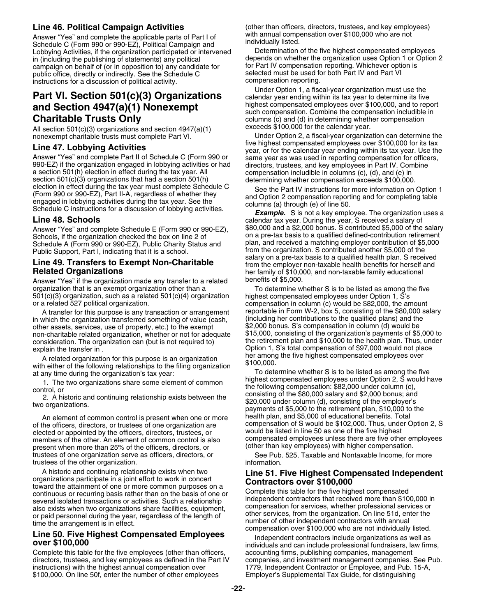Answer "Yes" and complete the applicable parts of Part I of with annual compensation over \$100,000 who are not<br>Schedule C (Form 990 or 990-EZ), Political Campaign and individually listed.<br>Lobbying Activities, if the organi Lobbying Activities, if the organization participated or intervened<br>in (including the publishing of statements) any political depends on whether the organization uses Option 1 or Option 2 in (including the publishing of statements) any political depends on whether the organization uses Option 1 or C<br>campaign on behalf of (or in opposition to) any candidate for for Part IV compensation reporting. Whichever o campaign on behalf of (or in opposition to) any candidate for for Part IV compensation reporting. Whichever opti<br>public office, directly or indirectly. See the Schedule C<br>selected must be used for both Part IV and Part VI public office, directly or indirectly. See the Schedule C selected must be used for both part instructions for a discussion of political activity. instructions for a discussion of political activity.

# and Section 4947(a)(1) Nonexempt<br>
Such compensation. Combine the compensation includible in<br>
columns (c) and (d) in determining whether compensation<br>
columns (c) and (d) in determining whether compensation

All section 501(c)(3) organizations and section 4947(a)(1) nonexempt charitable trusts must complete Part VI.

section 501(c)(3) organizations that had a section 501(h) determining whether compensation exceeds \$100,000.<br>
election in effect during the tax year must complete Schedule C<br>
(Form 990 or 990-EZ), Part II-A, regardless of

Schedule A (Form 990 or 990-EZ), Public Charity Status and

Answer "Yes" if the organization made any transfer to a related organization that is an exempt organization other than a To determine whether S is to be listed as among the five<br>501(c)(3) organization, such as a related 501(c)(4) organization highest compensated employees under Option  $501(c)(3)$  organization, such as a related  $501(c)(4)$  organization or a related 527 political organization.

A transfer for this purpose is any transaction or arrangement reportable in Form W-2, box 5, consisting of the \$80,000 s<br>which the organization transferred something of value (cash (including her contributions to the quali in which the organization transferred something of value (cash, (including her contributions to the qualified plans) and the organization transferred something of value (cash,  $\$2,000$  bonus. S's compensation in column (d other assets, services, use of property, etc.) to the exempt \$2,000 bonus. S's compensation in column (d) would be<br>non-charitable related organization, whether or not for adequate \$15,000, consisting of the organization's non-charitable related organization, whether or not for adequate \$15,000, consisting of the organization's payments of \$5,000 to<br>consideration. The organization can (but is not required to) the retirement plan and \$10,000 consideration. The organization can (but is not required to) explain the transfer in .

her among the fallowing the five highest compensation with either of the following relationships to the filing organization  $$100,000$ . at any time during the organization's tax year: To determine the following relationshi

An element of common control is present when one or more health plan, and \$5,000 of educational benefits. Total members of the other. An element of common control is also compensated employees unless there are five other en<br>
compensation (other than key employees) with higher compensation. present when more than 25% of the officers, directors, or trustees of one organization serve as officers, directors, or See Pub. 525, Taxable and Nontaxable Income, for more trustees of the other organization. The state of the other organization.

A historic and continuing relationship exists when two<br>
torganizations participate in a joint effort to work in concert<br>
toward the attainment of one or more common purposes on a<br>
continuous or recurring basis rather than

Complete this table for the five employees (other than officers, accounting firms, publishing companies, management directors, trustees, and key employees as defined in the Part IV companies, and investment management companies. See Pub.<br>instructions) with the highest annual compensation over 1779, Independent Contractor or Employee, an \$100,000. On line 50f, enter the number of other employees

**Line 46. Political Campaign Activities** (other than officers, directors, trustees, and key employees)<br>Answer "Yes" and complete the applicable parts of Part Lof with annual compensation over \$100,000 who are not

Under Option 1, a fiscal-year organization must use the<br> **Part VI. Section 501(c)(3) Organizations**<br> **Part Section 4047(a)(1) Nonoxompt** highest compensated employees over \$100,000, and to report columns (c) and (d) in determining whether compensation exceeds \$100,000 for the calendar year.

Under Option 2, a fiscal-year organization can determine the five highest compensated employees over \$100,000 for its tax **Line 47. Lobbying Activities**<br>
Answer "Yes" and complete Part II of Schedule C (Form 990 or<br>
990-EZ) if the organization engaged in lobbying activities or had<br>
990-EZ) if the organization engaged in lobbying activities o

Line 48. Schools<br>Answer "Yes" and complete Schedule F (Form 990 or 990-F7) \$80,000 and a \$2,000 bonus. S contributed \$5,000 of the salary Answer "Yes" and complete Schedule E (Form 990 or 990-EZ), \$80,000 and a \$2,000 bonus. S contributed \$5,000 of the salary<br>Schools, if the organization checked the box on line 2 of organization a pre-tax basis to a qualifie Schools, if the organization checked the box on line 2 of on a pre-tax basis to a qualified defined-contribution retirement<br>Schedule A (Form 990 or 990-FZ), Public Charity Status and plan, and received a matching employer Public Support, Part I, indicating that it is a school. from the organization. S contributed another \$5,000 of the<br>A salary on a pre-tax basis to a qualified health plan. S received **Exempt Non-Charitable Line 49. Transfers to Exempt Non-Charitable Line is a pre-tax benefits for herself and**<br>Related Organizations **Related Organizations for her family of \$10.000**, and non-taxable family education her family of \$10,000, and non-taxable family educational benefits of \$5,000.

> compensation in column (c) would be \$82,000, the amount reportable in Form W-2, box 5, consisting of the \$80,000 salary Option 1, S's total compensation of \$97,000 would not place her among the five highest compensated employees over

To determine whether S is to be listed as among the five highest compensated employees under Option 2, S would have 1. The two organizations share some element of common<br>control, or<br>2. A historic and continuing relationship exists between the<br>two organizations.<br>two organizations.<br>two organizations.<br>two organizations.<br>two organizations. of the officers, directors, or trustees of one organization are compensation of S would be \$102,000. Thus, under Option 2, S<br>elected or appointed by the officers directors trustees or would be listed in line 50 as one of t elected or appointed by the officers, directors, trustees, or would be listed in line 50 as one of the five highest<br>members of the other. An element of common control is also compensated employees unless there are five oth

1779, Independent Contractor or Employee, and Pub. 15-A,<br>Employer's Supplemental Tax Guide, for distinguishing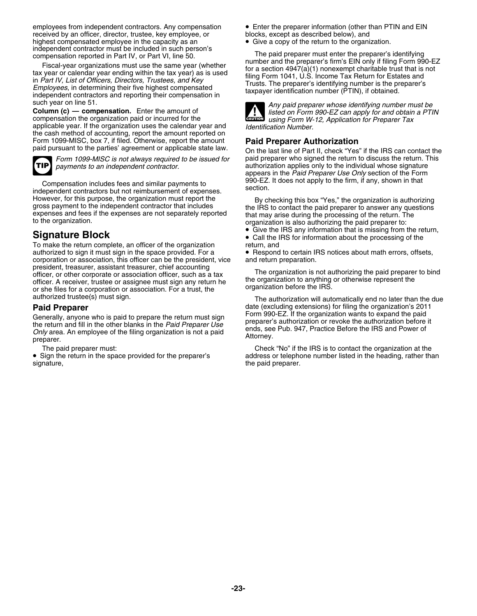employees from independent contractors. Any compensation • Enter the preparer information (other than PTIN and EIN received by an officer, director, trustee, key employee, or blocks, except as described below), and<br>highest compensated employee in the capacity as an **except as a** Copy of the return to the organization. highest compensated employee in the capacity as an independent contractor must be included in such person's

applicable year. If the organization uses the calendar year and the cash method of accounting, report the amount reported on Form 1099-MISC, box 7, if filed. Otherwise, report the amount Form 1099-MISC, box 7, if filed. Otherwise, report the amount<br>paid pursuant to the parties' agreement or applicable state law. On the last line of Part II, check "Yes" if the IRS can contact the



Compensation includes fees and similar payments to state independent contractors but not reimbursement of expenses. However, for this purpose, the organization must report the By checking this box "Yes," the organization is authorizing<br>gross payment to the independent contractor that includes<br>expenses and fees if the expenses are not se

To make the return complete, an officer of the organization authorized to sign it must sign in the space provided. For a corporation or association, this officer can be the president, vice and return preparation.<br>president, treasurer, assistant treasurer, chief accounting officer, or other corporate or association officer, such as a tax<br>officer association of the entries of association of the expansion as a tax<br>officer. A receiver, trustee or assignee must sign any return he<br>or she files fo

Generally, anyone who is paid to prepare the return must sign<br>the return and fill in the other blanks in the *Paid Preparer Use*<br>Only area. An employee of the filing organization is not a paid<br>preparer's authorization or r

• Sign the return in the space provided for the preparer's signature, the paid preparer.

independent contractor must be included in such person's<br>
compensation reported in Part IV, or Part VI, line 50.<br>
Fiscal-year organizations must use the same year (whether<br>
tax year or calendar year ending within the tax y



such year on line 51.<br> **Column (c) — compensation.** Enter the amount of<br>
compensation the organization paid or incurred for the<br>
applicable year. If the organization uses the calendar year and<br> *dentification Number.*<br> *de* 

*Form 1099-MISC is not always required to be issued for* paid preparer who signed the return to discuss the return. This payments to an independent contractor. authorization applies only to the individual whose signature appears in the *Paid Preparer Use Only* section of the Form

- Give the IRS any information that is missing from the return, Gignature Block<br>To make the return complete, an officer of the organization<br>To make the return, and
	- Respond to certain IRS notices about math errors, offsets,

authorized trustee(s) must sign. The authorization will automatically end no later than the due **Paid Preparer**<br>Constraint any one of the series the return must eign and the paid Form 990-EZ. If the organization wants to expand the paid

The paid preparer must: Check "No" if the IRS is to contact the organization at the address or telephone number listed in the heading, rather than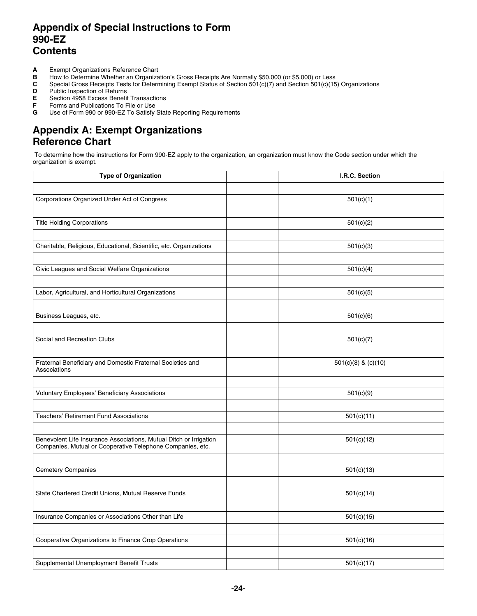## **Appendix of Special Instructions to Form 990-EZ Contents**

- **A** Exempt Organizations Reference Chart<br>**B** How to Determine Whether an Organiza
- **B** How to Determine Whether an Organization's Gross Receipts Are Normally \$50,000 (or \$5,000) or Less **C** Special Gross Receipts Tests for Determining Exempt Status of Section 501(c)(7) and Section 501(c)(15
- **C** Special Gross Receipts Tests for Determining Exempt Status of Section 501(c)(7) and Section 501(c)(15) Organizations
- 
- **D** Public Inspection of Returns<br>**E** Section 4958 Excess Benefit **E** Section 4958 Excess Benefit Transactions
- **F** Forms and Publications To File or Use
- **G** Use of Form 990 or 990-EZ To Satisfy State Reporting Requirements

## **Appendix A: Exempt Organizations Reference Chart**

 To determine how the instructions for Form 990-EZ apply to the organization, an organization must know the Code section under which the organization is exempt.

| <b>Type of Organization</b>                                                                                                      | I.R.C. Section          |
|----------------------------------------------------------------------------------------------------------------------------------|-------------------------|
|                                                                                                                                  |                         |
| Corporations Organized Under Act of Congress                                                                                     | 501(c)(1)               |
|                                                                                                                                  |                         |
| <b>Title Holding Corporations</b>                                                                                                | 501(c)(2)               |
|                                                                                                                                  |                         |
| Charitable, Religious, Educational, Scientific, etc. Organizations                                                               | 501(c)(3)               |
|                                                                                                                                  |                         |
| Civic Leagues and Social Welfare Organizations                                                                                   | 501(c)(4)               |
|                                                                                                                                  |                         |
| Labor, Agricultural, and Horticultural Organizations                                                                             | 501(c)(5)               |
|                                                                                                                                  |                         |
| Business Leagues, etc.                                                                                                           | 501(c)(6)               |
|                                                                                                                                  |                         |
| Social and Recreation Clubs                                                                                                      | 501(c)(7)               |
|                                                                                                                                  |                         |
| Fraternal Beneficiary and Domestic Fraternal Societies and<br>Associations                                                       | $501(c)(8)$ & $(c)(10)$ |
|                                                                                                                                  |                         |
| <b>Voluntary Employees' Beneficiary Associations</b>                                                                             | 501(c)(9)               |
|                                                                                                                                  |                         |
| <b>Teachers' Retirement Fund Associations</b>                                                                                    | 501(c)(11)              |
|                                                                                                                                  |                         |
| Benevolent Life Insurance Associations, Mutual Ditch or Irrigation<br>Companies, Mutual or Cooperative Telephone Companies, etc. | 501(c)(12)              |
|                                                                                                                                  |                         |
| <b>Cemetery Companies</b>                                                                                                        | 501(c)(13)              |
|                                                                                                                                  |                         |
| State Chartered Credit Unions, Mutual Reserve Funds                                                                              | 501(c)(14)              |
|                                                                                                                                  |                         |
| Insurance Companies or Associations Other than Life                                                                              | 501(c)(15)              |
|                                                                                                                                  |                         |
| Cooperative Organizations to Finance Crop Operations                                                                             | 501(c)(16)              |
|                                                                                                                                  |                         |
| Supplemental Unemployment Benefit Trusts                                                                                         | 501(c)(17)              |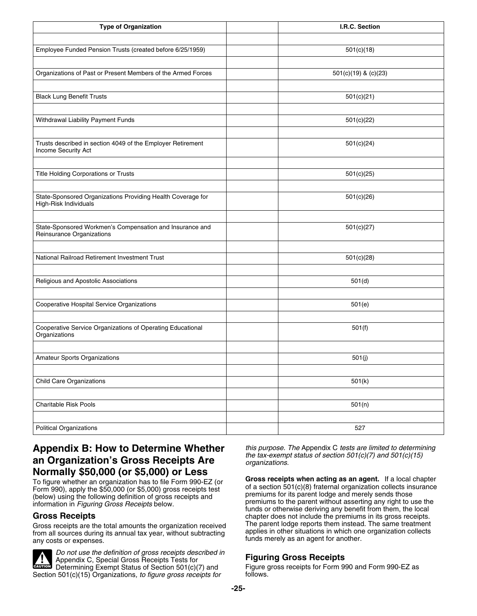| <b>Type of Organization</b>                                                           | I.R.C. Section       |
|---------------------------------------------------------------------------------------|----------------------|
|                                                                                       |                      |
| Employee Funded Pension Trusts (created before 6/25/1959)                             | 501(c)(18)           |
|                                                                                       |                      |
| Organizations of Past or Present Members of the Armed Forces                          | 501(c)(19) & (c)(23) |
|                                                                                       |                      |
| <b>Black Lung Benefit Trusts</b>                                                      | 501(c)(21)           |
|                                                                                       |                      |
| Withdrawal Liability Payment Funds                                                    | 501(c)(22)           |
|                                                                                       |                      |
| Trusts described in section 4049 of the Employer Retirement<br>Income Security Act    | 501(c)(24)           |
|                                                                                       |                      |
| Title Holding Corporations or Trusts                                                  | 501(c)(25)           |
|                                                                                       |                      |
| State-Sponsored Organizations Providing Health Coverage for<br>High-Risk Individuals  | 501(c)(26)           |
|                                                                                       |                      |
| State-Sponsored Workmen's Compensation and Insurance and<br>Reinsurance Organizations | 501(c)(27)           |
|                                                                                       |                      |
| National Railroad Retirement Investment Trust                                         | 501(c)(28)           |
|                                                                                       |                      |
| Religious and Apostolic Associations                                                  | 501(d)               |
|                                                                                       |                      |
| Cooperative Hospital Service Organizations                                            | 501(e)               |
|                                                                                       |                      |
| Cooperative Service Organizations of Operating Educational<br>Organizations           | 501(f)               |
|                                                                                       |                      |
| <b>Amateur Sports Organizations</b>                                                   | 501(j)               |
|                                                                                       |                      |
| <b>Child Care Organizations</b>                                                       | 501(k)               |
|                                                                                       |                      |
| Charitable Risk Pools                                                                 | 501(n)               |
|                                                                                       |                      |
| <b>Political Organizations</b>                                                        | 527                  |

## **Appendix B: How to Determine Whether** *this purpose. The* Appendix C *tests are limited to determining the tax-exempt status of section 501(c)(7) and 501(c)(15)* **an Organization's Gross Receipts Are** *organizations.*

Gross receipts are the total amounts the organization received<br>from all sources during its annual tax vear, without subtracting applies in other situations in which one organization collects from all sources during its annual tax year, without subtracting any costs or expenses.



*Do not use the definition of gross receipts described in* Appendix C, Special Gross Receipts Tests for **Figuring Gross Receipts** Determining Exempt Status of Section 501(c)(7) and Figure gross receipts for Form 990 and Form 990-EZ as **CAUTION** Section 501(c)(15) Organizations*, to figure gross receipts for* follows.

**Normally \$50,000 (or \$5,000) or Less**<br>To figure whether an organization has to file Form 990-EZ (or<br>Form 990), apply the \$50,000 (or \$5,000) gross receipts test<br>(below) using the following definition of gross receipts and Funds or otherwise deriving any benefit from them, the local<br>
Gross Receipts<br>
Gross receipts are the total amounts the organization received<br>
The parent lodge reports them instead. The same treatment funds merely as an agent for another.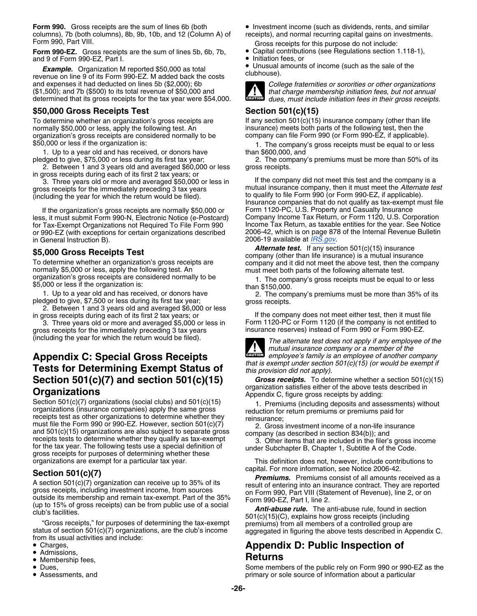**Form 990.** Gross receipts are the sum of lines 6b (both • Investment income (such as dividends, rents, and similar columns), 7b (both columns), 8b, 9b, 10b, and 12 (Column A) of receipts), and normal recurring capital gains on investments.

**Form 990-EZ.** Gross receipts are the sum of lines 5b, 6b, 7b, **•** Capital contribution fees, or<br>and 9 of Form 990-EZ, Part I. and 9 of Form 990-EZ, Part I.

**Example.** Organization M reported \$50,000 as total **CONTING CONTING.** The venue on line 9 of its Form 990-EZ. M added back the costs and expenses it had deducted on lines 5b (\$2,000); 6b *College fraternities or sororities or other organizations* (\$1,500); and 7b (\$500) to its total revenue of \$50,000 and *that charge membership initiation fees, but not annual* determined that its gross receipts for the tax year were \$54,000.

## **\$50,000 Gross Receipts Test Section 501(c)(15)**

normally \$50,000 or less, apply the following test. An insurance) meets both parts of the following test, then the organization's gross receipts are considered normally to be company can file Form 990 (or Form 990-EZ, if a

1. Up to a year old and has received, or donors have than \$600,000, and

2. Between 1 and 3 years old and averaged \$60,000 or less gross receipts. in gross receipts during each of its first 2 tax years; or

for Tax-Exempt Organizations not Required To File Form 990 Income Tax Return, as taxable entities for the year. See Notice<br>or 990-EZ (with exceptions for certain organizations described 2006-42, which is on page 878 of the or 990-EZ (with exceptions for certain organizations described 2006-19 available at *[IRS.gov](http://www.irs.gov)*. in General Instruction B).

1. Up to a year old and has received, or donors have pledged to give, \$7,500 or less during its first tax year;<br>2. Between 1 and 3 years old and averaged \$6,000 or less in gross receipts.<br>2. Between 1 and 3 years old and a

3. Three years old or more and averaged \$5,000 or less in Form 1120-PC or Form 1120 (if the company is not entitle<br>Insurance reserves) instead of Form 990 or Form 990-EZ. gross receipts for the immediately preceding 3 tax years

# **Appendix C: Special Gross Receipts** *caused employee's family is*<br>**Tests for Determining Exempt Status of** *this provision did not apply).* **Organizations**<br> **Organizations**<br>
Section 501(c)(7) organizations (social clubs) and 501(c)(15) <br> **Appendix C, figure gross receipts by adding:**<br> **Appendix C, figure gross receipts by adding:**<br> **Appendix C, figure gross re**

Section 501(c)(*l*) organizations (social clubs) and 501(c)(15) 1. Premiums (including deposits and assessments) without reduction for return premiums or premiums paid for receipts test as other organizations to determine and 501(c)(15) organizations are also subject to separate gross<br>receipts tests to determine whether they qualify as tax-exempt<br>for the tax year. The following tests use a special definition of<br>gross receipts for purposes o

**Section 501(c)(7)**<br>
A section 501(c)(7) organization can receive up to 35% of its<br>
gross receipts, including investment income, from sources<br>
on Form 990, Part VIII (Statement of Revenue), line 2, or on<br>
cutside its memb

- Charges,
- Admissions,
- Admissions, **Returns Returns**
- Dues.
- Assessments, and
- 
- Gross receipts for this purpose do not include:<br>• Capital contributions (see Regulations section 1.118-1),
	-

• Unusual amounts of income (such as the sale of the



**CAUTION**

To determine whether an organization's gross receipts are  $\frac{1}{10}$  in any section 501(c)(15) insurance company (other than life company can file Form 990 (or Form 990-EZ, if applicable).

\$50,000 or less if the organization is: 1. The company's gross receipts must be equal to or less

pledged to give, \$75,000 or less during its first tax year; 2. The company's premiums must be more than 50% of its

3. Three years old or more and averaged \$50,000 or less in If the company did not meet this test and the company is a gross receipts for the immediately preceding 3 tax years mutual insurance company, then it must meet the gross receipts for the immediately preceding 3 tax years mutual insurance company, then it must meet the *Alternate test*<br>(including the year for which the return would be filed). Insurance companies that do not qualify as tax-exempt must file If the organization's gross receipts are normally \$50,000 or Form 1120-PC, U.S. Property and Casualty Insurance<br>s. it must submit Form 990-N. Electronic Notice (e-Postcard) Company Income Tax Return, or Form 1120, U.S. Cor less, it must submit Form 990-N, Electronic Notice (e-Postcard) Company Income Tax Return, or Form 1120, U.S. Corporation<br>for Tax-Exempt Organizations not Required To File Form 990 lncome Tax Return, as taxable entities fo

\$5,000 Gross Receipts Test<br>To determine whether an organization's gross receipts are<br>normally \$5,000 or less, apply the following test. An<br>organization's gross receipts are considered normally to be<br>\$5,000 or less if the o

in gross receipts during each of its first 2 tax years; or If the company does not meet either test, then it must file<br>3. Three vears old or more and averaged \$5,000 or less in Form 1120-PC or Form 1120 (if the company is



(including the year for which the return would be filed). *The alternate test does not apply if any employee of the mutual insurance company or a member of the employee's family is an employee of another company* **CAUTION !**

**Section 501(c)(7) and section 501(c)(15)** *Gross receipts.* To determine whether a section 501(c)(15)

This definition does not, however, include contributions to

# Appendix D: Public Inspection of

Some members of the public rely on Form 990 or 990-EZ as the primary or sole source of information about a particular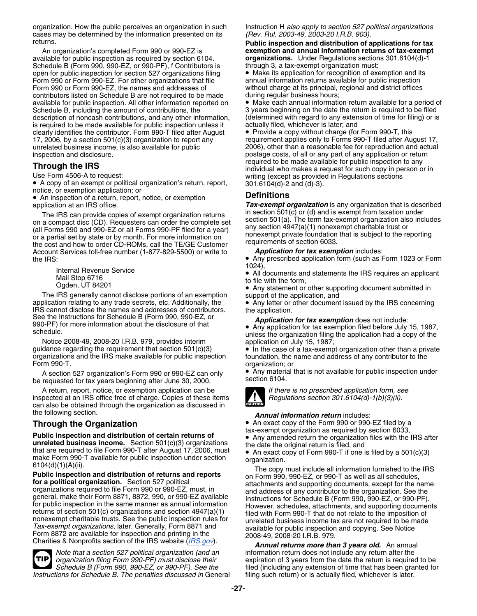organization. How the public perceives an organization in such Instruction H *also apply to section 527 political organizations* cases may be determined by the information presented on its *(Rev. Rul. 2003-49, 2003-20 I.R.B. 903).*

available for public inspection as required by section 6104. **organizations.** Under Regulations section<br>Schedule B (Form 990, 990-EZ, or 990-PF), f Contributors is bethrough 3, a tax-exempt organization must: Schedule B (Form 990, 990-EZ, or 990-PF), f Contributors is through 3, a tax-exempt organization must:<br>open for public inspection for section 527 organizations filing • Make its application for recognition of exemption and open for public inspection for section 527 organizations filing • Make its application for recognition of exemption and it<br>Form 990 or Form 990-EZ. For other organizations that file entity annual information returns availa Form 990 or Form 990-EZ. For other organizations that file Form 990 or Form 990-EZ, the names and addresses of contributors listed on Schedule B are not required to be made during regular business hours;<br>available for public inspection. All other information reported on • Make each annual information return available for a period o available for public inspection. All other information reported on Schedule B, including the amount of contributions, the description of noncash contributions, and any other information, (determined with regard to any exten<br>is required to be made available for public inspection unless it actually filed, whichever is later; and is required to be made available for public inspection unless it actually filed, whichever is later; and<br>clearly identifies the contributor. Form 990-T filed after August • Provide a copy without charge (for Form 990-T, th clearly identifies the contributor. Form 990-T filed after August 17, 2006, by a section 501(c)(3) organization to report any unrelated business income, is also available for public 2006), other than a reasonable fee for reproduction and actual

• A copy of an exempt or political organization's return, report, 301.6104(d)-2 and (d)-3). notice, or exemption application; or

• An inspection of a return, report, notice, or exemption **Definitions**

The IRS can provide copies of exempt organization returns<br>on a compact disc (CD). Requesters can order the complete set<br>(all Forms 990 and 990-EZ or all Forms 990-PF filed for a year)<br>or a partial set by state or by month. Account Services toll-free number (1-877-829-5500) or write to

Internal Revenue Service<br>Mail Stop 6716

The IRS generally cannot disclose portions of an exemption support of the application, and application relating to any trade secrets, etc. Additionally, the  $\bullet$  Any letter or other document application relating to any trade secrets, etc. Additionally, the • Any letter or other document issued by the IRS concerning IRS cannot disclose the names and addresses of contributors.<br>See the Instructions for Schedule B See the Instructions for Schedule B (Form 990, 990-EZ, or<br>
990-PF) for more information about the disclosure of that **•** Any application for tax exemption filed before July 15, 1987,<br>
schedule

Notice 2008-49, 2008-20 I.R.B. 979, provides interim application on July 15, 1987;<br>quidance regarding the requirement that section 501(c)(3) • In the case of a tax-exemp organizations and the IRS make available for public inspection foundation, the name and address of any contributor to the<br>Form 990-T.

be requested for tax years beginning after June 30, 2000.

A return, report, notice, or exemption application can be *If there is no prescribed application form, see*<br>pected at an IRS office free of charge. Copies of these items *If Regulations section 301.6104(d)-1(b)(3)(ii)*. inspected at an IRS office free of charge. Copies of these items can also be obtained through the organization as discussed in the following section. *Annual information return* includes:

**unrelated business income.** Section 501(c)(3) organizations<br>the date the original return is filed, and<br>that are required to file Form 990-T after August 17, 2006, must<br>make Form 990-T available for public inspection unde

*Note that a section 527 political organization (and an* information return does not include any return after the **TIP** *Instructions for Schedule B. The penalties discussed in General* 

urns.<br>An organization's completed Form 990 or 990-EZ is **Public inspection and distribution of applications for tax**<br>**exemption and annual information returns of tax-exempt** exemption and annual information returns of tax-exempt<br>organizations. Under Regulations sections 301.6104(d)-1

without charge at its principal, regional and district offices during regular business hours;

3 years beginning on the date the return is required to be filed<br>(determined with regard to any extension of time for filing) or is

requirement applies only to Forms 990-T filed after August 17, postage costs, of all or any part of any application or return<br>required to be made available for public inspection to any **Through the IRS**<br>Use Form 4506-A to request:<br>Use Form 4506-A to request:<br>Writing (except as provided in Regulations sections writing (except as provided in Regulations sections 301.6104(d)-2 and (d)-3).

application at an IRS office.<br>The IRS can provide copies of exempt organization returns in section 501(c) or (d) and is exempt from taxation under

the IRS:<br>
1023 or Form 1023 or Form 1023 or Form 1023 or Form 1023 or Form 1023 or Form 1023 or Form 1023 or Form 1024),

All documents and statements the IRS requires an applicant<br>
Mail Stop 6716 to file with the form,<br>
Ogden, UT 84201 • Ogden, UT 84201 • Consumers and Statement or other supporting document submitted in

unless the organization filing the application had a copy of the

• In the case of a tax-exempt organization other than a private organization; or

A section 527 organization's Form 990 or 990-EZ can only  $\bullet$  Any material that is not available for public inspection under<br>requested for tax vears beginning after June 30, 2000



**Through the Organization** • An exact copy of the Form 990 or 990-EZ filed by a<br>tax-exempt organization as required by section 6033, **Public inspection and distribution of certain returns of** • Any amended return the organization files with the IRS after

make Form 990-T atter Public inspection under section<br>
make Form 990-T available for public inspection under section<br> **Public inspection and distribution of returns and reports**<br> **Public inspection and distribution of ret** 

*organization filing Form 990-PF) must disclose their* expiration of 3 years from the date the return is required to be *Schedule B (Form 990, 990-EZ, or 990-PF). See the* filed (including any extension of time that has been granted for<br>tions for Schedule B. The penalties discussed in General filing such return) or is actually filed, whiche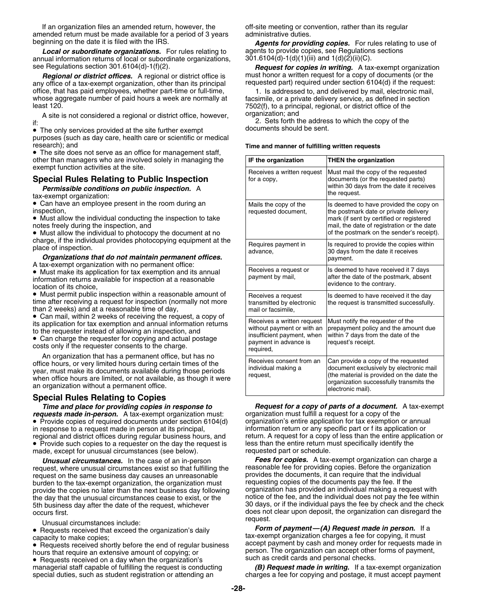If an organization files an amended return, however, the off-site meeting or convention, rather than its regular amended return must be made available for a period of 3 years administrative duties.<br>beginning on the date it is filed with the IRS. **Agents for provict** 

**Local or subordinate organizations.** For rules relating to agents to provide copies, see Regulation<br>hual information returns of local or subordinate organizations, 301.6104(d)-1(d)(1)(iii) and 1(d)(2)(ii)(C). annual information returns of local or subordinate organizations, see Regulations section 301.6104(d)-1(f)(2). **Request for copies in writing.** A tax-exempt organization

any office of a tax-exempt organization, other than its principal office, that has paid employees, whether part-time or full-time, 1. Is addressed to, and delivered by mail, electronic mail, whose aggregate number of paid hours a week are normally at facsimile, or a private delivery serv whose aggregate number of paid hours a week are normally at facsimile, or a private delivery service, as defined in section<br>F502(f), to a principal regional, or district office of the

A site is not considered a regional or district office, however, organization; and

• The only services provided at the site further exempt **butch** documents should be sent. purposes (such as day care, health care or scientific or medical research); and **Time and manner of fulfilling written requests**

• The site does not serve as an office for management staff, other than managers who are involved solely in managing the exempt function activities at the site.

## **Special Rules Relating to Public Inspection**

### **Organizations that do not maintain permanent offices.** A tax-exempt organization with no permanent office:

## **Special Rules Relating to Copies**

*requests made in-person.* A tax-exempt organization must: organization must fulfill a request for a copy of the • Provide copies of required documents under section 6104(d) organization's entire application for tax exemption or annual regional and district offices during regular business hours, and return. A request for a copy of less than the entire appl<br>• Provide such copies to a requester on the day the request is less than the entire return must spe • Provide such copies to a requester on the day the request is less than the entire return must specifically identify the made, except for unusual circumstances (see below). requested part or schedule.

request, where unusual circumstances exist so that fulfilling the reasonable fee for providing copies. Before the organization<br>request on the same business day causes an unreasonable provides the documents, it can require request on the same business day causes an unreasonable entity provides the documents, it can require that the individual burdent or the same business day causes an unreasonable entity burdent burdents and the individual b burden to the tax-exempt organization, the organization must requesting copies of the documents pay the fee. If the<br>provide the copies no later than the next business day following organization has provided an individual m provide the copies no later than the next business day following the day that the unusual circumstances cease to exist, or the notice of the fee, and the individual does not pay the fee within

• Requests received on a day when the organization's such as credit cards and personal checks.

**Agents for providing copies.** For rules relating to use of agents to provide copies, see Regulations sections

**Regional or district offices.** A regional or district office is must honor a written request for a copy of documents (or the request:  $\overline{C}$  office of a tax-exempt organization, other than its principal requested part)

7502(f), to a principal, regional, or district office of the

If:  $\frac{2.5}{2}$  Sets forth the address to which the copy of the if:  $\frac{2.5}{2}$  Sets forth the address to which the copy of the if-

| other than managers who are involved solely in managing the                                                                                                                                                                                                                                                                                                                                                                                                                                                                                                                                                                                                                                                                                                                                                                                                                    | IF the organization                                                                                                          | <b>THEN the organization</b>                                                                                                                                                                                           |
|--------------------------------------------------------------------------------------------------------------------------------------------------------------------------------------------------------------------------------------------------------------------------------------------------------------------------------------------------------------------------------------------------------------------------------------------------------------------------------------------------------------------------------------------------------------------------------------------------------------------------------------------------------------------------------------------------------------------------------------------------------------------------------------------------------------------------------------------------------------------------------|------------------------------------------------------------------------------------------------------------------------------|------------------------------------------------------------------------------------------------------------------------------------------------------------------------------------------------------------------------|
| exempt function activities at the site.<br><b>Special Rules Relating to Public Inspection</b><br>Permissible conditions on public inspection. A<br>tax-exempt organization:                                                                                                                                                                                                                                                                                                                                                                                                                                                                                                                                                                                                                                                                                                    | Receives a written request<br>for a copy.                                                                                    | Must mail the copy of the requested<br>documents (or the requested parts)<br>within 30 days from the date it receives<br>the request.                                                                                  |
| • Can have an employee present in the room during an<br>inspection,<br>• Must allow the individual conducting the inspection to take<br>notes freely during the inspection, and<br>• Must allow the individual to photocopy the document at no<br>charge, if the individual provides photocopying equipment at the<br>place of inspection.<br>Organizations that do not maintain permanent offices.<br>A tax-exempt organization with no permanent office:<br>• Must make its application for tax exemption and its annual<br>information returns available for inspection at a reasonable<br>location of its choice,<br>• Must permit public inspection within a reasonable amount of<br>time after receiving a request for inspection (normally not more<br>than 2 weeks) and at a reasonable time of day,<br>• Can mail, within 2 weeks of receiving the request, a copy of | Mails the copy of the<br>requested document,                                                                                 | Is deemed to have provided the copy on<br>the postmark date or private delivery<br>mark (if sent by certified or registered<br>mail, the date of registration or the date<br>of the postmark on the sender's receipt). |
|                                                                                                                                                                                                                                                                                                                                                                                                                                                                                                                                                                                                                                                                                                                                                                                                                                                                                | Requires payment in<br>advance,                                                                                              | Is required to provide the copies within<br>30 days from the date it receives<br>payment.                                                                                                                              |
|                                                                                                                                                                                                                                                                                                                                                                                                                                                                                                                                                                                                                                                                                                                                                                                                                                                                                | Receives a request or<br>payment by mail,                                                                                    | Is deemed to have received it 7 days<br>after the date of the postmark, absent<br>evidence to the contrary.                                                                                                            |
|                                                                                                                                                                                                                                                                                                                                                                                                                                                                                                                                                                                                                                                                                                                                                                                                                                                                                | Receives a request<br>transmitted by electronic<br>mail or facsimile.                                                        | Is deemed to have received it the day<br>the request is transmitted successfully.                                                                                                                                      |
| its application for tax exemption and annual information returns<br>to the requester instead of allowing an inspection, and<br>• Can charge the requester for copying and actual postage<br>costs only if the requester consents to the charge.                                                                                                                                                                                                                                                                                                                                                                                                                                                                                                                                                                                                                                | Receives a written request<br>without payment or with an<br>insufficient payment, when<br>payment in advance is<br>required, | Must notify the requester of the<br>prepayment policy and the amount due<br>within 7 days from the date of the<br>request's receipt.                                                                                   |
| An organization that has a permanent office, but has no<br>office hours, or very limited hours during certain times of the<br>year, must make its documents available during those periods<br>when office hours are limited, or not available, as though it were<br>an organization without a permanent office.                                                                                                                                                                                                                                                                                                                                                                                                                                                                                                                                                                | Receives consent from an<br>individual making a<br>request,                                                                  | Can provide a copy of the requested<br>document exclusively by electronic mail<br>(the material is provided on the date the<br>organization successfully transmits the<br>electronic mail).                            |

*Time and place for providing copies in response to Request for a copy of parts of a document.* A tax-exempt in response to a request made in person at its principal, information return or any specific part or f its application or<br>
regional and district offices during regular business hours, and return. A request for a copy of le

*Unusual circumstances.* In the case of an in-person *Fees for copies.* A tax-exempt organization can charge a 5th business day after the date of the request, whichever 30 days, or if the individual pays the fee by check and the check<br>occurs first. does not clear upon deposit, the organization can disregard the

Unusual circumstances include:<br>Requests received that exceed the organization's daily **Form of payment—(A) Request made in person.** If a • Requests received that exceed the organization's daily *Form of payment—(A) Request made in person.* If a tax-exempt organization charges a fee for copying, it must<br>
• Requests received shortly before the end of requilar business accept payment by cash and money order for requests made in • Requests received shortly before the end of regular business accept payment by cash and money order for requests made in hours that require an extensive amount of copying; or person. The organization can accept other forms of payment,<br>• Requests received on a day when the organization's such as credit cards and personal checks.

managerial staff capable of fulfilling the request is conducting *(B) Request made in writing.* If a tax-exempt organization<br>special duties, such as student registration or attending an **charges a fee for copying and pos** charges a fee for copying and postage, it must accept payment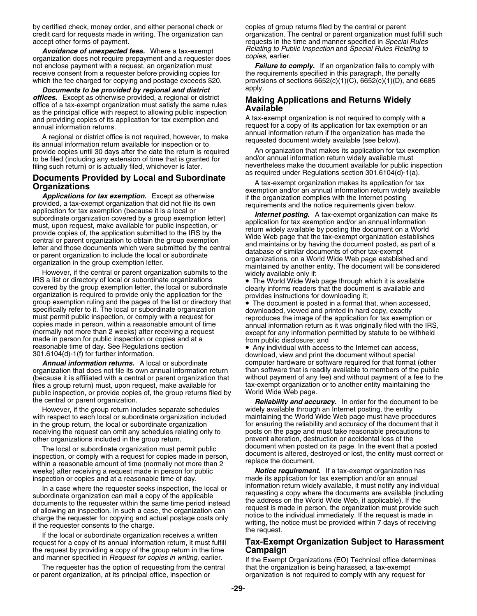by certified check, money order, and either personal check or copies of group returns filed by the central or parent

*corganization does not require prepayment and a requester does* not enclose payment with a request, an organization must receive consent from a requester before providing copies for which the fee charged for copying and postage exceeds \$20.

*Documents to be provided by regional and district offices.* Except as otherwise provided, a regional or district ornces. Except as otherwise provided, a regional or district Making Applications and Returns Widely<br>as the principal office with respect to allowing public inspection<br>and providing copies of its application for tax exempti and providing copies of its application for tax exemption and annual information returns.

A regional or district office is not required, however, to make<br>its annual information return available for inspection or to<br>provide copies until 30 days after the date the return is required<br>An organization that makes its provide copies until 30 days after the date the return is required An organization that makes its application for tax ex<br>to be filed (including any extension of time that is granted for and/or annual information return wid to be filed (including any extension of time that is granted for filing such return) or is actually filed, whichever is later.

**Documents Provided by Local and Subordinate**<br> **Organizations**<br> **Organizations**<br> **Applications for tax exemption.** Except as otherwise<br>
exemption and/or a nanual information return videly available<br>
provided, a tax-exempt

IRS a list or directory of local or subordinate organizations<br>
covered by the group exemption letter, the local or subordinate<br>
organization is required to provide only the application for the<br>
group exemption ruling and t group exemption ruling and the pages of the list of directory that<br>specifically refer to it. The local or subordinate organization<br>must permit public inspection, or comply with a request for<br>copies made in person, within a reasonable time of day. See Regulations section<br>301.6104(d)-1(f) for further information. download, view and print the document without special

organization that does not file its own annual information return than software that is readily available to members of the public<br>(because it is affiliated with a central or parent organization that without payment of any (because it is affiliated with a central or parent organization that files a group return) must, upon request, make available for the stax-exempt organization or to another entity maintaining the public inspection, or provide copies of, the group returns filed by the World Wide Web page. public inspection, or provide copies of, the group returns filed by

with respect to each local or subordinate organization included in the group return, the local or subordinate organization for ensuring the reliability and accuracy of the document that it<br>receiving the request can omit any schedules relating only to posts on the page and must take rea receiving the request can omit any schedules relating only to other organizations included in the group return.

The local or subordinate organization must permit public<br>inspection, or comply with a request for copies made in person,<br>within a reasonable amount of time (normally not more than 2<br>weeks) after receiving a request made in weeks) after receiving a request made in person for public *Notice requirement.* If a tax-exempt organization h<br>inspection or copies and at a reasonable time of day. **In the absor**made its application for tax exemption a

If the local or subordinate organization receives a written<br>request for a copy of its annual information return, it must fulfill **Tax-Exempt Organization Subject to Harassment**<br>the request by providing a copy of the group

The requester has the option of requesting from the central that the organization is being harassed, a tax-exempt<br>or parent organization, at its principal office, inspection or organization is not required to comply with a

credit card for requests made in writing. The organization can organization. The central or parent organization must fulfill such accept other forms of payment.<br>
requests in the time and manner specified in Special Rules requests in the time and manner specified in *Special Rules Avoidance of unexpected fees.* Where a tax-exempt *Relating to Public Inspection* and *Special Rules Relating to*

> **Failure to comply.** If an organization fails to comply with the requirements specified in this paragraph, the penalty provisions of sections  $6652(c)(1)(C)$ ,  $6652(c)(1)(D)$ , and  $6685$ <br>apply.

request for a copy of its application for tax exemption or an annual information return if the organization has made the

nevertheless make the document available for public inspection<br>as required under Regulations section 301.6104(d)-1(a).

**Annual information returns.** A local or subordinate computer hardware or software required for that format (other<br>Innization that does not file its own annual information return than software that is readily available to

the central or parent organization. *Reliability and accuracy.* In order for the document to be However, if the group return includes separate schedules widely available through an Internet posting, the entity<br>h respect to each local or subordinate organization included maintaining the World Wide Web page must have p prevent alteration, destruction or accidental loss of the<br>document when posted on its page. In the event that a posted

inspection or copies and at a reasonable time of day.<br>In a case where the requester seeks inspection, the local or an information return widely available, it must notify any individual In a case where the requester seeks inspection, the local or<br>subordinate organization can mail a copy of the applicable<br>documents to the requester within the same time period instead<br>of allowing an inspection. In such a ca

and manner specified in *Request for copies in writing*, earlier. If the Exempt Organizations (EO) Technical office determines organization is not required to comply with any request for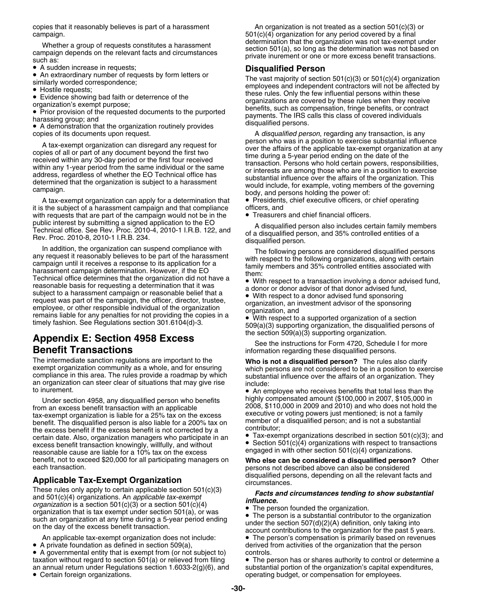• A sudden increase in requests;

A sudden increase in requests; **Disqualified Person** •

A demonstration that the organization routinely provides

A tax-exempt organization can apply for a determination that • Presidents, chief executive officers, or chief operating it is the subject of a harassment campaign and that compliance officers, and<br>with requests that are part of the campaign would not be in the • Treasurers and chief financial officers. with requests that are part of the campaign would not be in the

In addition, the organization can suspend compliance with<br>any request it reasonably believes to be part of the harassment<br>campaign until it receives a response to its application for a<br>harassment campaign determination. Ho Technical office determines that the organization did not have a<br>
reasonable basis for requesting a determination that it was<br>
subject to a harassment campaign or reasonable belief that a<br>
with respect to a donor advisor o request was part of the campaign, the officer, director, trustee,<br>
employee, or other responsible individual of the organization<br>
remains liable for any penalties for not providing the copies in a<br>
timely fashion. See Reg

# Appendix E: Section 4958 Excess<br>
See the instructions for Form 4720, Schedule I for more<br>
information regarding these disqualified persons.

to inurement.

From an excess benefit transaction with an applicable<br>tax-exempt organization is liable for a 25% tax on the excess<br>benefit. The disqualified person is also liable for a 200% tax on<br>the excess benefit if the excess benefit the excess benefit if the excess benefit is not corrected by a<br>certain date. Also, organization managers who participate in an  $\bullet$  Tax-exempt organizations described in section 501(c)(3); and<br>excess benefit transaction k excess benefit transaction knowingly, willfully, and without<br>reasonable cause are liable for a 10% tax on the excess entity engaged in with other section 501(c)(4) organizations. benefit, not to exceed \$20,000 for all participating managers on **Who else can be considered a disqualified person?** Other

These rules only apply to certain applicable section 501(c)(3)<br>and 501(c)(4) organizations. An *applicable tax-exempt influence.*<br>organization is a section 501(c)(3) or a section 501(c)(4) *influence.*<br>organization th organization that is tax exempt under section 501(a), or was<br>such an organization at any time during a 5-year period ending<br> $\bullet$  The person is a substantial contribution to the organization

• A private foundation as defined in section 509(a),

• A governmental entity that is exempt from (or not subject to) controls. taxation without regard to section 501(a) or relieved from filing • The person has or shares authority to control or determine a an annual return under Regulations section 1.6033-2(g)(6), and substantial portion of the organization's capital expenditures, • Certain foreign organizations.

copies that it reasonably believes is part of a harassment  $\blacksquare$  An organization is not treated as a section 501(c)(3) or campaign.<br>Mhother e group of requeste constitutes a beresement determination that the organization was not tax-exempt under Whether a group of requests constitutes a harassment<br>campaign depends on the relevant facts and circumstances<br>such as:<br>such as:<br>such as:<br>such as:

■ An extraordinary number of requests by form letters or<br>
similarly worded correspondence; employees and independent contractors will not be affected by<br>
● Hostile requests; these will not be affected by • these will not • Hostile requests;<br>■ Evidence showing bad faith or deterrence of the example are approximation are approach that these without these veces ■ Evidence showing bad faith or deterrence of the organizations are covered by these rules when they receive organization's exempt purpose;<br>■ Prior provision of the requested documents to the purported benefits, such as c Prior provision of the requested documents to the purported payments. The IRS calls this class of covered individuals harassing group; and the experiments to the purported persons.

copies of its documents upon request.<br>A *disqualified person*, regarding any transaction, is any<br>A tex exercise are requestion and discrepend any request for A tax-exempt organization can disregard any request for<br>copies of all or part of any document beyond the first two<br>received within any 30-day period or the first four received<br>within any 1-year period from the same individ

public interest by submitting a signed application to the EO<br>Technical office. See Rev. Proc. 2010-4, 2010-1 I.R.B. 122, and<br>Rev. Proc. 2010-8, 2010-1 I.R.B. 234.<br>disqualified person, and 35% controlled entities of a<br>disqu

 $509(a)(3)$  supporting organization, the disqualified persons of the section  $509(a)(3)$  supporting organization.

information regarding these disqualified persons.

The intermediate sanction regulations are important to the **Who is not a disqualified person?** The rules also clarify exempt organization community as a whole, and for ensuring compliance in this area. The rules provide a

• An employee who receives benefits that total less than the highly compensated amount (\$100,000 in 2007, \$105,000 in Under section 4958, any disqualified person who benefits highly compensated amount (\$100,000 in 2007, \$105,000 in<br>m an excess henefit transaction with an applicable highle and 2008, \$110,000 in 2009 and 2010) and who does

persons not described above can also be considered disqualified persons, depending on all the relevant facts and **Applicable Tax-Exempt Organization** circumstances.

and the section 507(d)(2)(A) definition, only taking into<br>on the day of the excess benefit transaction.<br>account contributions to the organization for the past 5 years.

An applicable tax-exempt organization does not include: • The person's compensation is primarily based on revenues derived from activities of the organization that the person

operating budget, or compensation for employees.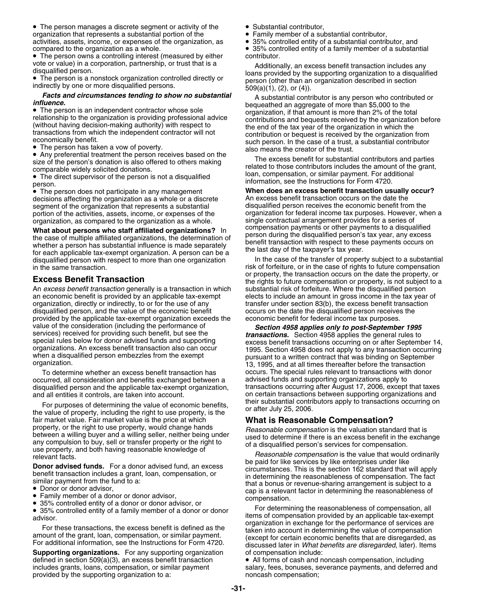• The person manages a discrete segment or activity of the  $\hspace{1cm}$  • Substantial contributor, organization that represents a substantial portion of the • Family member of a substantial contributor, and activities, assets, income, or expenses of the organization, as • 35% controlled entity of a substantial contribut activities, assets, income, or expenses of the organization, as compared to the organization as a whole. • 35% controlled entity of a family member of a substantial

 $\bullet$  The person owns a controlling interest (measured by either  $\hspace{0.5cm}$  contributor.

• The person is a nonstock organization controlled directly or person (other than an indirectly by one or more disqualified persons.  $509(a)(1), (2), or (4)$ ).

decisions affecting the organization as a whole or a discrete An excess benefit transaction occurs on the date the<br>segment of the organization that represents a substantial disqualified person receives the economic benefit portion of the activities, assets, income, or expenses of the organization for federal income tax purposes. However<br>organization, as compared to the organization as a whole. Single contractual arrangement provides for a se

**What about persons who staff affiliated organizations?** In<br>the case of multiple affiliated organizations, the determination of<br>whether a person has substantial influence is made separately<br>for each applicable tax-exempt o disqualified person with respect to more than one organization in the same transaction.

An *excess benefit transaction* generally is a transaction in which substantial risk of forfeiture. Where the disqualified person organization, directly or indirectly, to or for the use of any transfer under section 83(b), the excess benefit transaction disqualified person, and the value of the economic benefit occurs on the date the disqualified per disqualified person, and the value of the economic benefit occurs on the date the disqualified person receive<br>provided by the applicable tax-exempt organization exceeds the economic benefit for federal income tax purposes. provided by the applicable tax-exempt organization exceeds the

occurred, all consideration and benefits exchanged between a advised funds and supporting organizations apply to and all entities it controls, are taken into account. **Fig. 1.1 Started into a controlled intervalse and** on certain transactions between supporting organizations and

fair market value. Fair market value is the price at which<br>property, or the right to use property, would change hands<br>any compensation is the valuation standard that is<br>any compulsion to buy, sell or transfer property or

- 
- Family member of a donor or donor advisor,<br>• 35% controlled entity of a donor or donor advisor, or
- 

**Supporting organizations.** For any supporting organization of compensation include: defined in section 509(a)(3), an excess benefit transaction • All forms of cash and noncash compensation, including provided by the supporting organization to a:

- 
- 
- 
- 

vote or value) in a corporation, partnership, or trust that is a<br>disqualified person.<br>The person is a nonstock organization controlled directly or<br> $\bullet$  The person is a nonstock organization controlled directly or<br>person (o

**Facts and circumstances tending to show no substantial** A substantial contributor is any person who contributed or<br>
• The person is an independent contractor whose sole<br>
• The person is an independent contractor whose sol • The person is an independent contractor whose sole<br>
relationship to the organization is providing professional advice<br>
(without having decision-making authority) with respect to<br>
transactions from which the independent c Conomically benefit.<br>The person has taken a vow of poverty.<br>also means the creator of the trust.

• Any preferential treatment the person receives based on the<br>size of the person's donation is also offered to others making<br>comparable widely solicited donations.<br>• The direct supervisor of the person is not a disqualifie The direct supervisor of the person is not a disqualified information, see the Instructions for Form 4720.<br>
Person.<br>
Person.<br>
The person does not participate in any management **When does an excess benefit transaction usual** 

• The person does not participate in any management **When does an excess benefit transaction usually occur?** segment of the organization that represents a substantial disqualified person receives the economic benefit from the<br>portion of the activities, assets, income, or expenses of the corganization for federal income tax purpos organization, as compared to the organization as a whole.<br>What about persons who staff affiliated erganizations? In compensation payments or other payments to a disqualified

risk of forfeiture, or in the case of rights to future compensation **Excess Benefit Transaction Excess Benefit Transaction** or **Excess Benefit Transaction** the transaction the date the property, or the rights to future compensation or property, is not subject to a elects to include an amount in gross income in the tax year of

value of the consideration (including the performance of<br>services) received for providing such benefit, but see the<br>special rules below for donor advised funds and supporting<br>organizations. An excess benefit transaction al To determine whether an excess benefit transaction has occurs. The special rules relevant to transactions with donor disqualified person and the applicable tax-exempt organization, transactions occurring after August 17, 2006, except that taxes For purposes of determining the value of economic benefits, their substantial contributors apply to transactions occurring on the value of property, including the right to use property, is the value 25, 2006.

Similar payment from the fund to a.<br>
• Donor or donor advisor,<br>
• Family member of a donor or donor advisor,<br>
• Family member of a donor or donor advisor,<br>
• Family member of a donor or donor advisor,

35% controlled entity of a donor or donor davisor, or **For determining the reasonableness of compensation**, all<br>Advisor, and items of compensation provided by an applicable tax-exempt • 35% controlled entity of a family member of a donor or donor<br>advisor.<br>For these transactions, the excess benefit is defined as the<br>amount of the grant, loan, compensation, or similar payment.<br>For additional information,

includes grants, loans, compensation, or similar payment salary, fees, bonuses, severance payments, and deferred and<br>
provided by the supporting organization to a:<br>
provided by the supporting organization to a: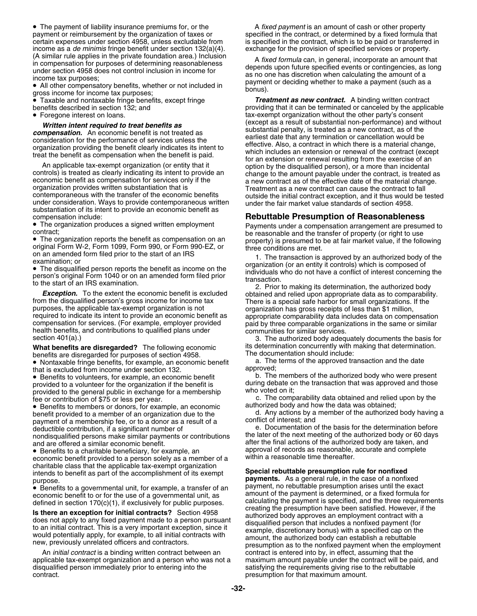• The payment of liability insurance premiums for, or the A *fixed payment* is an amount of cash or other property payment or reimbursement by the organization of taxes or specified in the contract, or determined by a fixed formula that certain expenses under section 4958, unless excludable from signalishing by expecified in the contra income as a *de minimis* fringe benefit under section 132(a)(4). exchange for the provision of specified services or property.

• All other compensatory benefits, whether or not included in<br>gross income for income tax purposes;<br>• Taxable and nontaxable fringe benefits, except fringe **Treatment as new contract.** A binding written contract

• Foregone interest on loans.

substantiation of its intent to provide an economic benefit as compensation include: **Rebuttable Presumption of Reasonableness**

• The organization produces a signed written employment

• The organization reports the benefit as compensation on an

**What benefits are disregarded?** The following economic its determination concurrently with making that determination.<br>benefits are disregarded for purposes of section 4958. benefits are disregarded for purposes of section 4958.<br>• Nontaxable fringe benefits, for example, an economic benefit a. The terms of the approved transaction and the date

• Nontaxable fringe benefits, for example, an economic benefit a. The terms of the approved transaction and the date that is excluded from income under section 132.<br>• Benefits to volunteers for example, an economic benefit b. The members of the authorized body who were present

provided to the general public in exchange for a membership

• Benefits to members or donors, for example, an economic authorized body and how the data was obtained; payment of a membership fee, or to a donor as a result of a deductible contribution, if a significant number of nondisqualified persons make similar payments or contributions and are offered a similar economic benefit.

• Benefits to a charitable beneficiary, for example, an approval of records as reasonable, accurate and complete economic benefit provided to a person solely as a member of a within a reasonable time thereafter. charitable class that the applicable tax-exempt organization intends to benefit as part of the accomplishment of its exempt **Special rebuttable presumption rule for nonfixed**<br> **Special rebuttable presumption rule for nonfixed**<br> **Special rebuttable presumption rule** for nonfixed<br> **Pa** 

An *initial contract* is a binding written contract between an contract is entered into by, in effect, assuming that the applicable tax-exempt organization and a person who was not a maximum amount payable under the contract will be paid, and disqualified person immediately prior to entering into the satisfying the requirements giving rise to the rebuttable contract. **presumption for that maximum amount. presumption for that maximum amount.** 

is specified in the contract, which is to be paid or transferred in

(A similar rule applies in the private foundation area.) Inclusion<br>
in compensation for purposes of determining reasonableness<br>
under section 4958 does not control inclusion in income for<br>
income tax purposes;<br>
• All other

• Taxable and nontaxable fringe benefits, except fringe *Treatment as new contract.* A binding written contract benefits described in section 132; and providing that it can be terminated or canceled by the applicable tax-exempt organization without the other party's consent *Written intent required to treat benefits as* exercise the substantial on-performance) and without<br>mensation An economic benefit is not treated as **substantial penalty, is treated as a new contract**, as of the **Compensation.** An economic benefit is not treated as<br>
consideration for the performance of services unless the<br>
organization providing the benefit clearly indicates its intent to<br>
treat the benefit as compensation when th contemporaneous with the transfer of the economic benefits outside the initial contract exception, and it thus would be tested<br>under consideration. Ways to provide contemporaneous written under the fair market value standa

• The organization produces a signed written employment Payments under a compensation arrangement are presumed to contract; be reasonable and the transfer of property (or right to use • The organization reports the benefit as compensation on an property) is presumed to be at fair market value, if the following original Form W-2, Form 1099, Form 990, or Form 990-EZ, or three conditions are met.

on an amended form filed prior to the start of an IRS<br>
examination; or<br>
• The disqualified person reports the benefit as income on the examination (or an entity it controls) which is composed of<br>
• organization (or an enti

• The disqualitied person reports the benefit as income on the<br>
person's original Form 1040 or on an amended form filed prior<br>
to the start of an IRS examination.<br>
Let a conflict of interest concerning the<br>
transaction.<br>
L

section 401(a).) Section 401(a).) **3.** The authorized body adequately documents the basis for

• Benefits to volunteers, for example, an economic benefit b. The members of the authorized body who were present provided to a volunteer for the organization if the benefit is during debate on the transaction that was approved and those<br>provided to the general public in exchange for a membership who voted on it:

fee or contribution of \$75 or less per year.<br>• Benefits to members or donors, for example, an economic authorized body and how the data was obtained;

benefit provided to a member of an organization due to the d. Any actions by a member of the authorized body having a nayment of a membership fee, or to a donor as a result of a conflict of interest; and

e. Documentation of the basis for the determination before the later of the next meeting of the authorized body or 60 days after the final actions of the authorized body are taken, and

**payments.** As a general rule, in the case of a nonlixed<br>• Benefits to a governmental unit, for example, a transfer of an payment, no rebuttable presumption arises until the exact • Benefits to a governmental unit, for example, a transfer of an<br>economic benefit to or for the use of a governmental unit, as<br>defined in section 170(c)(1), if exclusively for public purposes.<br>**Is there an exception for i**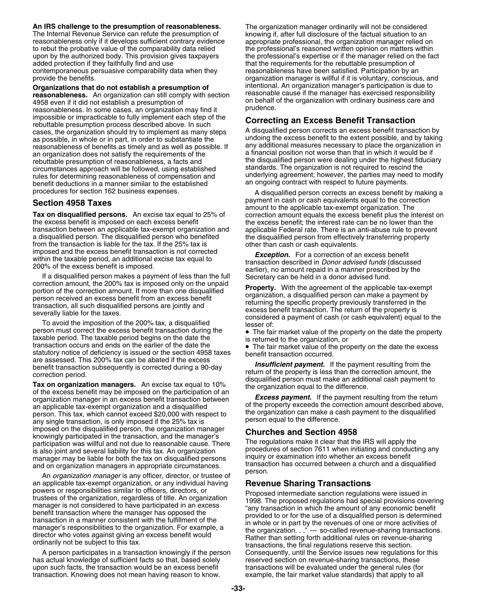**An IRS challenge to the presumption of reasonableness.** The organization manager ordinarily will not be considered The Internal Revenue Service can refute the presumption of knowing if, after full disclosure of the factual situation to an reasonableness only if it develops sufficient contrary evidence appropriate professional, the orga to rebut the probative value of the comparability data relied the professional's reasoned written opinion on matters within<br>upon by the authorized body. This provision gives taxpayers the professional's expertise or if the added protection if they faithfully find and use that the requirements for the rebuttable presumption of contemporaneous persuasive comparability data when they reasonableness have been satisfied. Participation by a contemporaneous persuasive comparability data when they reasonableness have been satisfied. Participation by an<br>organization manager is willful if it is voluntary, consciou

**Organizations that do not establish a presumption of** intentional. An organization manager's participation is due to reasonableness. An organization can still comply with section 4958 even if it did not establish a presumption of on behalf of the organization with ordinary business care and<br>reasonableness in some cases, an organization may find it prudence. reasonableness. In some cases, an organization may find it impossible or impracticable to fully implement each step of the repossible of impracticable to the imperiment each step of the<br>rebuttable presumption process described above. In such<br>cases, the organization should try to implement as many steps<br>as possible in whole or in part in order as possible, in whole or in part, in order to substantiate the undoing the excess benefit to the extent possible, and by taking<br>reasonableness of benefits as timely and as well as possible. If any additional measures neces reasonableness of benefits as timely and as well as possible. If any additional measures necessary to place the organization<br>an organization does not satisfy the requirements of the a financial position not worse than that an organization does not satisfy the requirements of the a financial position not worse than that in which it would be if<br>reputtable presumption of reasonableness a facts and the disqualified person were dealing under the rebuttable presumption of reasonableness, a facts and<br>circumstances approach will be followed, using established<br>standards. The organization is not required to rescind the rules for determining reasonableness of compensation and benefit deductions in a manner similar to the established an ongoing contract with respect to future payments.

transaction between an applicable tax-exempt organization and applicable Federal rate. There is an anti-abuse rule to prevent a disqualified person. The disqualified person who benefited the disqualified person from effectively transferring property from the transaction is liable for the tax. If the 25% tax is other than cash or cash equivalents. from the transaction is liable for the tax. If the 25% tax is

imposed and the excess benefit transaction is not corrected<br>
within the taxelle period, an additional excise tax equal to<br>
The taxelle period, an additional excise tax equal to<br>
If a disqualified person makes a payment of

person must correct the excess benefit transaction during the  $\bullet$  The fair market value of the property on the date the property taxable period. The taxable period begins on the date the  $\bullet$  The fair market value of the transaction occurs and ends on the earlier of the date the **cancel of the fair market value of the property** on the date the excess statutory notice of deficiency is issued or the section 4958 taxes benefit transaction occ

are assessed. This 200% tax can be abated if the excess<br>benefit transaction subsequently is corrected during a 90-day<br>**Tax on organization managers.** An excise tax equal to 10%<br>of the excess benefit may be imposed on the p imposed on the disqualified person, the organization manager<br>
knowingly participated in the transaction, and the manager's<br>
participation was willful and not due to reasonable cause. There<br>
is also joint and several liabil manager may be liable for both the tax on disqualified persons inquiry or examination into whether an excess benefit<br>and on organization managers in appropriate circumstances transaction has occurred between a church and a

and on organization managers in appropriate circumstances.<br>An *organization manager* is any officer, director, or trustee of <sup>person.</sup> an applicable tax-exempt organization, or any individual having<br>powers or responsibilities similar to officers, directors, or<br>trustees of the organization, regardless of title. An organization<br>transaction regulations were

has actual knowledge of sufficient facts so that, based solely reserved section on revenue-sharing transactions, these upon such facts, the transaction would be an excess benefit fransactions will be evaluated under the general rules (for<br>transaction. Knowing does not mean having reason to know. example, the fair market value standards) th transaction. Knowing does not mean having reason to know.

appropriate professional, the organization manager relied on upon by the authorized body. This provision gives taxpayers the professional's expertise or if the manager relied on the fact<br>added protection if they faithfully find and use<br>that the requirements for the rebuttable presum organization manager is willful if it is voluntary, conscious, and intentional. An organization manager's participation is due to

circumstances approach will be followed, using established standards. The organization is not required to rescind the<br>rules for determining reasonableness of compensation and underlying agreement; however, the parties may

procedures for section 162 business expenses. A disqualified person corrects an excess benefit by making a **Section 4958 Taxes bection 4958 Taxes** and the correction amount to the applicable tax-exempt organization. The **Tax on disqualified persons.** An excise tax equal to 25% of correction amount equals the excess benefit plus the interest on the excess benefit is imposed on each excess benefit **by** the excess benefit; the interest rate the excess benefit; the interest rate can be no lower than the

A person participates in a transaction knowingly if the person Consequently, until the Service issues new regulations for this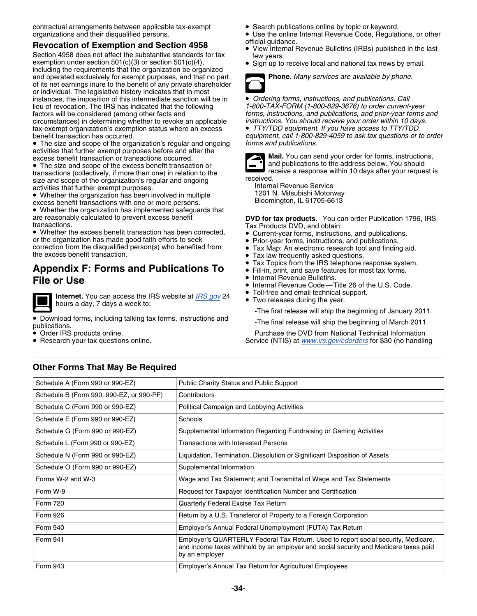contractual arrangements between applicable tax-exempt • Search publications online by topic or keyword.

## Revocation of Exemption and Section 4958<br>• View Internal Revenue Bulletins (IRBs) published in the last

Section 4958 does not affect the substantive standards for tax<br>exemption under section 501(c)(3) or section 501(c)(4),<br>including the requirements that the organization be organized<br> $\bullet$  Sign up to receive local and nationa and operated exclusively for exempt purposes, and that no part **Phone.** Many services are available by phone. of its net earnings inure to the benefit of any private shareholder or individual. The legislative history indicates that in most instances, the imposition of this intermediate sanction will be in  $\bullet$  *Ordering forms, instructions, and publications. Call*<br>lieu of revocation. The IRS has indicated that the following 1-800-TAX-FORM (1-800-829-3676) to lieu of revocation. The IRS has indicated that the following factors will be considered (among other facts and circumstances) in determining whether to revoke an applicable *instructions. You should receive your order within 10 days.* tax-exempt organization's exemption status where an excess benefit transaction has occurred.

• The size and scope of the organization's regular and ongoing *forms and publications.* activities that further exempt purposes before and after the<br>excess benefit transaction or transactions occurred.<br>The size and scope of the excess benefit transaction or **and publications to the address below**. You should

• The size and scope of the excess benefit transaction or **and publications to the address below.** You should reness below. You should reness is the standard research of the standard receive a response within 10 days after • The size and scope of the excess benefit transaction or<br>transactions (collectively, if more than one) in relation to the<br>size and scope of the organization's regular and ongoing<br>activities that further exempt purposes.<br>•

Whether the organization has been involved in multiple **Excess benefit transactions with one or more persons.** Bloomington, IL 61705-6613

• Whether the organization has implemented safeguards that are reasonably calculated to prevent excess benefit<br> **DVD for tax products.** You can order Publication 1796, IRS<br>
Tax Products DVD, and obtain:

• Whether the excess benefit transaction has been corrected,  $\qquad \bullet$ • Whether the excess benefit transaction has been corrected,<br>
or the organization has made good faith efforts to seek<br>
correction from the disqualified person(s) who benefited from<br>
the excess benefit transaction.<br>  $\bullet$  Ta

## Tax Topics from the IRS telephone response system. **Appendix F: Forms and Publications To** • Fill-in, print, and save features for most tax forms. **Internal Revenue Bulletins. File or Use Internal Revenue Bulletins.**



**Internet.** You can access the IRS website at <u>[IRS.gov](http://IRS.gov)</u> 24 • Toll-free and email technical support.<br> **•** Two releases during the year. hours a day, 7 days a week to:

• Download forms, including talking tax forms, instructions and -The final release will ship the beginning of March 2011.<br>publications.

- Order IRS products online.
- Research your tax questions online.
- 
- organizations and their disqualified persons.<br> **•** Use the online Internal Revenue Code, Regulations, or other<br>
official quidance.
	-
	-



forms, instructions, and publications, and prior-year forms and *instructions. You should receive your order within 10 days.* 

equipment, call 1-800-829-4059 to ask tax questions or to order



Tax Products DVD, and obtain:

- 
- 
- 
- Tax law frequently asked questions.
- •
- 
- •
- Internal Revenue Code—Title 26 of the U.S. Code.
- •
- 

-The first release will ship the beginning of January 2011.

Purchase the DVD from National Technical Information Service (NTIS) at *[www.irs.gov/cdorders](http://www.irs.gov/cdorders)* for \$30 (no handling

## **Other Forms That May Be Required**

| Schedule A (Form 990 or 990-EZ)          | <b>Public Charity Status and Public Support</b>                                                                                                                                              |
|------------------------------------------|----------------------------------------------------------------------------------------------------------------------------------------------------------------------------------------------|
| Schedule B (Form 990, 990-EZ, or 990-PF) | Contributors                                                                                                                                                                                 |
| Schedule C (Form 990 or 990-EZ)          | Political Campaign and Lobbying Activities                                                                                                                                                   |
| Schedule E (Form 990 or 990-EZ)          | Schools                                                                                                                                                                                      |
| Schedule G (Form 990 or 990-EZ)          | Supplemental Information Regarding Fundraising or Gaming Activities                                                                                                                          |
| Schedule L (Form 990 or 990-EZ)          | Transactions with Interested Persons                                                                                                                                                         |
| Schedule N (Form 990 or 990-EZ)          | Liquidation, Termination, Dissolution or Significant Disposition of Assets                                                                                                                   |
| Schedule O (Form 990 or 990-EZ)          | Supplemental Information                                                                                                                                                                     |
| Forms W-2 and W-3                        | Wage and Tax Statement; and Transmittal of Wage and Tax Statements                                                                                                                           |
| Form W-9                                 | Request for Taxpayer Identification Number and Certification                                                                                                                                 |
| <b>Form 720</b>                          | Quarterly Federal Excise Tax Return                                                                                                                                                          |
| <b>Form 926</b>                          | Return by a U.S. Transferor of Property to a Foreign Corporation                                                                                                                             |
| <b>Form 940</b>                          | Employer's Annual Federal Unemployment (FUTA) Tax Return                                                                                                                                     |
| Form 941                                 | Employer's QUARTERLY Federal Tax Return. Used to report social security, Medicare,<br>and income taxes withheld by an employer and social security and Medicare taxes paid<br>by an employer |
| <b>Form 943</b>                          | Employer's Annual Tax Return for Agricultural Employees                                                                                                                                      |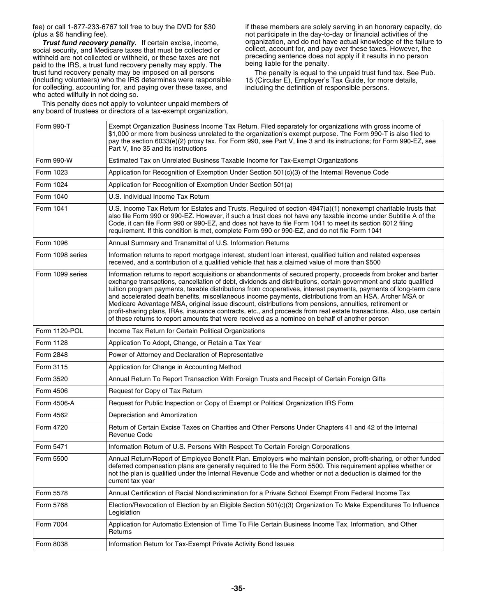social security, and Medicare taxes that must be collected or collect, account for, and pay over these taxes. However, the<br>withheld are not collected or withheld, or these taxes are not preceding sentence does not apply if withheld are not collected or withheld, or these taxes are not preceding sentence does not performed to the last results in no personally. paid to the IRS, a trust fund recovery penalty may apply. The being liable for the penalty.<br>
trust fund recovery penalty may be imposed on all persons The penalty is equal to the unpaid trust fund tax. See Pub. trust fund recovery penalty may be imposed on all persons (including volunteers) who the IRS determines were responsible for collecting, accounting for, and paying over these taxes, and including the definition of responsible persons. who acted willfully in not doing so.

This penalty does not apply to volunteer unpaid members of any board of trustees or directors of a tax-exempt organization,

fee) or call 1-877-233-6767 toll free to buy the DVD for \$30 if these members are solely serving in an honorary capacity, do (plus a \$6 handling fee).<br>Trust fund recovery penalty. If certain excise, income. organization, and do not have actual knowledge of the failure to **Trust fund recovery penalty.** If certain excise, income, organization, and do not have actual knowledge of the failure to increase to the failure to the failure to the failure to the failure to the failure to the failure

15 (Circular E), Employer's Tax Guide, for more details,

| Form 990-T       | Exempt Organization Business Income Tax Return. Filed separately for organizations with gross income of<br>\$1,000 or more from business unrelated to the organization's exempt purpose. The Form 990-T is also filed to<br>pay the section 6033(e)(2) proxy tax. For Form 990, see Part V, line 3 and its instructions; for Form 990-EZ, see<br>Part V, line 35 and its instructions                                                                                                                                                                                                                                                                                                                                                                                                                  |
|------------------|--------------------------------------------------------------------------------------------------------------------------------------------------------------------------------------------------------------------------------------------------------------------------------------------------------------------------------------------------------------------------------------------------------------------------------------------------------------------------------------------------------------------------------------------------------------------------------------------------------------------------------------------------------------------------------------------------------------------------------------------------------------------------------------------------------|
| Form 990-W       | Estimated Tax on Unrelated Business Taxable Income for Tax-Exempt Organizations                                                                                                                                                                                                                                                                                                                                                                                                                                                                                                                                                                                                                                                                                                                        |
| Form 1023        | Application for Recognition of Exemption Under Section 501(c)(3) of the Internal Revenue Code                                                                                                                                                                                                                                                                                                                                                                                                                                                                                                                                                                                                                                                                                                          |
| Form 1024        | Application for Recognition of Exemption Under Section 501(a)                                                                                                                                                                                                                                                                                                                                                                                                                                                                                                                                                                                                                                                                                                                                          |
| Form 1040        | U.S. Individual Income Tax Return                                                                                                                                                                                                                                                                                                                                                                                                                                                                                                                                                                                                                                                                                                                                                                      |
| Form 1041        | U.S. Income Tax Return for Estates and Trusts. Required of section 4947(a)(1) nonexempt charitable trusts that<br>also file Form 990 or 990-EZ. However, if such a trust does not have any taxable income under Subtitle A of the<br>Code, it can file Form 990 or 990-EZ, and does not have to file Form 1041 to meet its section 6012 filing<br>requirement. If this condition is met, complete Form 990 or 990-EZ, and do not file Form 1041                                                                                                                                                                                                                                                                                                                                                        |
| Form 1096        | Annual Summary and Transmittal of U.S. Information Returns                                                                                                                                                                                                                                                                                                                                                                                                                                                                                                                                                                                                                                                                                                                                             |
| Form 1098 series | Information returns to report mortgage interest, student loan interest, qualified tuition and related expenses<br>received, and a contribution of a qualified vehicle that has a claimed value of more than \$500                                                                                                                                                                                                                                                                                                                                                                                                                                                                                                                                                                                      |
| Form 1099 series | Information returns to report acquisitions or abandonments of secured property, proceeds from broker and barter<br>exchange transactions, cancellation of debt, dividends and distributions, certain government and state qualified<br>tuition program payments, taxable distributions from cooperatives, interest payments, payments of long-term care<br>and accelerated death benefits, miscellaneous income payments, distributions from an HSA, Archer MSA or<br>Medicare Advantage MSA, original issue discount, distributions from pensions, annuities, retirement or<br>profit-sharing plans, IRAs, insurance contracts, etc., and proceeds from real estate transactions. Also, use certain<br>of these returns to report amounts that were received as a nominee on behalf of another person |
| Form 1120-POL    | Income Tax Return for Certain Political Organizations                                                                                                                                                                                                                                                                                                                                                                                                                                                                                                                                                                                                                                                                                                                                                  |
| Form 1128        | Application To Adopt, Change, or Retain a Tax Year                                                                                                                                                                                                                                                                                                                                                                                                                                                                                                                                                                                                                                                                                                                                                     |
| Form 2848        | Power of Attorney and Declaration of Representative                                                                                                                                                                                                                                                                                                                                                                                                                                                                                                                                                                                                                                                                                                                                                    |
| Form 3115        | Application for Change in Accounting Method                                                                                                                                                                                                                                                                                                                                                                                                                                                                                                                                                                                                                                                                                                                                                            |
| Form 3520        | Annual Return To Report Transaction With Foreign Trusts and Receipt of Certain Foreign Gifts                                                                                                                                                                                                                                                                                                                                                                                                                                                                                                                                                                                                                                                                                                           |
| Form 4506        | Request for Copy of Tax Return                                                                                                                                                                                                                                                                                                                                                                                                                                                                                                                                                                                                                                                                                                                                                                         |
| Form 4506-A      | Request for Public Inspection or Copy of Exempt or Political Organization IRS Form                                                                                                                                                                                                                                                                                                                                                                                                                                                                                                                                                                                                                                                                                                                     |
| Form 4562        | Depreciation and Amortization                                                                                                                                                                                                                                                                                                                                                                                                                                                                                                                                                                                                                                                                                                                                                                          |
| Form 4720        | Return of Certain Excise Taxes on Charities and Other Persons Under Chapters 41 and 42 of the Internal<br>Revenue Code                                                                                                                                                                                                                                                                                                                                                                                                                                                                                                                                                                                                                                                                                 |
| Form 5471        | Information Return of U.S. Persons With Respect To Certain Foreign Corporations                                                                                                                                                                                                                                                                                                                                                                                                                                                                                                                                                                                                                                                                                                                        |
| Form 5500        | Annual Return/Report of Employee Benefit Plan. Employers who maintain pension, profit-sharing, or other funded<br>deferred compensation plans are generally required to file the Form 5500. This requirement applies whether or<br>not the plan is qualified under the Internal Revenue Code and whether or not a deduction is claimed for the<br>current tax year                                                                                                                                                                                                                                                                                                                                                                                                                                     |
| Form 5578        | Annual Certification of Racial Nondiscrimination for a Private School Exempt From Federal Income Tax                                                                                                                                                                                                                                                                                                                                                                                                                                                                                                                                                                                                                                                                                                   |
| Form 5768        | Election/Revocation of Election by an Eligible Section 501(c)(3) Organization To Make Expenditures To Influence<br>Legislation                                                                                                                                                                                                                                                                                                                                                                                                                                                                                                                                                                                                                                                                         |
| Form 7004        | Application for Automatic Extension of Time To File Certain Business Income Tax, Information, and Other<br>Returns                                                                                                                                                                                                                                                                                                                                                                                                                                                                                                                                                                                                                                                                                     |
| Form 8038        | Information Return for Tax-Exempt Private Activity Bond Issues                                                                                                                                                                                                                                                                                                                                                                                                                                                                                                                                                                                                                                                                                                                                         |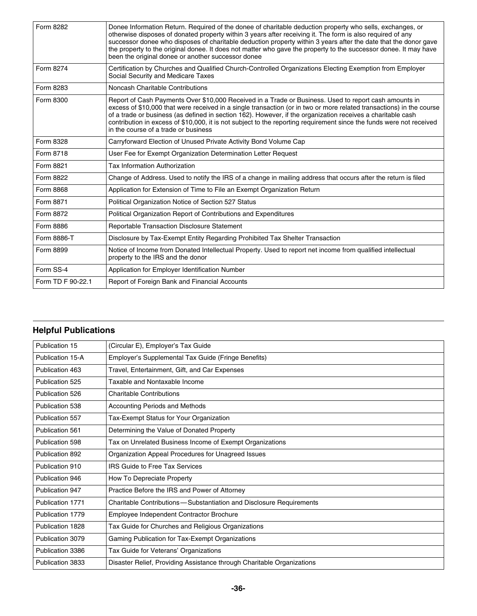| Form 8282         | Donee Information Return. Required of the donee of charitable deduction property who sells, exchanges, or<br>otherwise disposes of donated property within 3 years after receiving it. The form is also required of any<br>successor donee who disposes of charitable deduction property within 3 years after the date that the donor gave<br>the property to the original donee. It does not matter who gave the property to the successor donee. It may have<br>been the original donee or another successor donee |
|-------------------|----------------------------------------------------------------------------------------------------------------------------------------------------------------------------------------------------------------------------------------------------------------------------------------------------------------------------------------------------------------------------------------------------------------------------------------------------------------------------------------------------------------------|
| Form 8274         | Certification by Churches and Qualified Church-Controlled Organizations Electing Exemption from Employer<br>Social Security and Medicare Taxes                                                                                                                                                                                                                                                                                                                                                                       |
| Form 8283         | Noncash Charitable Contributions                                                                                                                                                                                                                                                                                                                                                                                                                                                                                     |
| Form 8300         | Report of Cash Payments Over \$10,000 Received in a Trade or Business. Used to report cash amounts in<br>excess of \$10,000 that were received in a single transaction (or in two or more related transactions) in the course<br>of a trade or business (as defined in section 162). However, if the organization receives a charitable cash<br>contribution in excess of \$10,000, it is not subject to the reporting requirement since the funds were not received<br>in the course of a trade or business         |
| Form 8328         | Carryforward Election of Unused Private Activity Bond Volume Cap                                                                                                                                                                                                                                                                                                                                                                                                                                                     |
| Form 8718         | User Fee for Exempt Organization Determination Letter Request                                                                                                                                                                                                                                                                                                                                                                                                                                                        |
| Form 8821         | Tax Information Authorization                                                                                                                                                                                                                                                                                                                                                                                                                                                                                        |
| Form 8822         | Change of Address. Used to notify the IRS of a change in mailing address that occurs after the return is filed                                                                                                                                                                                                                                                                                                                                                                                                       |
| Form 8868         | Application for Extension of Time to File an Exempt Organization Return                                                                                                                                                                                                                                                                                                                                                                                                                                              |
| Form 8871         | Political Organization Notice of Section 527 Status                                                                                                                                                                                                                                                                                                                                                                                                                                                                  |
| Form 8872         | Political Organization Report of Contributions and Expenditures                                                                                                                                                                                                                                                                                                                                                                                                                                                      |
| Form 8886         | Reportable Transaction Disclosure Statement                                                                                                                                                                                                                                                                                                                                                                                                                                                                          |
| Form 8886-T       | Disclosure by Tax-Exempt Entity Regarding Prohibited Tax Shelter Transaction                                                                                                                                                                                                                                                                                                                                                                                                                                         |
| Form 8899         | Notice of Income from Donated Intellectual Property. Used to report net income from qualified intellectual<br>property to the IRS and the donor                                                                                                                                                                                                                                                                                                                                                                      |
| Form SS-4         | Application for Employer Identification Number                                                                                                                                                                                                                                                                                                                                                                                                                                                                       |
| Form TD F 90-22.1 | Report of Foreign Bank and Financial Accounts                                                                                                                                                                                                                                                                                                                                                                                                                                                                        |

## **Helpful Publications**

| Publication 15   | (Circular E), Employer's Tax Guide                                     |
|------------------|------------------------------------------------------------------------|
| Publication 15-A | Employer's Supplemental Tax Guide (Fringe Benefits)                    |
| Publication 463  | Travel, Entertainment, Gift, and Car Expenses                          |
| Publication 525  | Taxable and Nontaxable Income                                          |
| Publication 526  | <b>Charitable Contributions</b>                                        |
| Publication 538  | Accounting Periods and Methods                                         |
| Publication 557  | Tax-Exempt Status for Your Organization                                |
| Publication 561  | Determining the Value of Donated Property                              |
| Publication 598  | Tax on Unrelated Business Income of Exempt Organizations               |
| Publication 892  | Organization Appeal Procedures for Unagreed Issues                     |
| Publication 910  | <b>IRS Guide to Free Tax Services</b>                                  |
| Publication 946  | How To Depreciate Property                                             |
| Publication 947  | Practice Before the IRS and Power of Attorney                          |
| Publication 1771 | Charitable Contributions - Substantiation and Disclosure Requirements  |
| Publication 1779 | Employee Independent Contractor Brochure                               |
| Publication 1828 | Tax Guide for Churches and Religious Organizations                     |
| Publication 3079 | Gaming Publication for Tax-Exempt Organizations                        |
| Publication 3386 | Tax Guide for Veterans' Organizations                                  |
| Publication 3833 | Disaster Relief, Providing Assistance through Charitable Organizations |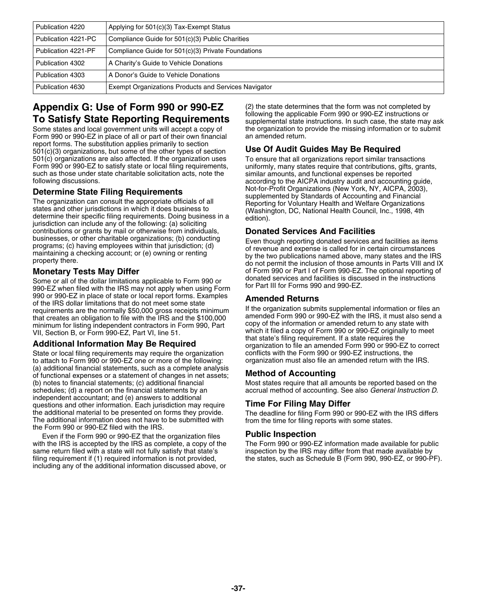| Publication 4220    | Applying for 501(c)(3) Tax-Exempt Status             |
|---------------------|------------------------------------------------------|
| Publication 4221-PC | Compliance Guide for 501(c)(3) Public Charities      |
| Publication 4221-PF | Compliance Guide for 501(c)(3) Private Foundations   |
| Publication 4302    | A Charity's Guide to Vehicle Donations               |
| Publication 4303    | A Donor's Guide to Vehicle Donations                 |
| Publication 4630    | Exempt Organizations Products and Services Navigator |

# **Appendix G: Use of Form 990 or 990-EZ** (2) the state determines that the form was not completed by<br>The **Catiofy Otate Beyrnatives Bennissments** following the applicable Form 990 or 990-EZ instructions or

Some states and local government units will accept a copy of the organization to provide the missing information or to submit Form 390 or 990-EZ in place of all or part of their own financial an amended return. Form 990 or 990-EZ in place of all or part of their own financial report forms. The substitution applies primarily to section 501(c)(3) organizations, but some of the other types of section **Use Of Audit Guides May Be Required**  $501(c)$  organizations are also affected. If the organization uses Form 990 or 990-EZ to satisfy state or local filing requirements, such as those under state charitable solicitation acts, note the following discussions.

contributions or grants by mail or otherwise from individuals, **Donated Services And Facilities**

Some or all of the dollar limitations applicable to Form 990 or<br>990-EZ when filed with the IRS may not apply when using Form<br>990 or 990-EZ in place of state or local report forms. Examples<br>990 or 990-EZ in place of state o From the IRS dollar limitations that do not meet some state<br>requirements are the normally \$50,000 gross receipts minimum<br>requirements and bigation submits supplemental information or files an<br>requirements an obligation sub minimum for listing independent contractors in Form 990, Part copy of the information or amended return to any state with<br>VIL Section B, or Form 990-EZ Part VL line 51

State or local filing requirements may require the organization conflicts with the Form 990 or 990-EZ instructions, the<br>to attach to Form 990 or 990-EZ one or more of the following: corganization must also file an amended to attach to Form 990 or 990-EZ one or more of the following: (a) additional financial statements, such as a complete analysis of functional expenses or a statement of changes in net assets; **Method of Accounting** (b) notes to financial statements; (c) additional financial Most states require that all amounts be reported based on the schedules; (d) a report on the financial statements by an accrual method of accounting. See also *Ge* independent accountant; and (e) answers to additional questions and other information. Each jurisdiction may require **Time For Filing May Differ**<br>the additional material to be presented on forms they provide. The deadline for filing Form 990 or the additional material to be presented on forms they provide. The deadline for filing Form 990 or 990-EZ with the IRS differs<br>The additional information does not have to be submitted with from the time for filing reports

Even if the Form 990 or 990-EZ that the organization files **Public Inspection** with the IRS is accepted by the IRS as complete, a copy of the same return filed with a state will not fully satisfy that state's inspection by the IRS may differ from that made available by<br>filing requirement if (1) required information is not provided, in the states, such as Schedul filing requirement if (1) required information is not provided, including any of the additional information discussed above, or

**To Satisfy State Reporting Requirements** supplemental state instructions. In such case, the state may ask

uniformly, many states require that contributions, gifts, grants, similar amounts, and functional expenses be reported according to the AICPA industry audit and accounting guide,<br>Not-for-Profit Organizations (New York, NY, AICPA, 2003), **Determine State Filing Requirements**<br>The organization can consult the appropriate officials of all<br>states and other jurisdictions in which it does business to<br>determine their specific filing requirements. Doing business i

businesses, or other charitable organizations; (b) conducting<br>programs; (c) having employees within that jurisdiction; (d)<br>maintaining a checking account; or (e) owning or renting<br>property there.<br>property there.<br>do not per **Monetary Tests May Differ** of Form 990 or Part I of Form 990-EZ. The optional reporting of Some or all of the dollar limitations applicable to Form 990 or Number of acceptances and facilities is discussed in the instructi

VII, Section B, or Form 990-EZ, Part VI, line 51. which it filed a copy of Form 990 or 990-EZ originally that state's filing requirement. If a state requires the **Additional Information May Be Required** organization to file an amended Form 990 or 990-EZ to correct<br>State or local filing requirements may require the organization conflicts with the Form 990 or 990-EZ instructions, the

accrual method of accounting. See also *General Instruction D*.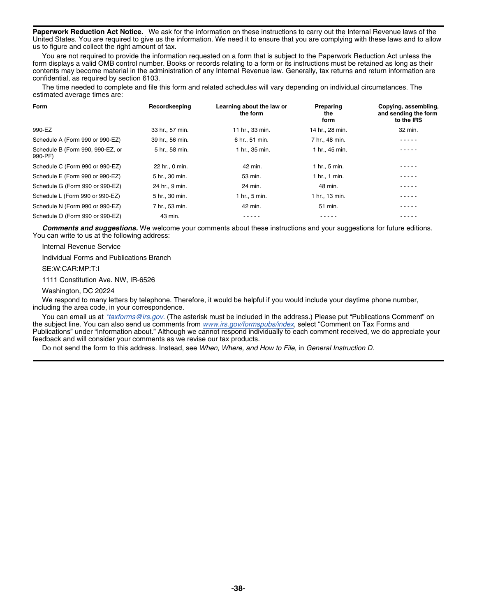**Paperwork Reduction Act Notice.** We ask for the information on these instructions to carry out the Internal Revenue laws of the United States. You are required to give us the information. We need it to ensure that you are complying with these laws and to allow us to figure and collect the right amount of tax.

You are not required to provide the information requested on a form that is subject to the Paperwork Reduction Act unless the form displays a valid OMB control number. Books or records relating to a form or its instructions must be retained as long as their contents may become material in the administration of any Internal Revenue law. Generally, tax returns and return information are confidential, as required by section 6103.

The time needed to complete and file this form and related schedules will vary depending on individual circumstances. The estimated average times are:

| Form                                        | Recordkeeping   | Learning about the law or<br>the form | Preparing<br>the<br>form | Copying, assembling,<br>and sending the form<br>to the IRS |
|---------------------------------------------|-----------------|---------------------------------------|--------------------------|------------------------------------------------------------|
| 990-EZ                                      | 33 hr., 57 min. | 11 hr., 33 min.                       | 14 hr., 28 min.          | 32 min.                                                    |
| Schedule A (Form 990 or 990-EZ)             | 39 hr., 56 min. | 6 hr., 51 min.                        | 7 hr., 48 min.           | .                                                          |
| Schedule B (Form 990, 990-EZ, or<br>990-PF) | 5 hr., 58 min.  | 1 hr., 35 min.                        | 1 hr., 45 min.           |                                                            |
| Schedule C (Form 990 or 990-EZ)             | 22 hr., 0 min.  | 42 min.                               | 1 hr., 5 min.            | .                                                          |
| Schedule E (Form 990 or 990-EZ)             | 5 hr., 30 min.  | 53 min.                               | 1 hr., 1 min.            | .                                                          |
| Schedule G (Form 990 or 990-EZ)             | 24 hr., 9 min.  | 24 min.                               | 48 min.                  | .                                                          |
| Schedule L (Form 990 or 990-EZ)             | 5 hr., 30 min.  | 1 hr., 5 min.                         | 1 hr., 13 min.           | - - - - -                                                  |
| Schedule N (Form 990 or 990-EZ)             | 7 hr., 53 min.  | 42 min.                               | 51 min.                  | - - - - -                                                  |
| Schedule O (Form 990 or 990-EZ)             | 43 min.         | - - - - -                             | - - - - -                | - - - - -                                                  |

*Comments and suggestions.* We welcome your comments about these instructions and your suggestions for future editions. You can write to us at the following address:

Internal Revenue Service

Individual Forms and Publications Branch

SE:W:CAR:MP:T:I

1111 Constitution Ave. NW, IR-6526

Washington, DC 20224

We respond to many letters by telephone. Therefore, it would be helpful if you would include your daytime phone number, including the area code, in your correspondence.

You can email us at *[\\*taxforms@irs.gov.](mailto:http://taxforms@irs.gov)* (The asterisk must be included in the address.) Please put "Publications Comment" on the subject line. You can also send us comments from *[www.irs.gov/formspubs/index](http://www.irs.gov/formspubs/)*, select "Comment on Tax Forms and Publications" under "Information about." Although we cannot respond individually to each comment received, we do appreciate your feedback and will consider your comments as we revise our tax products.

Do not send the form to this address. Instead, see *When, Where, and How to File,* in *General Instruction D.*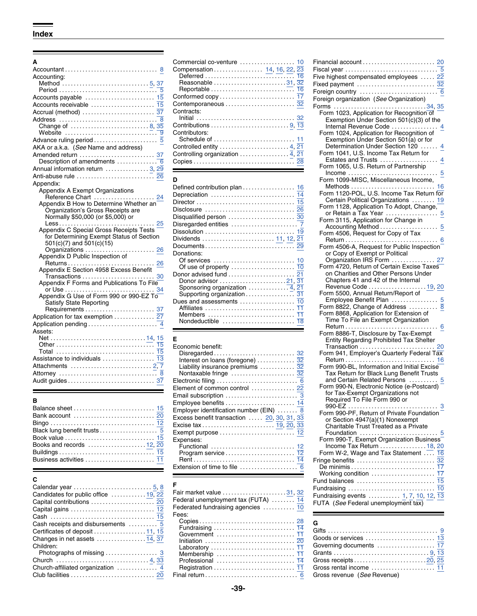| Accounting:                                              |                                                                   | Five highest compensated employees  22                                            |
|----------------------------------------------------------|-------------------------------------------------------------------|-----------------------------------------------------------------------------------|
|                                                          | Reasonable 31, 32                                                 | Fixed payment  32                                                                 |
|                                                          |                                                                   |                                                                                   |
|                                                          |                                                                   | Foreign organization (See Organization)                                           |
|                                                          | Contemporaneous  32                                               |                                                                                   |
|                                                          | Contracts:                                                        | Form 1023, Application for Recognition of                                         |
|                                                          |                                                                   | Exemption Under Section $501(c)(3)$ of the                                        |
|                                                          |                                                                   | Internal Revenue Code  4                                                          |
|                                                          | Contributors:                                                     | Form 1024, Application for Recognition of                                         |
|                                                          |                                                                   | Exemption Under Section 501(a) or for                                             |
| AKA or a.k.a. (See Name and address)                     | Controlled entity  4, 21                                          | Determination Under Section 120  4                                                |
|                                                          |                                                                   | Form 1041, U.S. Income Tax Return for                                             |
|                                                          |                                                                   |                                                                                   |
| Annual information return 3, 29                          |                                                                   | Form 1065, U.S. Return of Partnership                                             |
|                                                          |                                                                   |                                                                                   |
|                                                          | D                                                                 | Form 1099-MISC, Miscellaneous Income,                                             |
| Appendix:                                                |                                                                   |                                                                                   |
| Appendix A Exempt Organizations<br>Reference Chart<br>24 |                                                                   | Form 1120-POL, U.S. Income Tax Return for                                         |
| Appendix B How to Determine Whether an                   |                                                                   | Certain Political Organizations  19                                               |
| Organization's Gross Receipts are                        |                                                                   | Form 1128, Application To Adopt, Change,                                          |
| Normally \$50,000 (or \$5,000) or                        |                                                                   | or Retain a Tax Year  5                                                           |
| 25                                                       |                                                                   | Form 3115, Application for Change in                                              |
| Appendix C Special Gross Receipts Tests                  |                                                                   | Accounting Method  5                                                              |
| for Determining Exempt Status of Section                 |                                                                   | Form 4506, Request for Copy of Tax                                                |
| $501(c)(7)$ and $501(c)(15)$                             |                                                                   |                                                                                   |
| Organizations  26                                        |                                                                   | Form 4506-A, Request for Public Inspection                                        |
| Appendix D Public Inspection of                          | Donations:                                                        | or Copy of Exempt or Political                                                    |
|                                                          |                                                                   | Organization IRS Form  27                                                         |
| Appendix E Section 4958 Excess Benefit                   |                                                                   | Form 4720, Return of Certain Excise Taxes<br>on Charities and Other Persons Under |
|                                                          |                                                                   | Chapters 41 and 42 of the Internal                                                |
| Appendix F Forms and Publications To File                |                                                                   | Revenue Code  19, 20                                                              |
|                                                          |                                                                   | Form 5500, Annual Return/Report of                                                |
| Appendix G Use of Form 990 or 990-EZ To                  |                                                                   | Employee Benefit Plan  5                                                          |
| <b>Satisfy State Reporting</b>                           |                                                                   | Form 8822, Change of Address  8                                                   |
|                                                          |                                                                   | Form 8868, Application for Extension of                                           |
| Application for tax exemption  27                        |                                                                   | Time To File an Exempt Organization                                               |
|                                                          |                                                                   | $Return \dots \dots \dots \dots \dots \dots \dots \dots$<br>. 6                   |
| Assets:                                                  |                                                                   | Form 8886-T, Disclosure by Tax-Exempt                                             |
|                                                          | Е                                                                 | Entity Regarding Prohibited Tax Shelter                                           |
|                                                          | Economic benefit:                                                 |                                                                                   |
| Total  15                                                |                                                                   | Form 941, Employer's Quarterly Federal Tax                                        |
|                                                          | Interest on loans (foregone) $\ldots \ldots \ldots \frac{32}{32}$ |                                                                                   |
|                                                          | Liability insurance premiums $\ldots \ldots \ldots \overline{32}$ | Form 990-BL, Information and Initial Excise                                       |
|                                                          |                                                                   | Tax Return for Black Lung Benefit Trusts                                          |
|                                                          |                                                                   | and Certain Related Persons  5                                                    |
|                                                          |                                                                   | Earm 000 N. Electronic Notice (o Besteard)                                        |

| u                                                                     |            |
|-----------------------------------------------------------------------|------------|
| Calendar year $\ldots \ldots \ldots \ldots \ldots \ldots \ldots 5, 8$ | F          |
| Candidates for public office  19, 22                                  | Fair r     |
|                                                                       | Fede       |
|                                                                       | Feder      |
|                                                                       | Fees:      |
|                                                                       | Co         |
| Certificates of deposit 11, 15                                        | Fur        |
|                                                                       | Go<br>Init |
| Children:                                                             | Lat        |
| Photographs of missing  3                                             | Me         |
|                                                                       | Prc        |
|                                                                       | Re         |
|                                                                       | Final      |

|                                                                      |                   | Financial account                         |
|----------------------------------------------------------------------|-------------------|-------------------------------------------|
|                                                                      |                   | Fiscal year                               |
| countina:                                                            |                   | Five highest compensated employees        |
|                                                                      | Reasonable 31, 32 | Fixed payment                             |
|                                                                      |                   | Foreign country                           |
|                                                                      |                   | Foreign organization (See Organization)   |
|                                                                      |                   |                                           |
|                                                                      | Contracts:        | Form 1023, Application for Recognition of |
|                                                                      |                   | Exemption Under Section 501(c)(3) of t    |
| Change of  8, 35                                                     |                   | Internal Revenue Code                     |
|                                                                      | Contributors:     | Form 1024, Application for Recognition of |
|                                                                      |                   | Exemption Under Section 501(a) or for     |
| (A or a.k.a.  ( <i>See</i> Name and address)                         |                   | Determination Under Section 120           |
| nended return $\ldots, \ldots, \ldots, \ldots, \ldots, 37$           |                   | Form 1041, U.S. Income Tax Return for     |
| Description of amendments $\ldots \ldots \ldots \ldots \overline{6}$ |                   | Estates and Trusts                        |
| $m(n)$ information rature<br>n nn                                    |                   | Form 1065, U.S. Return of Partnership     |

٠

| pendix:                                                          |                                                                  | Methods $\dots\dots\dots\dots\dots\dots\dots\dots\dots\dots$                                                                                                                                                                   |
|------------------------------------------------------------------|------------------------------------------------------------------|--------------------------------------------------------------------------------------------------------------------------------------------------------------------------------------------------------------------------------|
| Appendix A Exempt Organizations                                  |                                                                  | Form 1120-POL, U.S. Income Tax Return for                                                                                                                                                                                      |
|                                                                  |                                                                  | Certain Political Organizations  19                                                                                                                                                                                            |
| Appendix B How to Determine Whether an $\overline{\phantom{a}}$  |                                                                  | Form 1128, Application To Adopt, Change,                                                                                                                                                                                       |
| Organization's Gross Receipts are                                |                                                                  | or Retain a Tax Year  5                                                                                                                                                                                                        |
| Normally \$50,000 (or \$5,000) or                                |                                                                  | Form 3115, Application for Change in                                                                                                                                                                                           |
|                                                                  |                                                                  |                                                                                                                                                                                                                                |
| Appendix C Special Gross Receipts Tests                          |                                                                  | Form 4506, Request for Copy of Tax                                                                                                                                                                                             |
| for Determining Exempt Status of Section                         | Dividends  11, 12, 21                                            |                                                                                                                                                                                                                                |
| $501(c)(7)$ and $501(c)(15)$                                     |                                                                  | Form 4506-A, Request for Public Inspection                                                                                                                                                                                     |
| 26<br>Organizations                                              | Donations:                                                       | or Copy of Exempt or Political                                                                                                                                                                                                 |
| Appendix D Public Inspection of                                  |                                                                  | Organization IRS Form  27                                                                                                                                                                                                      |
| Returns<br>26                                                    | Of use of property $\dots\dots\dots\dots\dots\dots\dots$ 10      | Form 4720, Return of Certain Excise Taxes                                                                                                                                                                                      |
| Appendix E Section 4958 Excess Benefit                           |                                                                  | on Charities and Other Persons Under                                                                                                                                                                                           |
|                                                                  |                                                                  | Chapters 41 and 42 of the Internal                                                                                                                                                                                             |
| Appendix F Forms and Publications To File                        | Sponsoring organization $\ldots \ldots \ldots \overline{4}$ , 21 | Revenue Code  19, 20                                                                                                                                                                                                           |
|                                                                  |                                                                  | Form 5500, Annual Return/Report of                                                                                                                                                                                             |
| Appendix G Use of Form 990 or 990-EZ To $\overline{\phantom{a}}$ | Dues and assessments $\dots\dots\dots\dots\dots$ 10              |                                                                                                                                                                                                                                |
| <b>Satisfy State Reporting</b>                                   |                                                                  | Form 8822, Change of Address  8                                                                                                                                                                                                |
|                                                                  | Members $\dots\dots\dots\dots\dots\dots\dots\dots\dots$          | Form 8868, Application for Extension of                                                                                                                                                                                        |
| plication for tax exemption  27                                  |                                                                  | Time To File an Exempt Organization                                                                                                                                                                                            |
| plication pending $\ldots \ldots \ldots \ldots \ldots \ldots$    |                                                                  | Refument and the contract of the contract of the contract of the contract of the contract of the contract of the contract of the contract of the contract of the contract of the contract of the contract of the contract of t |
|                                                                  |                                                                  |                                                                                                                                                                                                                                |

|                                                                       | Economic benefit:                                                      |                                                               |
|-----------------------------------------------------------------------|------------------------------------------------------------------------|---------------------------------------------------------------|
|                                                                       |                                                                        | Form 941, Employer's Quarterly Federal Ta                     |
| Assistance to individuals $\ldots \ldots \ldots \ldots \overline{13}$ |                                                                        |                                                               |
|                                                                       | Liability insurance premiums $\ldots \ldots \ldots \frac{32}{32}$      | Form 990-BL, Information and Initial Excise                   |
|                                                                       |                                                                        | Tax Return for Black Lung Benefit Trusts                      |
|                                                                       |                                                                        | and Certain Related Persons                                   |
|                                                                       | Element of common control  22                                          | Form 990-N, Electronic Notice (e-Postcard)                    |
|                                                                       |                                                                        | for Tax-Exempt Organizations not                              |
|                                                                       |                                                                        | Required To File Form 990 or                                  |
|                                                                       |                                                                        |                                                               |
|                                                                       | Employer identification number (EIN)  8                                | Form 990-PF, Return of Private Foundation                     |
|                                                                       | Excess benefit transaction  20, 30, 31, 33                             | or Section 4947(a)(1) Nonexempt                               |
|                                                                       |                                                                        | Charitable Trust Treated as a Private                         |
| Black lung benefit trusts 5                                           |                                                                        | Foundation $\ldots \ldots \ldots \ldots \ldots \ldots \ldots$ |
|                                                                       | Expenses:                                                              | Form 990-T, Exempt Organization Busines                       |
|                                                                       | Functional $\ldots, \ldots, \ldots, \ldots, \ldots, \ldots, \ldots$ 12 | Income Tax Return  18.                                        |
|                                                                       |                                                                        | Form W-2, Wage and Tax Statement                              |
|                                                                       |                                                                        |                                                               |
|                                                                       | Extension of time to file $\ldots, \ldots, \ldots, \ldots, 6$          |                                                               |
|                                                                       |                                                                        |                                                               |

## $\blacksquare$

| Candidates for public office $\dots \dots \dots 19$ , 22<br>Capital contributions $\ldots \ldots \ldots \ldots \ldots \ldots$ 20<br>Capital gains $\ldots \ldots \ldots \ldots \ldots \ldots \ldots \frac{12}{12}$<br>Cash receipts and disbursements $\ldots \ldots \ldots \overline{5}$<br>Changes in net assets $\ldots$ 14, 37<br>Children:<br>Photographs of missing  3 | Fair market value 31, 32<br>Federal unemployment tax (FUTA)  14<br>Federated fundraising agencies  10<br>Fees: | Fundraising events  1, 7, 10, 12, 13<br>FUTA (See Federal unemployment tax)<br>G |
|------------------------------------------------------------------------------------------------------------------------------------------------------------------------------------------------------------------------------------------------------------------------------------------------------------------------------------------------------------------------------|----------------------------------------------------------------------------------------------------------------|----------------------------------------------------------------------------------|
| Church-affiliated organization $\ldots \ldots \ldots$ 4                                                                                                                                                                                                                                                                                                                      |                                                                                                                |                                                                                  |

| Accounting:                                                                     |                                                                   | Five highest compensated employees  22                                |
|---------------------------------------------------------------------------------|-------------------------------------------------------------------|-----------------------------------------------------------------------|
|                                                                                 | Reasonable 31, 32                                                 | Fixed payment  32                                                     |
|                                                                                 |                                                                   |                                                                       |
| Accounts payable $\ldots \ldots \ldots \ldots \ldots \ldots \ldots$ 15          |                                                                   | Foreign organization (See Organization)                               |
|                                                                                 | Contemporaneous  32                                               |                                                                       |
|                                                                                 | Contracts:                                                        | Form 1023, Application for Recognition of                             |
|                                                                                 |                                                                   | Exemption Under Section 501(c)(3) of the                              |
| Website $\ldots \ldots \ldots \ldots \ldots \ldots \ldots \ldots \ldots \ldots$ | Contributors:                                                     | Internal Revenue Code  4<br>Form 1024, Application for Recognition of |
|                                                                                 |                                                                   | Exemption Under Section 501(a) or for                                 |
| AKA or a.k.a. (See Name and address)                                            |                                                                   | Determination Under Section 120  4                                    |
| Amended return  37                                                              | Controlling organization  4, 21                                   | Form 1041, U.S. Income Tax Return for                                 |
| Description of amendments $\ldots \ldots \ldots \ldots \bar{6}$                 |                                                                   |                                                                       |
| Annual information return 3, 29                                                 | <u> 1989 - Johann Stein, Amerikaansk politiker (* 1989)</u>       | Form 1065, U.S. Return of Partnership                                 |
| Anti-abuse rule  26                                                             |                                                                   |                                                                       |
| Appendix:                                                                       | D                                                                 | Form 1099-MISC, Miscellaneous Income,                                 |
| Appendix A Exempt Organizations                                                 |                                                                   | Form 1120-POL, U.S. Income Tax Return for                             |
| Reference Chart  24                                                             |                                                                   | Certain Political Organizations  19                                   |
| Appendix B How to Determine Whether an                                          |                                                                   | Form 1128, Application To Adopt, Change,                              |
| Organization's Gross Receipts are                                               |                                                                   | or Retain a Tax Year  5                                               |
| Normally \$50,000 (or \$5,000) or<br>25                                         |                                                                   | Form 3115, Application for Change in                                  |
| Appendix C Special Gross Receipts Tests                                         |                                                                   |                                                                       |
| for Determining Exempt Status of Section                                        |                                                                   | Form 4506, Request for Copy of Tax                                    |
| $501(c)(7)$ and $501(c)(15)$                                                    |                                                                   | Form 4506-A, Request for Public Inspection                            |
| Organizations<br>26                                                             | Donations:                                                        | or Copy of Exempt or Political                                        |
| Appendix D Public Inspection of                                                 |                                                                   | Organization IRS Form  27                                             |
|                                                                                 |                                                                   | Form 4720, Return of Certain Excise Taxes                             |
| Appendix E Section 4958 Excess Benefit                                          |                                                                   | on Charities and Other Persons Under                                  |
| Appendix F Forms and Publications To File                                       | Donor advisor $\ldots \ldots \ldots \ldots \ldots \ldots 21,31$   | Chapters 41 and 42 of the Internal                                    |
|                                                                                 |                                                                   | Revenue Code  19, 20                                                  |
| Appendix G Use of Form 990 or 990-EZ To                                         |                                                                   | Form 5500, Annual Return/Report of                                    |
| <b>Satisfy State Reporting</b>                                                  |                                                                   | Employee Benefit Plan  5<br>Form 8822, Change of Address              |
|                                                                                 | Affiliates  11                                                    | Form 8868, Application for Extension of                               |
| Application for tax exemption  27                                               |                                                                   | Time To File an Exempt Organization                                   |
| Application pending  4                                                          |                                                                   |                                                                       |
| Assets:                                                                         |                                                                   | Form 8886-T, Disclosure by Tax-Exempt                                 |
|                                                                                 | Е                                                                 | Entity Regarding Prohibited Tax Shelter                               |
|                                                                                 | Economic benefit:                                                 | Transaction  20                                                       |
|                                                                                 |                                                                   | Form 941, Employer's Quarterly Federal Tax                            |
|                                                                                 | Liability insurance premiums $\ldots \ldots \ldots \overline{32}$ | Form 990-BL, Information and Initial Excise                           |
|                                                                                 |                                                                   | Tax Return for Black Lung Benefit Trusts                              |
|                                                                                 |                                                                   | and Certain Related Persons  5                                        |
|                                                                                 | Element of common control  22                                     | Form 990-N, Electronic Notice (e-Postcard)                            |
|                                                                                 |                                                                   | for Tax-Exempt Organizations not                                      |
| в                                                                               |                                                                   | Required To File Form 990 or                                          |
|                                                                                 | Employer identification number (EIN)  8                           | Form 990-PF, Return of Private Foundation                             |
|                                                                                 | Excess benefit transaction  20, 30, 31, $3\overline{3}$           | or Section 4947(a)(1) Nonexempt                                       |
|                                                                                 |                                                                   | Charitable Trust Treated as a Private                                 |
|                                                                                 |                                                                   |                                                                       |
|                                                                                 | Expenses:                                                         | Form 990-T, Exempt Organization Business                              |
| Books and records 12, 20                                                        | Functional  12                                                    | Income Tax Return  18, 20                                             |
| Business activities  11                                                         |                                                                   | Form W-2, Wage and Tax Statement  16                                  |
|                                                                                 |                                                                   |                                                                       |
|                                                                                 |                                                                   |                                                                       |
| C                                                                               |                                                                   |                                                                       |
|                                                                                 | F                                                                 |                                                                       |
| Candidates for public office $\dots\dots\dots\dots$ 19, 22                      | Fair market value 31, 32                                          | Fundraising events  1, 7, 10, 12, 13                                  |
|                                                                                 | Eederal unemployment tay (ELITA)                                  |                                                                       |

| Goods or services $\,\ldots\ldots\ldots\ldots\ldots\ldots\ldots\,1\overline{3}$ |  |
|---------------------------------------------------------------------------------|--|
| Governing documents  17                                                         |  |
|                                                                                 |  |
| Gross receipts………………………20, 25                                                   |  |
| Gross rental income  11                                                         |  |
| Gross revenue (See Revenue)                                                     |  |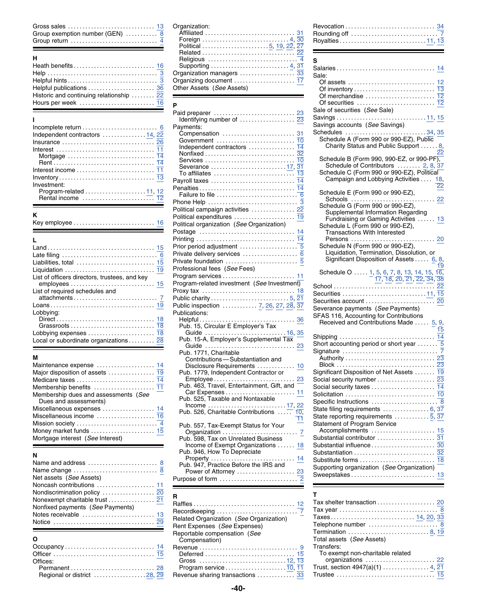| Gross sales                  |     |           |
|------------------------------|-----|-----------|
| Group exemption number (GEN) |     |           |
| Group return                 | ___ | Rovalties |

|                                                                        |                   | Savings accounts (See Savings)                 |
|------------------------------------------------------------------------|-------------------|------------------------------------------------|
| Independent contractors $\dots \dots \dots \dots 14$ , $2\overline{2}$ |                   | $Schedules$                                    |
|                                                                        |                   | Schedule A (Form 990 or 990-                   |
|                                                                        |                   | <b>Charity Status and Public Su</b>            |
|                                                                        |                   |                                                |
|                                                                        |                   | Schedule B (Form 990, 990-E2                   |
|                                                                        |                   | Schedule of Contributors                       |
|                                                                        |                   | Schedule C (Form 990 or 990-                   |
|                                                                        | Payroll taxes  14 | Campaign and Lobbying Act                      |
| Investment:                                                            |                   |                                                |
|                                                                        |                   | Schedule E (Form 990 or 990-                   |
|                                                                        |                   | $\mathsf{C}$ and $\mathsf{C}$ and $\mathsf{C}$ |

|--|

|                                                    |                                             | Schedule N (Form 990 or 990-EZ),                                                                                                      |
|----------------------------------------------------|---------------------------------------------|---------------------------------------------------------------------------------------------------------------------------------------|
|                                                    |                                             | Liquidation, Termination, Dissolution, or                                                                                             |
|                                                    |                                             | Significant Disposition of Assets 6                                                                                                   |
|                                                    | Professional fees (See Fees)                |                                                                                                                                       |
| List of officers directors, trustees, and key      |                                             | Schedule O  1, 5, 6, 7, 8, 13, 14, 15,<br>$\overline{17}, \overline{18}, \overline{20}, \overline{21}, \overline{22}, \overline{34},$ |
|                                                    | Program-related investment (See Investment) |                                                                                                                                       |
| List of required schedules and                     |                                             |                                                                                                                                       |
|                                                    |                                             | Securities account                                                                                                                    |
|                                                    | Public inspection  7, 26, 27, 28, 37        | Severance payments (See Payments)                                                                                                     |
| Lobbying:                                          | Publications:                               | SFAS 116, Accounting for Contributions                                                                                                |
|                                                    |                                             | Received and Contributions Made  5                                                                                                    |
|                                                    | Pub. 15, Circular E Employer's Tax          |                                                                                                                                       |
|                                                    | Guide  16,35                                |                                                                                                                                       |
| Local or subordinate organizations $\overline{28}$ | Pub. 15-A, Employer's Supplemental Tax      | Shipping<br>Short accounting period or short year                                                                                     |
|                                                    | $\cap$<br>$\sim$ uda $\sim$                 |                                                                                                                                       |

| Maintenance expense  14              | Disclosure Requirements  10                | $Block$                             |
|--------------------------------------|--------------------------------------------|-------------------------------------|
|                                      | Pub. 1779, Independent Contractor or       | Significant Disposition of Net A    |
|                                      |                                            | Social security number              |
|                                      | Pub. 463, Travel, Entertainment, Gift, and | Social security taxes               |
| Membership dues and assessments (See |                                            | Solicitation                        |
| Dues and assessments)                | Pub. 525, Taxable and Nontaxable           | Specific Instructions               |
| Miscellaneous expenses  14           |                                            | State filing requirements           |
|                                      |                                            | State reporting requirements.       |
|                                      | Pub. 557, Tax-Exempt Status for Your       | <b>Statement of Program Service</b> |
|                                      |                                            | Accomplishments                     |
| Mortgage interest (See Interest)     | Pub. 598, Tax on Unrelated Business        | Substantial contributor             |

| Name change $\dots\dots\dots\dots\dots\dots\dots\dots 8$<br>Net assets (See Assets) | $\frac{1}{2}$ $\frac{1}{2}$ $\frac{1}{2}$ $\frac{1}{2}$ $\frac{1}{2}$ $\frac{1}{2}$ $\frac{1}{2}$ $\frac{1}{2}$ $\frac{1}{2}$ $\frac{1}{2}$ $\frac{1}{2}$ $\frac{1}{2}$ $\frac{1}{2}$ $\frac{1}{2}$ $\frac{1}{2}$ $\frac{1}{2}$ $\frac{1}{2}$ $\frac{1}{2}$ $\frac{1}{2}$ $\frac{1}{2}$ $\frac{1}{2}$ $\frac{1}{2}$<br>Pub. 947, Practice Before the IRS and<br>s s | S |
|-------------------------------------------------------------------------------------|---------------------------------------------------------------------------------------------------------------------------------------------------------------------------------------------------------------------------------------------------------------------------------------------------------------------------------------------------------------------|---|
| Nonfixed payments (See Payments)                                                    | Related Organization (See Organization)<br>Rent Expenses (See Expenses)<br>Benortable compensation (See                                                                                                                                                                                                                                                             |   |

| Offices:                    |  |
|-----------------------------|--|
|                             |  |
| Regional or district 28. 29 |  |

| Group return  4 | Group exemption number (GEN) $\ldots \ldots \overline{8}$ Affiliated $\ldots \ldots \ldots \ldots \ldots \ldots \ldots \ldots \quad 31$ | Rour<br>Roya           |
|-----------------|-----------------------------------------------------------------------------------------------------------------------------------------|------------------------|
|                 | Organization managers  33                                                                                                               | Salar<br>Sale:<br>n Of |
|                 |                                                                                                                                         | Ωf                     |

|                                                                                       |                                                 | Sale of securities (See Sale)                                                   |
|---------------------------------------------------------------------------------------|-------------------------------------------------|---------------------------------------------------------------------------------|
|                                                                                       |                                                 | Savings 11, 15                                                                  |
|                                                                                       | Payments:                                       | Savings accounts (See Savings)                                                  |
|                                                                                       | Compensation  31                                |                                                                                 |
| Independent contractors  14, 22                                                       |                                                 | Schedule A (Form 990 or 990-EZ), Public                                         |
| Insurance $\ldots\ldots\ldots\ldots\ldots\ldots\ldots\ldots\ldots\ldots\overline{26}$ | Independent contractors  74                     | Charity Status and Public Support  8.                                           |
|                                                                                       |                                                 | 22                                                                              |
| Mortgage $\ldots \ldots \ldots \ldots \ldots \ldots \ldots \ldots \ldots$ 14          |                                                 | Schedule B (Form 990, 990-EZ, or 990-PF),                                       |
| Interest income  11                                                                   | Severance  17, 31                               | Schedule of Contributors  2, 8, 37                                              |
|                                                                                       |                                                 | Schedule C (Form 990 or 990-EZ), Political                                      |
|                                                                                       |                                                 | Campaign and Lobbying Activities  18,                                           |
| Investment:                                                                           |                                                 |                                                                                 |
|                                                                                       |                                                 | Schedule E (Form 990 or 990-EZ),                                                |
|                                                                                       |                                                 | Schedule G (Form 990 or 990-EZ),                                                |
|                                                                                       | Political campaign activities  22               | Supplemental Information Regarding                                              |
| ĸ                                                                                     |                                                 | Fundraising or Gaming Activities<br>13                                          |
|                                                                                       | Political organization (See Organization)       | Schedule L (Form 990 or 990-EZ),                                                |
|                                                                                       |                                                 | <b>Transactions With Interested</b>                                             |
|                                                                                       |                                                 |                                                                                 |
|                                                                                       |                                                 | Schedule N (Form 990 or 990-EZ),                                                |
|                                                                                       |                                                 | Liquidation, Termination, Dissolution, or                                       |
|                                                                                       |                                                 | Significant Disposition of Assets  6, 8                                         |
| Liabilities, total  15                                                                | Professional fees (See Fees)                    |                                                                                 |
|                                                                                       |                                                 | Schedule O  1, 5, 6, 7, 8, 13, 14, 15, 16, 16, 17, 18, 20, 21, 22, 34, 38       |
| List of officers directors, trustees, and key                                         | Program-related investment (See Investment)     |                                                                                 |
|                                                                                       |                                                 |                                                                                 |
| List of required schedules and                                                        |                                                 |                                                                                 |
|                                                                                       |                                                 |                                                                                 |
|                                                                                       | Public inspection  7, 26, 27, 28, 37            | Severance payments (See Payments)                                               |
| Lobbvina:                                                                             | Publications:                                   | SFAS 116, Accounting for Contributions                                          |
|                                                                                       | Pub. 15, Circular E Employer's Tax              | Received and Contributions Made  5, 9,                                          |
|                                                                                       | Guide  16, 35                                   |                                                                                 |
| Local or subordinate organizations $\ldots \ldots \ldots$ 28                          | Pub. 15-A, Employer's Supplemental Tax          |                                                                                 |
| <u> 1989 - Johann Barnett, fransk politik (</u>                                       |                                                 |                                                                                 |
|                                                                                       | Pub. 1771, Charitable                           |                                                                                 |
|                                                                                       | Contributions-Substantiation and                |                                                                                 |
| Maintenance expense  14                                                               |                                                 |                                                                                 |
| Major disposition of assets  19                                                       | Pub. 1779, Independent Contractor or            | Significant Disposition of Net Assets  19                                       |
|                                                                                       |                                                 |                                                                                 |
|                                                                                       | Pub. 463, Travel, Entertainment, Gift, and      |                                                                                 |
| Membership dues and assessments (See                                                  | Car Expenses 11                                 |                                                                                 |
| Dues and assessments)                                                                 | Pub. 525, Taxable and Nontaxable                | Specific Instructions 8                                                         |
| Miscellaneous expenses 14                                                             | Pub. 526, Charitable Contributions $\ldots$ 10, | State filing requirements $\ldots \ldots \ldots \ldots \ldots$ 6, 37            |
| Miscellaneous income  16                                                              |                                                 | State reporting requirements $\ldots \ldots \ldots \overline{5}, \overline{37}$ |
|                                                                                       | Pub. 557, Tax-Exempt Status for Your            | <b>Statement of Program Service</b>                                             |
| Money market funds $\ldots \ldots \ldots \ldots \ldots \ldots \ldots$ 15              |                                                 |                                                                                 |
| Mortgage interest (See Interest)                                                      | Pub. 598, Tax on Unrelated Business             |                                                                                 |
|                                                                                       | Income of Exempt Organizations  18              |                                                                                 |
|                                                                                       | Pub. 946, How To Depreciate                     |                                                                                 |
|                                                                                       |                                                 |                                                                                 |
| Name and address $\ldots \ldots \ldots \ldots \ldots \ldots \ldots$                   | Pub. 947, Practice Before the IRS and           | Supporting organization (See Organization)                                      |
| Name change  8                                                                        | Power of Attorney  23                           |                                                                                 |
| Net assets (See Assets)                                                               | Purpose of form                                 |                                                                                 |

| Nonfixed payments (See Payments)<br>Notes receivable  13 | Related Organization (See Organization)<br>Rent Expenses (See Expenses) | Tax shelter transaction<br>Tax year<br>Taxes<br>Telephone number |
|----------------------------------------------------------|-------------------------------------------------------------------------|------------------------------------------------------------------|
|                                                          | Reportable compensation (See<br>Compensation)                           | Termination<br>Total assets (See Assets)                         |
|                                                          |                                                                         | Transfers:                                                       |
|                                                          |                                                                         | To exempt non-charitable related                                 |
| Offices:                                                 |                                                                         | organizations                                                    |
|                                                          |                                                                         | Trust, section $4947(a)(1)$                                      |
|                                                          | Revenue sharing transactions  33 Trustee                                |                                                                  |

# Group return ............................. . <sup>4</sup> Foreign ............................. . 4, 30 Royalties ............................. . 11, 13

## Ē.

|                                                                                        |                                                                                | s                                                                         |
|----------------------------------------------------------------------------------------|--------------------------------------------------------------------------------|---------------------------------------------------------------------------|
|                                                                                        |                                                                                |                                                                           |
|                                                                                        | Organization managers  33                                                      | Sale:                                                                     |
|                                                                                        |                                                                                |                                                                           |
|                                                                                        | Other Assets (See Assets)                                                      |                                                                           |
| Historic and continuing relationship  22                                               |                                                                                |                                                                           |
| Hours per week  16                                                                     |                                                                                |                                                                           |
|                                                                                        |                                                                                | Sale of securities (See Sale)                                             |
|                                                                                        |                                                                                |                                                                           |
|                                                                                        |                                                                                |                                                                           |
|                                                                                        | Payments:                                                                      | Savings accounts (See Savings)                                            |
| Independent contractors  14, 22                                                        |                                                                                | Schedules 34, 35                                                          |
|                                                                                        |                                                                                | Schedule A (Form 990 or 990-EZ), Public                                   |
| Interest  11                                                                           |                                                                                | Charity Status and Public Support  8,                                     |
| Mortgage $\ldots \ldots \ldots \ldots \ldots \ldots \ldots \ldots \ldots 14$           |                                                                                |                                                                           |
|                                                                                        |                                                                                | Schedule B (Form 990, 990-EZ, or 990-PF),                                 |
|                                                                                        |                                                                                | Schedule of Contributors  2, 8, 37                                        |
|                                                                                        | To affiliates $\ldots \ldots \ldots \ldots \ldots \ldots \ldots \ldots \ldots$ | Schedule C (Form 990 or 990-EZ), Political                                |
|                                                                                        | Payroll taxes  14                                                              | Campaign and Lobbying Activities  18,                                     |
| Investment:                                                                            | Penalties 14                                                                   |                                                                           |
| Program-related $\ldots \ldots \ldots \ldots \ldots \ldots 11, 12$                     | Failure to file $\dots\dots\dots\dots\dots\dots\dots\dots$                     | Schedule E (Form 990 or 990-EZ),                                          |
|                                                                                        |                                                                                | Schools  22                                                               |
|                                                                                        | Political campaign activities  22                                              | Schedule G (Form 990 or 990-EZ),                                          |
|                                                                                        |                                                                                | Supplemental Information Regarding                                        |
|                                                                                        | Political expenditures  19                                                     | Fundraising or Gaming Activities  13                                      |
|                                                                                        | Political organization (See Organization)                                      | Schedule L (Form 990 or 990-EZ),                                          |
|                                                                                        |                                                                                | <b>Transactions With Interested</b>                                       |
|                                                                                        |                                                                                | Persons  20                                                               |
|                                                                                        |                                                                                | Schedule N (Form 990 or 990-EZ),                                          |
|                                                                                        |                                                                                | Liquidation, Termination, Dissolution, or                                 |
| Liabilities, total $\,\ldots\ldots\ldots\ldots\ldots\ldots\ldots\ldots\,1\overline{5}$ |                                                                                | Significant Disposition of Assets  6, 8,                                  |
|                                                                                        | Professional fees (See Fees)                                                   |                                                                           |
|                                                                                        |                                                                                | Schedule O  1, 5, 6, 7, 8, 13, 14, 15, 16, 16, 17, 18, 20, 21, 22, 34, 38 |
| List of officers directors, trustees, and key                                          |                                                                                |                                                                           |
|                                                                                        | Program-related investment (See Investment)                                    |                                                                           |
| List of required schedules and                                                         |                                                                                |                                                                           |
|                                                                                        |                                                                                |                                                                           |
|                                                                                        | Public inspection  7, 26, 27, 28, 37                                           |                                                                           |
| Lobbying:                                                                              | Publications:                                                                  | Severance payments (See Payments)                                         |
|                                                                                        |                                                                                | SFAS 116, Accounting for Contributions                                    |
|                                                                                        | Pub. 15, Circular E Employer's Tax                                             | Received and Contributions Made  5, 9,                                    |
| Lobbying expenses  18                                                                  |                                                                                |                                                                           |
| Local or subordinate organizations 28                                                  | Pub. 15-A, Employer's Supplemental Tax                                         |                                                                           |
|                                                                                        | Guide  23                                                                      | Short accounting period or short year  5                                  |
|                                                                                        | Pub. 1771, Charitable                                                          |                                                                           |
|                                                                                        | Contributions-Substantiation and                                               |                                                                           |
| Maintenance expense  14                                                                | Disclosure Requirements  10                                                    |                                                                           |
| Major disposition of assets  19                                                        | Pub. 1779, Independent Contractor or                                           | Significant Disposition of Net Assets  19                                 |
| Medicare taxes  14                                                                     | Employee 23                                                                    | Social security number  23                                                |
|                                                                                        | Pub. 463, Travel, Entertainment, Gift, and                                     |                                                                           |
| Membership dues and assessments (See                                                   | Car Expenses 11                                                                |                                                                           |
|                                                                                        | Pub. 525, Taxable and Nontaxable                                               |                                                                           |
| Dues and assessments)                                                                  |                                                                                |                                                                           |
| Miscellaneous expenses  14                                                             |                                                                                | State filing requirements  6, 37                                          |
|                                                                                        | 11                                                                             |                                                                           |
| Mission society $\dots\dots\dots\dots\dots\dots\dots\overline{4}$                      | Pub. 557, Tax-Exempt Status for Your                                           | <b>Statement of Program Service</b>                                       |
|                                                                                        |                                                                                | Accomplishments  15                                                       |
| Mortgage interest (See Interest)                                                       | Pub. 598, Tax on Unrelated Business                                            |                                                                           |
|                                                                                        | Income of Exempt Organizations  18                                             |                                                                           |
|                                                                                        | Pub. 946, How To Depreciate                                                    |                                                                           |
| N                                                                                      |                                                                                |                                                                           |
| Name and address $\ldots \ldots \ldots \ldots \ldots \ldots 8$                         | Pub. 947, Practice Before the IRS and                                          | Supporting organization (See Organization)                                |
| Name change $\ldots \ldots \ldots \ldots \ldots \ldots \ldots \ \overline{8}$          |                                                                                |                                                                           |
| Net assets (See Assets)                                                                |                                                                                |                                                                           |

| Nonexempt charitable trust $\ldots \ldots \ldots \ldots$ 21<br>Nonfixed payments (See Payments)<br><u> The Communication of the Communication of the Communication of the Communication of the Communication of the Co</u> | Related Organization (See Organization)<br>Rent Expenses (See Expenses) | Tax shelter transaction $\ldots \ldots \ldots \ldots \ldots$ . 20                                               |
|----------------------------------------------------------------------------------------------------------------------------------------------------------------------------------------------------------------------------|-------------------------------------------------------------------------|-----------------------------------------------------------------------------------------------------------------|
|                                                                                                                                                                                                                            | Reportable compensation (See<br>Compensation)                           | Termination $\ldots \ldots \ldots \ldots \ldots \ldots \ldots \ldots \ldots 8, 19$<br>Total assets (See Assets) |
|                                                                                                                                                                                                                            |                                                                         | Transfers:                                                                                                      |
|                                                                                                                                                                                                                            |                                                                         | To exempt non-charitable related                                                                                |
| Offices:                                                                                                                                                                                                                   |                                                                         | organizations  22                                                                                               |
|                                                                                                                                                                                                                            | Program service $\dots\dots\dots\dots\dots\dots\dots$ 10, 11            |                                                                                                                 |
| Regional or district 28, 29                                                                                                                                                                                                |                                                                         |                                                                                                                 |